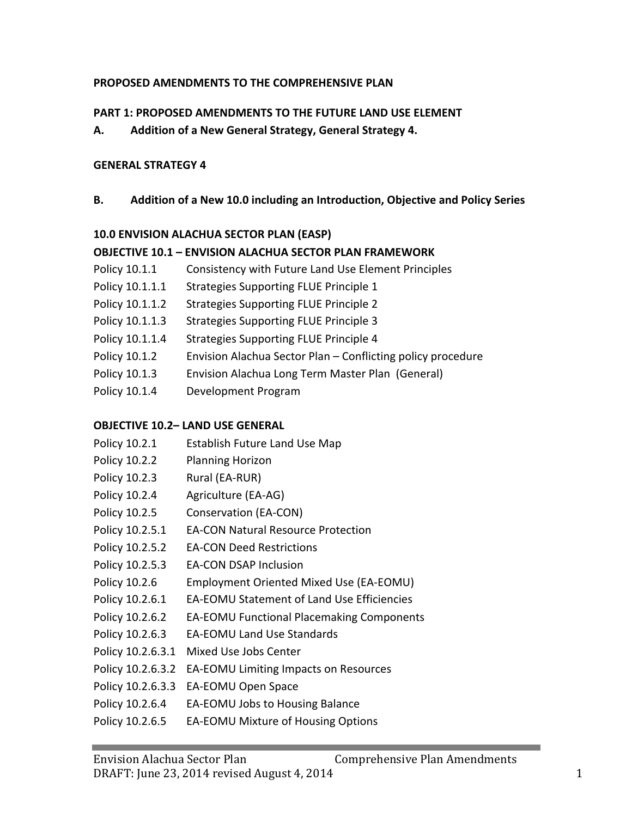### **PROPOSED AMENDMENTS TO THE COMPREHENSIVE PLAN**

## **PART 1: PROPOSED AMENDMENTS TO THE FUTURE LAND USE ELEMENT**

A. Addition of a New General Strategy, General Strategy 4.

## **GENERAL STRATEGY 4**

**B.** Addition of a New 10.0 including an Introduction, Objective and Policy Series

## **10.0 ENVISION ALACHUA SECTOR PLAN (EASP)**

## **OBJECTIVE 10.1 - ENVISION ALACHUA SECTOR PLAN FRAMEWORK**

- Policy 10.1.1 Consistency with Future Land Use Element Principles
- Policy 10.1.1.1 Strategies Supporting FLUE Principle 1
- Policy 10.1.1.2 Strategies Supporting FLUE Principle 2
- Policy 10.1.1.3 Strategies Supporting FLUE Principle 3
- Policy 10.1.1.4 Strategies Supporting FLUE Principle 4
- Policy 10.1.2 Envision Alachua Sector Plan Conflicting policy procedure
- Policy 10.1.3 Envision Alachua Long Term Master Plan (General)
- Policy 10.1.4 Development Program

## **OBJECTIVE 10.2– LAND USE GENERAL**

Policy 10.2.1 Establish Future Land Use Map Policy 10.2.2 Planning Horizon Policy 10.2.3 Rural (EA-RUR) Policy 10.2.4 Agriculture (EA-AG) Policy 10.2.5 Conservation (EA-CON) Policy 10.2.5.1 EA-CON Natural Resource Protection Policy 10.2.5.2 EA-CON Deed Restrictions Policy 10.2.5.3 EA-CON DSAP Inclusion Policy 10.2.6 Employment Oriented Mixed Use (EA-EOMU) Policy 10.2.6.1 EA-EOMU Statement of Land Use Efficiencies Policy 10.2.6.2 EA-EOMU Functional Placemaking Components Policy 10.2.6.3 EA-EOMU Land Use Standards Policy 10.2.6.3.1 Mixed Use Jobs Center Policy 10.2.6.3.2 EA-EOMU Limiting Impacts on Resources Policy 10.2.6.3.3 EA-EOMU Open Space Policy 10.2.6.4 EA-EOMU Jobs to Housing Balance Policy 10.2.6.5 EA-EOMU Mixture of Housing Options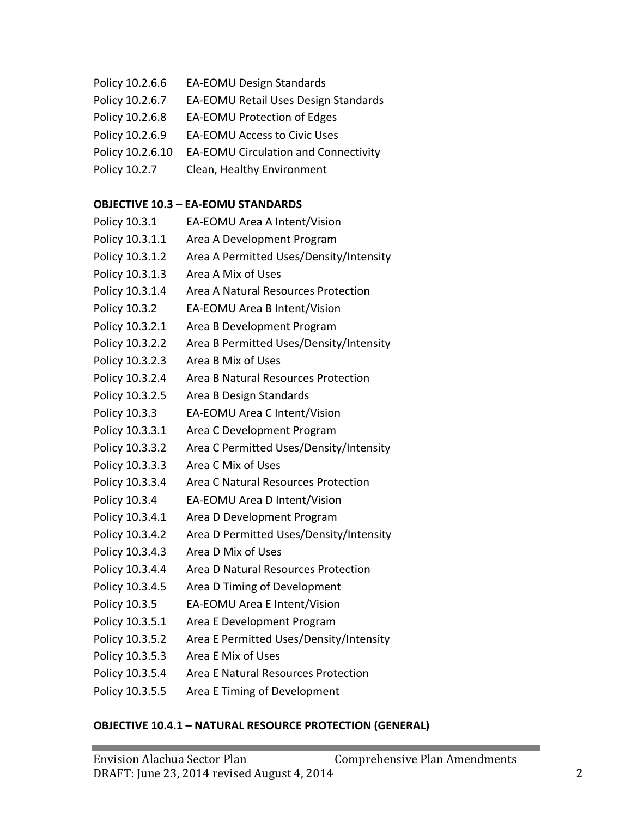- Policy 10.2.6.6 EA-EOMU Design Standards
- Policy 10.2.6.7 EA-EOMU Retail Uses Design Standards
- Policy 10.2.6.8 EA-EOMU Protection of Edges
- Policy 10.2.6.9 EA-EOMU Access to Civic Uses
- Policy 10.2.6.10 EA-EOMU Circulation and Connectivity
- Policy 10.2.7 Clean, Healthy Environment

#### **OBJECTIVE 10.3 - EA-EOMU STANDARDS**

| Policy 10.3.1   | EA-EOMU Area A Intent/Vision            |
|-----------------|-----------------------------------------|
| Policy 10.3.1.1 | Area A Development Program              |
| Policy 10.3.1.2 | Area A Permitted Uses/Density/Intensity |
| Policy 10.3.1.3 | Area A Mix of Uses                      |
| Policy 10.3.1.4 | Area A Natural Resources Protection     |
| Policy 10.3.2   | EA-EOMU Area B Intent/Vision            |
| Policy 10.3.2.1 | Area B Development Program              |
| Policy 10.3.2.2 | Area B Permitted Uses/Density/Intensity |
| Policy 10.3.2.3 | Area B Mix of Uses                      |
| Policy 10.3.2.4 | Area B Natural Resources Protection     |
| Policy 10.3.2.5 | Area B Design Standards                 |
| Policy 10.3.3   | EA-EOMU Area C Intent/Vision            |
| Policy 10.3.3.1 | Area C Development Program              |
| Policy 10.3.3.2 | Area C Permitted Uses/Density/Intensity |
| Policy 10.3.3.3 | Area C Mix of Uses                      |
| Policy 10.3.3.4 | Area C Natural Resources Protection     |
| Policy 10.3.4   | EA-EOMU Area D Intent/Vision            |
| Policy 10.3.4.1 | Area D Development Program              |
| Policy 10.3.4.2 | Area D Permitted Uses/Density/Intensity |
| Policy 10.3.4.3 | Area D Mix of Uses                      |
| Policy 10.3.4.4 | Area D Natural Resources Protection     |
| Policy 10.3.4.5 | Area D Timing of Development            |
| Policy 10.3.5   | EA-EOMU Area E Intent/Vision            |
| Policy 10.3.5.1 | Area E Development Program              |
| Policy 10.3.5.2 | Area E Permitted Uses/Density/Intensity |
| Policy 10.3.5.3 | Area E Mix of Uses                      |
| Policy 10.3.5.4 | Area E Natural Resources Protection     |
| Policy 10.3.5.5 | Area E Timing of Development            |

#### **OBJECTIVE 10.4.1 - NATURAL RESOURCE PROTECTION (GENERAL)**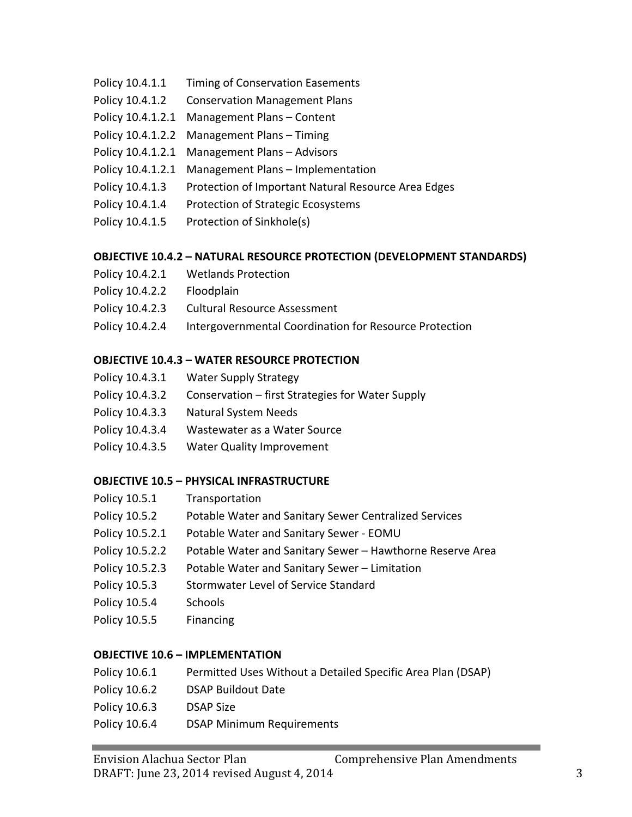- Policy 10.4.1.1 Timing of Conservation Easements
- Policy 10.4.1.2 Conservation Management Plans
- Policy 10.4.1.2.1 Management Plans Content
- Policy 10.4.1.2.2 Management Plans Timing
- Policy 10.4.1.2.1 Management Plans Advisors
- Policy 10.4.1.2.1 Management Plans Implementation
- Policy 10.4.1.3 Protection of Important Natural Resource Area Edges
- Policy 10.4.1.4 Protection of Strategic Ecosystems
- Policy 10.4.1.5 Protection of Sinkhole(s)

#### **OBJECTIVE 10.4.2 - NATURAL RESOURCE PROTECTION (DEVELOPMENT STANDARDS)**

- Policy 10.4.2.1 Wetlands Protection
- Policy 10.4.2.2 Floodplain
- Policy 10.4.2.3 Cultural Resource Assessment
- Policy 10.4.2.4 Intergovernmental Coordination for Resource Protection

#### **OBJECTIVE 10.4.3 - WATER RESOURCE PROTECTION**

- Policy 10.4.3.1 Water Supply Strategy
- Policy  $10.4.3.2$  Conservation first Strategies for Water Supply
- Policy 10.4.3.3 Natural System Needs
- Policy 10.4.3.4 Wastewater as a Water Source
- Policy 10.4.3.5 Water Quality Improvement

#### **OBJECTIVE 10.5 - PHYSICAL INFRASTRUCTURE**

- Policy 10.5.1 Transportation
- Policy 10.5.2 Potable Water and Sanitary Sewer Centralized Services
- Policy 10.5.2.1 Potable Water and Sanitary Sewer EOMU
- Policy 10.5.2.2 Potable Water and Sanitary Sewer Hawthorne Reserve Area
- Policy 10.5.2.3 Potable Water and Sanitary Sewer Limitation
- Policy 10.5.3 Stormwater Level of Service Standard
- Policy 10.5.4 Schools
- Policy 10.5.5 Financing

#### **OBJECTIVE 10.6 – IMPLEMENTATION**

- Policy 10.6.1 Permitted Uses Without a Detailed Specific Area Plan (DSAP)
- Policy 10.6.2 DSAP Buildout Date
- Policy 10.6.3 DSAP Size
- Policy 10.6.4 DSAP Minimum Requirements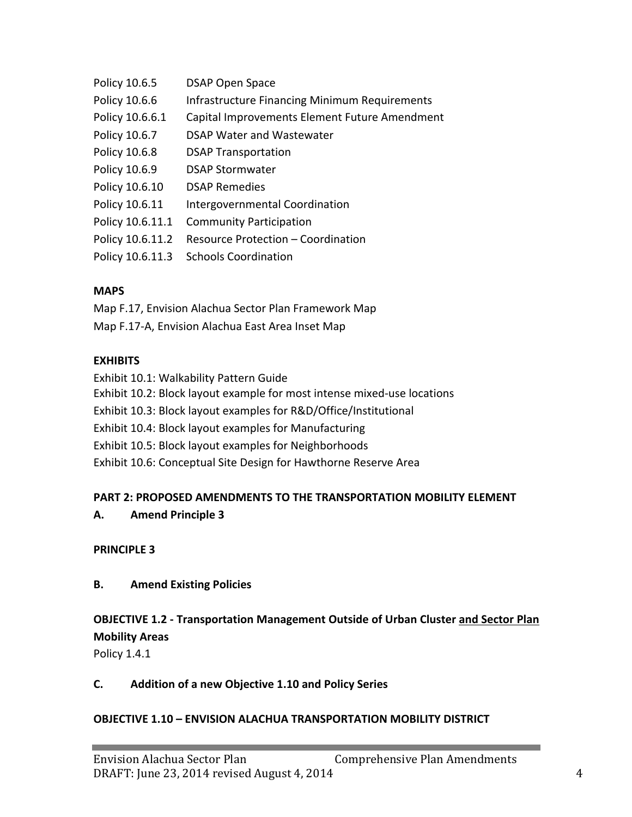| Policy 10.6.5    | <b>DSAP Open Space</b>                               |
|------------------|------------------------------------------------------|
| Policy 10.6.6    | <b>Infrastructure Financing Minimum Requirements</b> |
| Policy 10.6.6.1  | Capital Improvements Element Future Amendment        |
| Policy 10.6.7    | <b>DSAP Water and Wastewater</b>                     |
| Policy 10.6.8    | <b>DSAP Transportation</b>                           |
| Policy 10.6.9    | <b>DSAP Stormwater</b>                               |
| Policy 10.6.10   | <b>DSAP Remedies</b>                                 |
| Policy 10.6.11   | Intergovernmental Coordination                       |
| Policy 10.6.11.1 | <b>Community Participation</b>                       |
| Policy 10.6.11.2 | Resource Protection - Coordination                   |
| Policy 10.6.11.3 | <b>Schools Coordination</b>                          |
|                  |                                                      |

#### **MAPS**

Map F.17, Envision Alachua Sector Plan Framework Map Map F.17-A, Envision Alachua East Area Inset Map

#### **EXHIBITS**

Exhibit 10.1: Walkability Pattern Guide Exhibit 10.2: Block layout example for most intense mixed-use locations Exhibit 10.3: Block layout examples for R&D/Office/Institutional Exhibit 10.4: Block layout examples for Manufacturing Exhibit 10.5: Block layout examples for Neighborhoods Exhibit 10.6: Conceptual Site Design for Hawthorne Reserve Area

#### **PART 2: PROPOSED AMENDMENTS TO THE TRANSPORTATION MOBILITY ELEMENT**

#### **A. Amend Principle 3**

#### **PRINCIPLE 3**

#### **B. Amend Existing Policies**

## **OBJECTIVE 1.2 - Transportation Management Outside of Urban Cluster and Sector Plan Mobility Areas**

Policy 1.4.1

#### **C. Addition of a new Objective 1.10 and Policy Series**

#### **OBJECTIVE 1.10 - ENVISION ALACHUA TRANSPORTATION MOBILITY DISTRICT**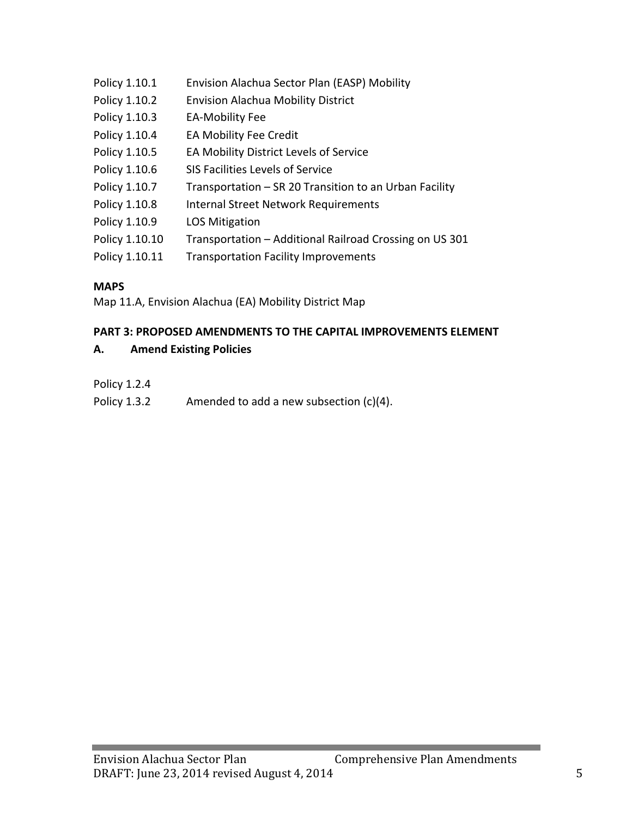| Policy 1.10.1  | Envision Alachua Sector Plan (EASP) Mobility            |
|----------------|---------------------------------------------------------|
| Policy 1.10.2  | <b>Envision Alachua Mobility District</b>               |
| Policy 1.10.3  | <b>EA-Mobility Fee</b>                                  |
| Policy 1.10.4  | EA Mobility Fee Credit                                  |
| Policy 1.10.5  | EA Mobility District Levels of Service                  |
| Policy 1.10.6  | SIS Facilities Levels of Service                        |
| Policy 1.10.7  | Transportation – SR 20 Transition to an Urban Facility  |
| Policy 1.10.8  | <b>Internal Street Network Requirements</b>             |
| Policy 1.10.9  | <b>LOS Mitigation</b>                                   |
| Policy 1.10.10 | Transportation - Additional Railroad Crossing on US 301 |
| Policy 1.10.11 | <b>Transportation Facility Improvements</b>             |

## **MAPS**

Map 11.A, Envision Alachua (EA) Mobility District Map

#### **PART 3: PROPOSED AMENDMENTS TO THE CAPITAL IMPROVEMENTS ELEMENT**

#### **A. Amend Existing Policies**

Policy 1.2.4

Policy 1.3.2 Amended to add a new subsection  $(c)(4)$ .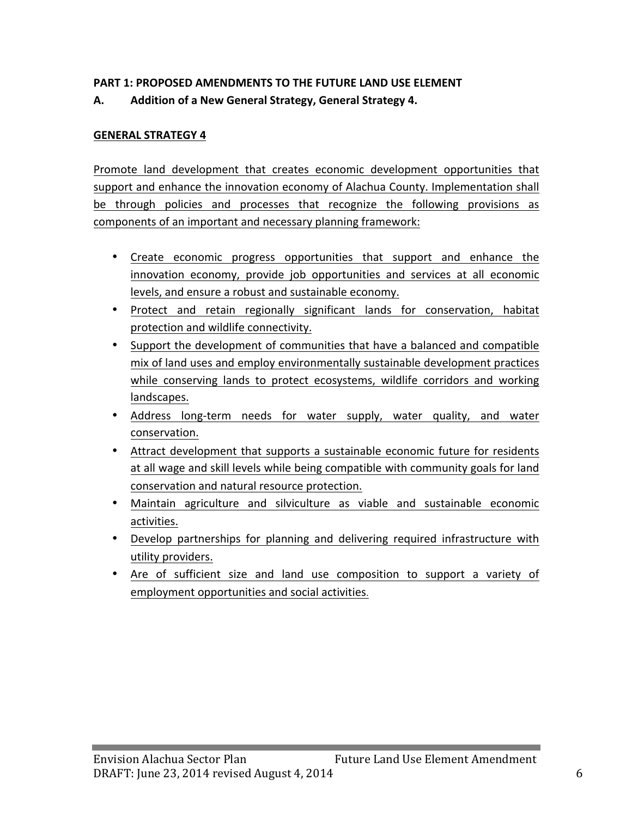#### **PART 1: PROPOSED AMENDMENTS TO THE FUTURE LAND USE ELEMENT**

## A. Addition of a New General Strategy, General Strategy 4.

#### **GENERAL STRATEGY 4**

Promote land development that creates economic development opportunities that support and enhance the innovation economy of Alachua County. Implementation shall be through policies and processes that recognize the following provisions as components of an important and necessary planning framework:

- Create economic progress opportunities that support and enhance the innovation economy, provide job opportunities and services at all economic levels, and ensure a robust and sustainable economy.
- Protect and retain regionally significant lands for conservation, habitat protection and wildlife connectivity.
- Support the development of communities that have a balanced and compatible mix of land uses and employ environmentally sustainable development practices while conserving lands to protect ecosystems, wildlife corridors and working landscapes.
- Address long-term needs for water supply, water quality, and water conservation.
- Attract development that supports a sustainable economic future for residents at all wage and skill levels while being compatible with community goals for land conservation and natural resource protection.
- Maintain agriculture and silviculture as viable and sustainable economic activities.
- Develop partnerships for planning and delivering required infrastructure with utility providers.
- Are of sufficient size and land use composition to support a variety of employment opportunities and social activities.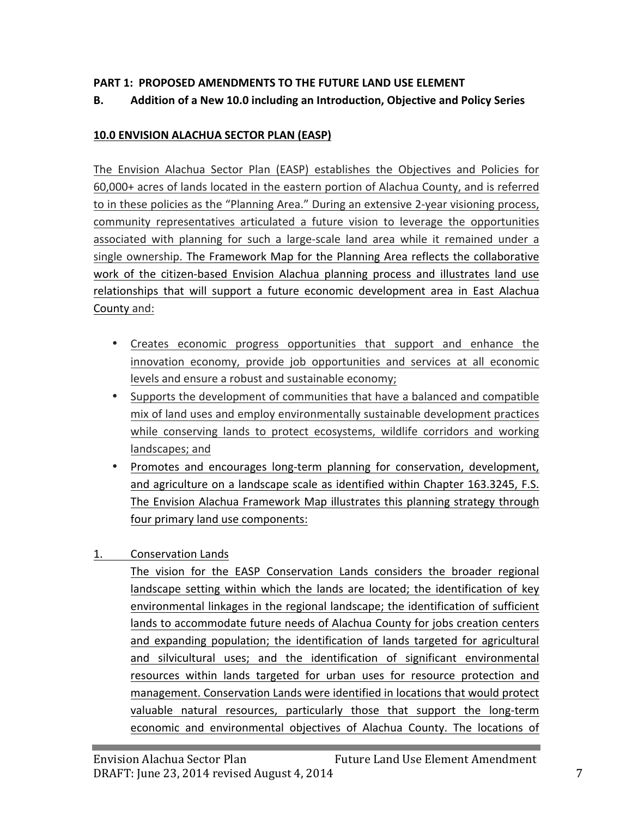## **PART 1: PROPOSED AMENDMENTS TO THE FUTURE LAND USE ELEMENT**

## **B.** Addition of a New 10.0 including an Introduction, Objective and Policy Series

#### **10.0 ENVISION ALACHUA SECTOR PLAN (EASP)**

The Envision Alachua Sector Plan (EASP) establishes the Objectives and Policies for 60,000+ acres of lands located in the eastern portion of Alachua County, and is referred to in these policies as the "Planning Area." During an extensive 2-year visioning process, community representatives articulated a future vision to leverage the opportunities associated with planning for such a large-scale land area while it remained under a single ownership. The Framework Map for the Planning Area reflects the collaborative work of the citizen-based Envision Alachua planning process and illustrates land use relationships that will support a future economic development area in East Alachua County and:

- Creates economic progress opportunities that support and enhance the innovation economy, provide job opportunities and services at all economic levels and ensure a robust and sustainable economy;
- Supports the development of communities that have a balanced and compatible mix of land uses and employ environmentally sustainable development practices while conserving lands to protect ecosystems, wildlife corridors and working landscapes; and
- Promotes and encourages long-term planning for conservation, development, and agriculture on a landscape scale as identified within Chapter 163.3245, F.S. The Envision Alachua Framework Map illustrates this planning strategy through four primary land use components:
- 1. Conservation Lands

The vision for the EASP Conservation Lands considers the broader regional landscape setting within which the lands are located; the identification of key environmental linkages in the regional landscape; the identification of sufficient lands to accommodate future needs of Alachua County for jobs creation centers and expanding population; the identification of lands targeted for agricultural and silvicultural uses; and the identification of significant environmental resources within lands targeted for urban uses for resource protection and management. Conservation Lands were identified in locations that would protect valuable natural resources, particularly those that support the long-term economic and environmental objectives of Alachua County. The locations of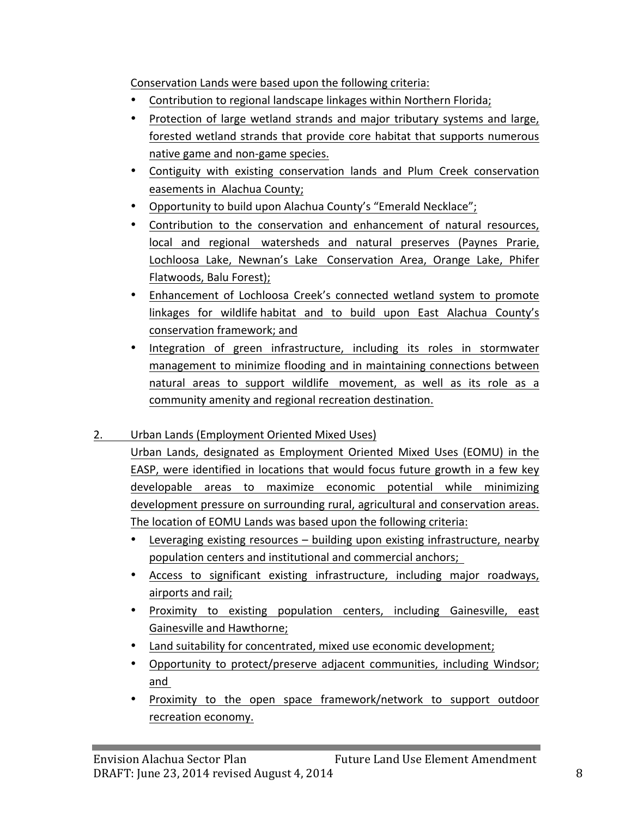Conservation Lands were based upon the following criteria:

- Contribution to regional landscape linkages within Northern Florida;
- Protection of large wetland strands and major tributary systems and large, forested wetland strands that provide core habitat that supports numerous native game and non-game species.
- Contiguity with existing conservation lands and Plum Creek conservation easements in Alachua County;
- Opportunity to build upon Alachua County's "Emerald Necklace";
- Contribution to the conservation and enhancement of natural resources, local and regional watersheds and natural preserves (Paynes Prarie, Lochloosa Lake, Newnan's Lake Conservation Area, Orange Lake, Phifer Flatwoods, Balu Forest);
- Enhancement of Lochloosa Creek's connected wetland system to promote linkages for wildlife habitat and to build upon East Alachua County's conservation framework; and
- Integration of green infrastructure, including its roles in stormwater management to minimize flooding and in maintaining connections between natural areas to support wildlife movement, as well as its role as a community amenity and regional recreation destination.

## 2. Urban Lands (Employment Oriented Mixed Uses)

Urban Lands, designated as Employment Oriented Mixed Uses (EOMU) in the EASP, were identified in locations that would focus future growth in a few key developable areas to maximize economic potential while minimizing development pressure on surrounding rural, agricultural and conservation areas. The location of EOMU Lands was based upon the following criteria:

- Leveraging existing resources  $-$  building upon existing infrastructure, nearby population centers and institutional and commercial anchors;
- Access to significant existing infrastructure, including major roadways, airports and rail;
- Proximity to existing population centers, including Gainesville, east Gainesville and Hawthorne;
- Land suitability for concentrated, mixed use economic development;
- Opportunity to protect/preserve adjacent communities, including Windsor; and
- Proximity to the open space framework/network to support outdoor recreation economy.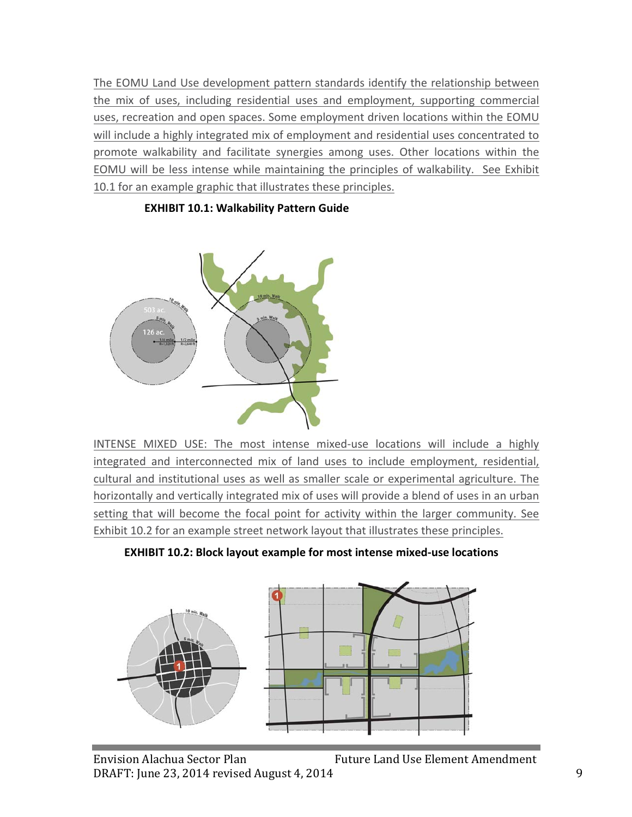The EOMU Land Use development pattern standards identify the relationship between the mix of uses, including residential uses and employment, supporting commercial uses, recreation and open spaces. Some employment driven locations within the EOMU will include a highly integrated mix of employment and residential uses concentrated to promote walkability and facilitate synergies among uses. Other locations within the EOMU will be less intense while maintaining the principles of walkability. See Exhibit 10.1 for an example graphic that illustrates these principles.



#### **EXHIBIT 10.1: Walkability Pattern Guide**

INTENSE MIXED USE: The most intense mixed-use locations will include a highly integrated and interconnected mix of land uses to include employment, residential, cultural and institutional uses as well as smaller scale or experimental agriculture. The horizontally and vertically integrated mix of uses will provide a blend of uses in an urban setting that will become the focal point for activity within the larger community. See Exhibit 10.2 for an example street network layout that illustrates these principles.

**EXHIBIT 10.2: Block layout example for most intense mixed-use locations** 

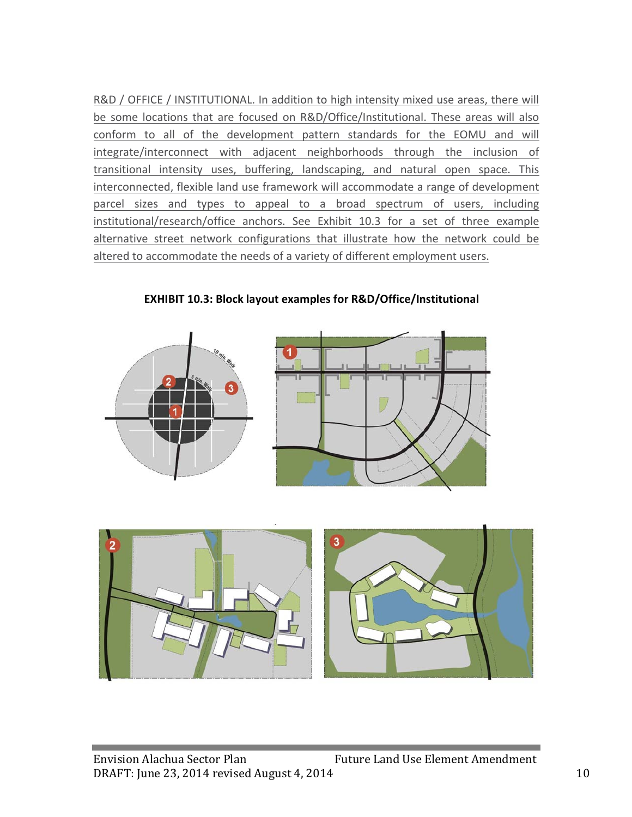R&D / OFFICE / INSTITUTIONAL. In addition to high intensity mixed use areas, there will be some locations that are focused on R&D/Office/Institutional. These areas will also conform to all of the development pattern standards for the EOMU and will integrate/interconnect with adjacent neighborhoods through the inclusion of transitional intensity uses, buffering, landscaping, and natural open space. This interconnected, flexible land use framework will accommodate a range of development parcel sizes and types to appeal to a broad spectrum of users, including institutional/research/office anchors. See Exhibit 10.3 for a set of three example alternative street network configurations that illustrate how the network could be altered to accommodate the needs of a variety of different employment users.



**EXHIBIT 10.3: Block layout examples for R&D/Office/Institutional** 

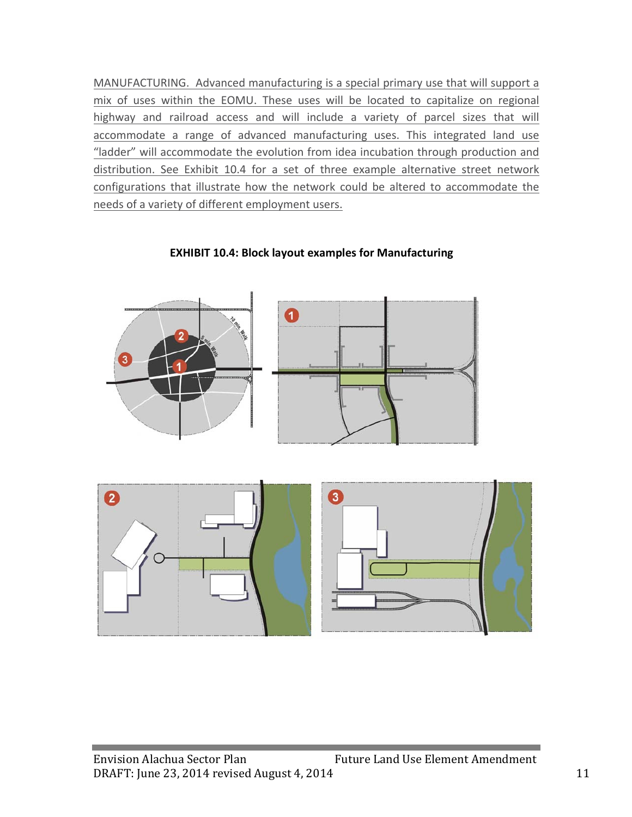MANUFACTURING. Advanced manufacturing is a special primary use that will support a mix of uses within the EOMU. These uses will be located to capitalize on regional highway and railroad access and will include a variety of parcel sizes that will accommodate a range of advanced manufacturing uses. This integrated land use "ladder" will accommodate the evolution from idea incubation through production and distribution. See Exhibit 10.4 for a set of three example alternative street network configurations that illustrate how the network could be altered to accommodate the needs of a variety of different employment users.



**EXHIBIT 10.4: Block layout examples for Manufacturing** 

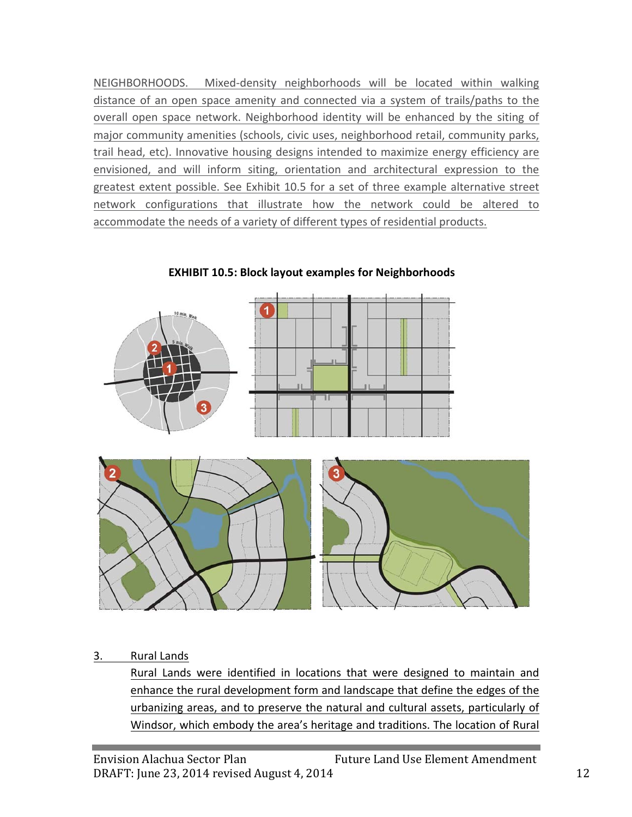NEIGHBORHOODS. Mixed-density neighborhoods will be located within walking distance of an open space amenity and connected via a system of trails/paths to the overall open space network. Neighborhood identity will be enhanced by the siting of major community amenities (schools, civic uses, neighborhood retail, community parks, trail head, etc). Innovative housing designs intended to maximize energy efficiency are envisioned, and will inform siting, orientation and architectural expression to the greatest extent possible. See Exhibit 10.5 for a set of three example alternative street network configurations that illustrate how the network could be altered to accommodate the needs of a variety of different types of residential products.



**EXHIBIT 10.5: Block layout examples for Neighborhoods** 

3. Rural Lands

Rural Lands were identified in locations that were designed to maintain and enhance the rural development form and landscape that define the edges of the urbanizing areas, and to preserve the natural and cultural assets, particularly of Windsor, which embody the area's heritage and traditions. The location of Rural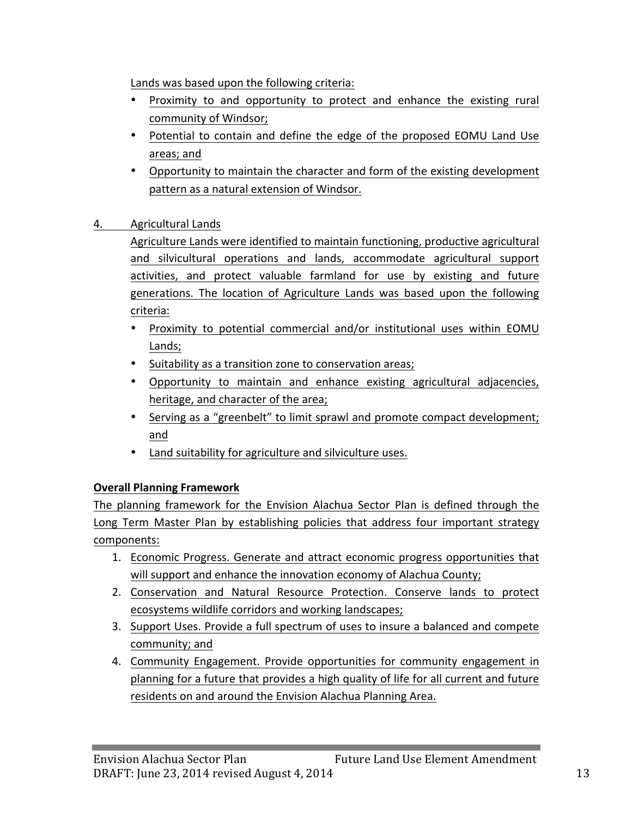Lands was based upon the following criteria:

- Proximity to and opportunity to protect and enhance the existing rural community of Windsor;
- Potential to contain and define the edge of the proposed EOMU Land Use areas; and
- Opportunity to maintain the character and form of the existing development pattern as a natural extension of Windsor.
- 4. Agricultural Lands

Agriculture Lands were identified to maintain functioning, productive agricultural and silvicultural operations and lands, accommodate agricultural support activities, and protect valuable farmland for use by existing and future generations. The location of Agriculture Lands was based upon the following criteria:

- Proximity to potential commercial and/or institutional uses within EOMU Lands;
- Suitability as a transition zone to conservation areas;
- Opportunity to maintain and enhance existing agricultural adjacencies, heritage, and character of the area;
- Serving as a "greenbelt" to limit sprawl and promote compact development; and
- Land suitability for agriculture and silviculture uses.

## **Overall Planning Framework**

The planning framework for the Envision Alachua Sector Plan is defined through the Long Term Master Plan by establishing policies that address four important strategy components:

- 1. Economic Progress. Generate and attract economic progress opportunities that will support and enhance the innovation economy of Alachua County;
- 2. Conservation and Natural Resource Protection. Conserve lands to protect ecosystems wildlife corridors and working landscapes;
- 3. Support Uses. Provide a full spectrum of uses to insure a balanced and compete community; and
- 4. Community Engagement. Provide opportunities for community engagement in planning for a future that provides a high quality of life for all current and future residents on and around the Envision Alachua Planning Area.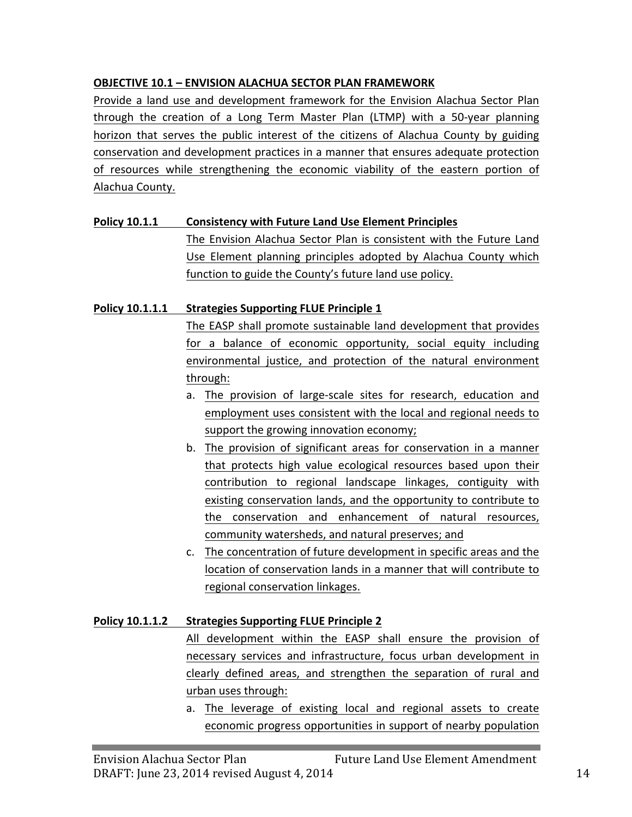## **OBJECTIVE 10.1 - ENVISION ALACHUA SECTOR PLAN FRAMEWORK**

Provide a land use and development framework for the Envision Alachua Sector Plan through the creation of a Long Term Master Plan (LTMP) with a 50-year planning horizon that serves the public interest of the citizens of Alachua County by guiding conservation and development practices in a manner that ensures adequate protection of resources while strengthening the economic viability of the eastern portion of Alachua County.

## **Policy 10.1.1 Consistency with Future Land Use Element Principles**

The Envision Alachua Sector Plan is consistent with the Future Land Use Element planning principles adopted by Alachua County which function to guide the County's future land use policy.

## **Policy 10.1.1.1 Strategies Supporting FLUE Principle 1**

The EASP shall promote sustainable land development that provides for a balance of economic opportunity, social equity including environmental justice, and protection of the natural environment through:

- a. The provision of large-scale sites for research, education and employment uses consistent with the local and regional needs to support the growing innovation economy;
- b. The provision of significant areas for conservation in a manner that protects high value ecological resources based upon their contribution to regional landscape linkages, contiguity with existing conservation lands, and the opportunity to contribute to the conservation and enhancement of natural resources, community watersheds, and natural preserves; and
- c. The concentration of future development in specific areas and the location of conservation lands in a manner that will contribute to regional conservation linkages.

## **Policy 10.1.1.2** Strategies Supporting FLUE Principle 2

All development within the EASP shall ensure the provision of necessary services and infrastructure, focus urban development in clearly defined areas, and strengthen the separation of rural and urban uses through:

a. The leverage of existing local and regional assets to create economic progress opportunities in support of nearby population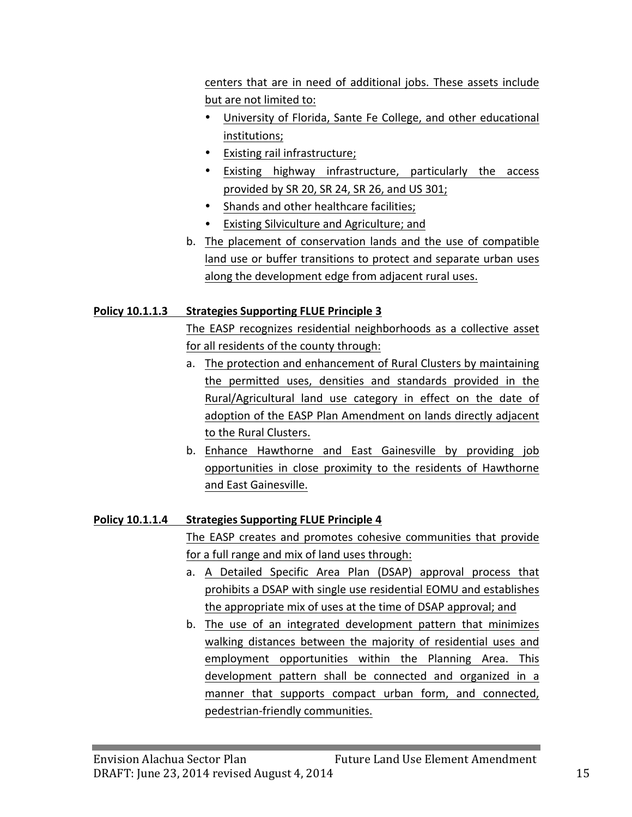centers that are in need of additional jobs. These assets include but are not limited to:

- University of Florida, Sante Fe College, and other educational institutions;
- Existing rail infrastructure;
- Existing highway infrastructure, particularly the access provided by SR 20, SR 24, SR 26, and US 301;
- Shands and other healthcare facilities;
- Existing Silviculture and Agriculture; and
- b. The placement of conservation lands and the use of compatible land use or buffer transitions to protect and separate urban uses along the development edge from adjacent rural uses.

## **Policy 10.1.1.3** Strategies Supporting FLUE Principle 3

The EASP recognizes residential neighborhoods as a collective asset for all residents of the county through:

- a. The protection and enhancement of Rural Clusters by maintaining the permitted uses, densities and standards provided in the Rural/Agricultural land use category in effect on the date of adoption of the EASP Plan Amendment on lands directly adjacent to the Rural Clusters.
- b. Enhance Hawthorne and East Gainesville by providing job opportunities in close proximity to the residents of Hawthorne and East Gainesville.

## **Policy 10.1.1.4 Strategies Supporting FLUE Principle 4**

The EASP creates and promotes cohesive communities that provide for a full range and mix of land uses through:

- a. A Detailed Specific Area Plan (DSAP) approval process that prohibits a DSAP with single use residential EOMU and establishes the appropriate mix of uses at the time of DSAP approval; and
- b. The use of an integrated development pattern that minimizes walking distances between the majority of residential uses and employment opportunities within the Planning Area. This development pattern shall be connected and organized in a manner that supports compact urban form, and connected, pedestrian-friendly communities.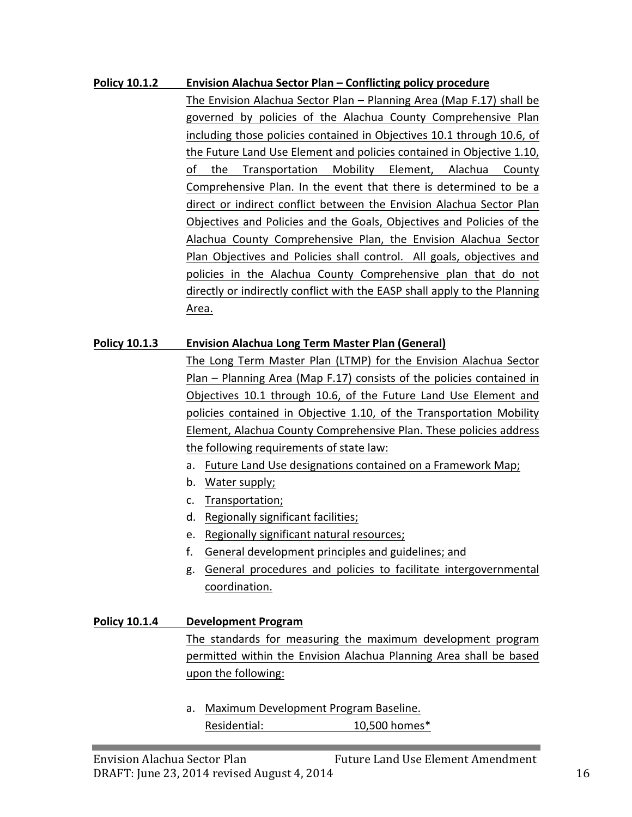#### **Policy 10.1.2 Envision Alachua Sector Plan – Conflicting policy procedure**

The Envision Alachua Sector Plan – Planning Area (Map F.17) shall be governed by policies of the Alachua County Comprehensive Plan including those policies contained in Objectives 10.1 through 10.6, of the Future Land Use Element and policies contained in Objective 1.10, of the Transportation Mobility Element, Alachua County Comprehensive Plan. In the event that there is determined to be a direct or indirect conflict between the Envision Alachua Sector Plan Objectives and Policies and the Goals, Objectives and Policies of the Alachua County Comprehensive Plan, the Envision Alachua Sector Plan Objectives and Policies shall control. All goals, objectives and policies in the Alachua County Comprehensive plan that do not directly or indirectly conflict with the EASP shall apply to the Planning Area.

#### **Policy 10.1.3 Envision Alachua Long Term Master Plan (General)**

The Long Term Master Plan (LTMP) for the Envision Alachua Sector Plan – Planning Area (Map F.17) consists of the policies contained in Objectives 10.1 through 10.6, of the Future Land Use Element and policies contained in Objective 1.10, of the Transportation Mobility Element, Alachua County Comprehensive Plan. These policies address the following requirements of state law:

- a. Future Land Use designations contained on a Framework Map;
- b. Water supply;
- c. Transportation;
- d. Regionally significant facilities;
- e. Regionally significant natural resources;
- f. General development principles and guidelines; and
- g. General procedures and policies to facilitate intergovernmental coordination.

**Policy 10.1.4 Development Program** The standards for measuring the maximum development program permitted within the Envision Alachua Planning Area shall be based upon the following:

> a. Maximum Development Program Baseline. Residential: 10,500 homes\*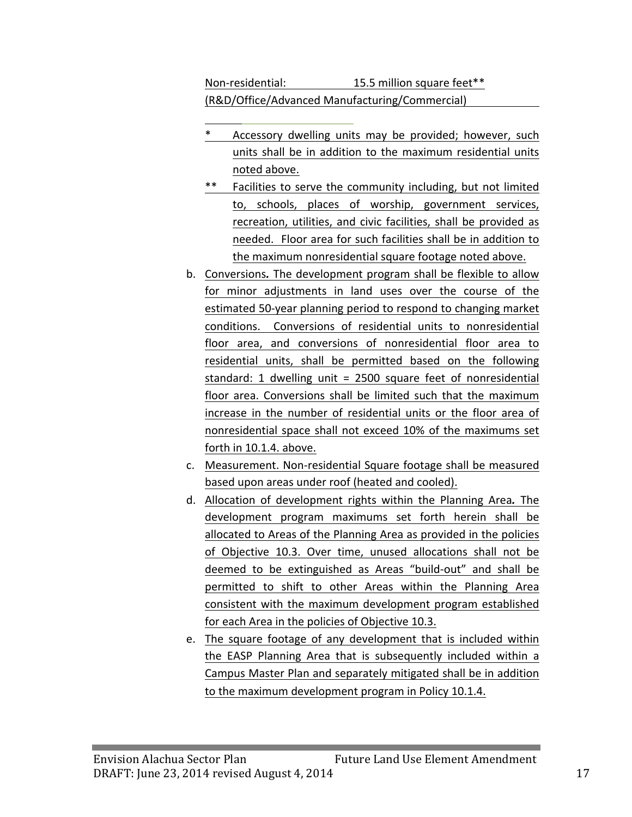Non-residential: 15.5 million square feet\*\* (R&D/Office/Advanced Manufacturing/Commercial)

- Accessory dwelling units may be provided; however, such units shall be in addition to the maximum residential units noted above.
- \*\* Facilities to serve the community including, but not limited to, schools, places of worship, government services, recreation, utilities, and civic facilities, shall be provided as needed. Floor area for such facilities shall be in addition to the maximum nonresidential square footage noted above.
- b. Conversions. The development program shall be flexible to allow for minor adjustments in land uses over the course of the estimated 50-year planning period to respond to changing market conditions. Conversions of residential units to nonresidential floor area, and conversions of nonresidential floor area to residential units, shall be permitted based on the following standard: 1 dwelling unit = 2500 square feet of nonresidential floor area. Conversions shall be limited such that the maximum increase in the number of residential units or the floor area of nonresidential space shall not exceed 10% of the maximums set forth in 10.1.4. above.
- c. Measurement. Non-residential Square footage shall be measured based upon areas under roof (heated and cooled).
- d. Allocation of development rights within the Planning Area. The development program maximums set forth herein shall be allocated to Areas of the Planning Area as provided in the policies of Objective 10.3. Over time, unused allocations shall not be deemed to be extinguished as Areas "build-out" and shall be permitted to shift to other Areas within the Planning Area consistent with the maximum development program established for each Area in the policies of Objective 10.3.
- e. The square footage of any development that is included within the EASP Planning Area that is subsequently included within a Campus Master Plan and separately mitigated shall be in addition to the maximum development program in Policy 10.1.4.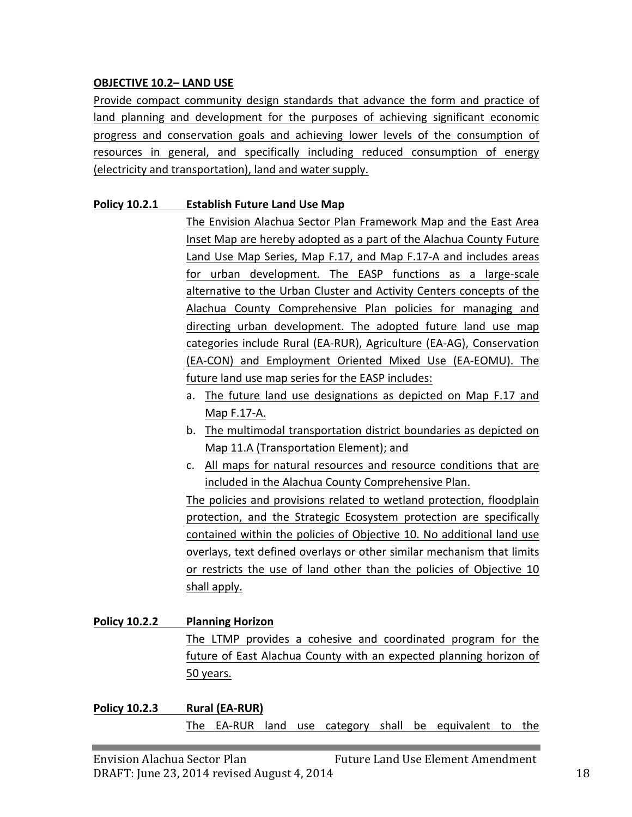#### **OBJECTIVE 10.2- LAND USE**

Provide compact community design standards that advance the form and practice of land planning and development for the purposes of achieving significant economic progress and conservation goals and achieving lower levels of the consumption of resources in general, and specifically including reduced consumption of energy (electricity and transportation), land and water supply.

#### **Policy 10.2.1 Establish Future Land Use Map**

The Envision Alachua Sector Plan Framework Map and the East Area Inset Map are hereby adopted as a part of the Alachua County Future Land Use Map Series, Map F.17, and Map F.17-A and includes areas for urban development. The EASP functions as a large-scale alternative to the Urban Cluster and Activity Centers concepts of the Alachua County Comprehensive Plan policies for managing and directing urban development. The adopted future land use map categories include Rural (EA-RUR), Agriculture (EA-AG), Conservation (EA-CON) and Employment Oriented Mixed Use (EA-EOMU). The future land use map series for the EASP includes:

- a. The future land use designations as depicted on Map F.17 and Map F.17-A.
- b. The multimodal transportation district boundaries as depicted on Map 11.A (Transportation Element); and
- c. All maps for natural resources and resource conditions that are included in the Alachua County Comprehensive Plan.

The policies and provisions related to wetland protection, floodplain protection, and the Strategic Ecosystem protection are specifically contained within the policies of Objective 10. No additional land use overlays, text defined overlays or other similar mechanism that limits or restricts the use of land other than the policies of Objective 10 shall apply.

## **Policy 10.2.2 Planning Horizon** The LTMP provides a cohesive and coordinated program for the future of East Alachua County with an expected planning horizon of 50 years.

**Policy 10.2.3 Rural (EA-RUR)** The EA-RUR land use category shall be equivalent to the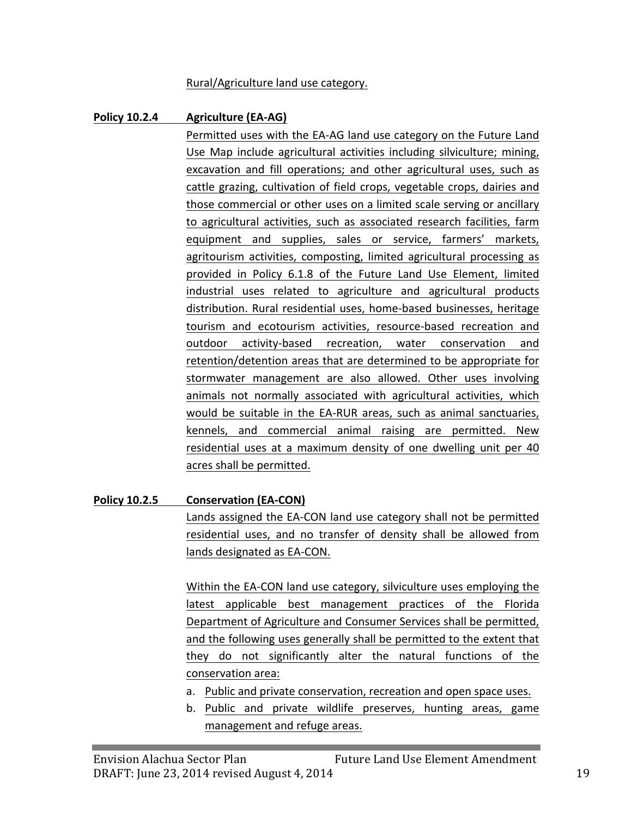#### Rural/Agriculture land use category.

#### **Policy 10.2.4 Agriculture (EA-AG)**

Permitted uses with the EA-AG land use category on the Future Land Use Map include agricultural activities including silviculture; mining, excavation and fill operations; and other agricultural uses, such as cattle grazing, cultivation of field crops, vegetable crops, dairies and those commercial or other uses on a limited scale serving or ancillary to agricultural activities, such as associated research facilities, farm equipment and supplies, sales or service, farmers' markets, agritourism activities, composting, limited agricultural processing as provided in Policy 6.1.8 of the Future Land Use Element, limited industrial uses related to agriculture and agricultural products distribution. Rural residential uses, home-based businesses, heritage tourism and ecotourism activities, resource-based recreation and outdoor activity-based recreation, water conservation and retention/detention areas that are determined to be appropriate for stormwater management are also allowed. Other uses involving animals not normally associated with agricultural activities, which would be suitable in the EA-RUR areas, such as animal sanctuaries, kennels, and commercial animal raising are permitted. New residential uses at a maximum density of one dwelling unit per 40 acres shall be permitted.

#### **Policy 10.2.5 Conservation (EA-CON)**

Lands assigned the EA-CON land use category shall not be permitted residential uses, and no transfer of density shall be allowed from lands designated as EA-CON.

Within the EA-CON land use category, silviculture uses employing the latest applicable best management practices of the Florida Department of Agriculture and Consumer Services shall be permitted, and the following uses generally shall be permitted to the extent that they do not significantly alter the natural functions of the conservation area:

- a. Public and private conservation, recreation and open space uses.
- b. Public and private wildlife preserves, hunting areas, game management and refuge areas.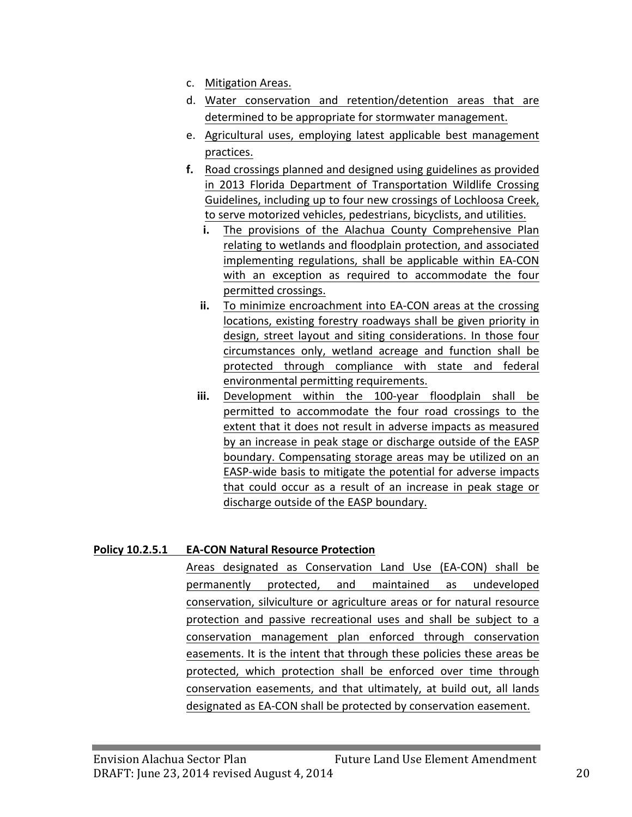- c. Mitigation Areas.
- d. Water conservation and retention/detention areas that are determined to be appropriate for stormwater management.
- e. Agricultural uses, employing latest applicable best management practices.
- **f.** Road crossings planned and designed using guidelines as provided in 2013 Florida Department of Transportation Wildlife Crossing Guidelines, including up to four new crossings of Lochloosa Creek, to serve motorized vehicles, pedestrians, bicyclists, and utilities.
	- **i.** The provisions of the Alachua County Comprehensive Plan relating to wetlands and floodplain protection, and associated implementing regulations, shall be applicable within EA-CON with an exception as required to accommodate the four permitted crossings.
	- **ii.** To minimize encroachment into EA-CON areas at the crossing locations, existing forestry roadways shall be given priority in design, street layout and siting considerations. In those four circumstances only, wetland acreage and function shall be protected through compliance with state and federal environmental permitting requirements.
	- **iii.** Development within the 100-year floodplain shall be permitted to accommodate the four road crossings to the extent that it does not result in adverse impacts as measured by an increase in peak stage or discharge outside of the EASP boundary. Compensating storage areas may be utilized on an EASP-wide basis to mitigate the potential for adverse impacts that could occur as a result of an increase in peak stage or discharge outside of the EASP boundary.

## **Policy 10.2.5.1 EA-CON Natural Resource Protection**

Areas designated as Conservation Land Use (EA-CON) shall be permanently protected, and maintained as undeveloped conservation, silviculture or agriculture areas or for natural resource protection and passive recreational uses and shall be subject to a conservation management plan enforced through conservation easements. It is the intent that through these policies these areas be protected, which protection shall be enforced over time through conservation easements, and that ultimately, at build out, all lands designated as EA-CON shall be protected by conservation easement.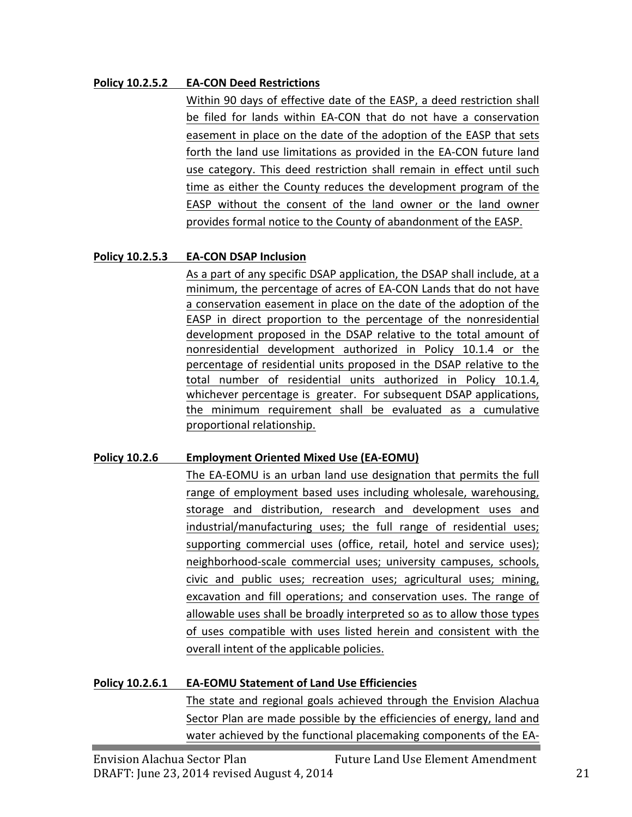#### **Policy 10.2.5.2 EA-CON Deed Restrictions**

Within 90 days of effective date of the EASP, a deed restriction shall be filed for lands within EA-CON that do not have a conservation easement in place on the date of the adoption of the EASP that sets forth the land use limitations as provided in the EA-CON future land use category. This deed restriction shall remain in effect until such time as either the County reduces the development program of the EASP without the consent of the land owner or the land owner provides formal notice to the County of abandonment of the EASP.

#### **Policy 10.2.5.3 EA-CON DSAP Inclusion**

As a part of any specific DSAP application, the DSAP shall include, at a minimum, the percentage of acres of EA-CON Lands that do not have a conservation easement in place on the date of the adoption of the EASP in direct proportion to the percentage of the nonresidential development proposed in the DSAP relative to the total amount of nonresidential development authorized in Policy 10.1.4 or the percentage of residential units proposed in the DSAP relative to the total number of residential units authorized in Policy 10.1.4, whichever percentage is greater. For subsequent DSAP applications, the minimum requirement shall be evaluated as a cumulative proportional relationship.

## **Policy 10.2.6 Employment Oriented Mixed Use (EA-EOMU)**

The EA-EOMU is an urban land use designation that permits the full range of employment based uses including wholesale, warehousing, storage and distribution, research and development uses and industrial/manufacturing uses; the full range of residential uses; supporting commercial uses (office, retail, hotel and service uses); neighborhood-scale commercial uses; university campuses, schools, civic and public uses; recreation uses; agricultural uses; mining, excavation and fill operations; and conservation uses. The range of allowable uses shall be broadly interpreted so as to allow those types of uses compatible with uses listed herein and consistent with the overall intent of the applicable policies.

## **Policy 10.2.6.1 EA-EOMU Statement of Land Use Efficiencies**

The state and regional goals achieved through the Envision Alachua Sector Plan are made possible by the efficiencies of energy, land and water achieved by the functional placemaking components of the EA-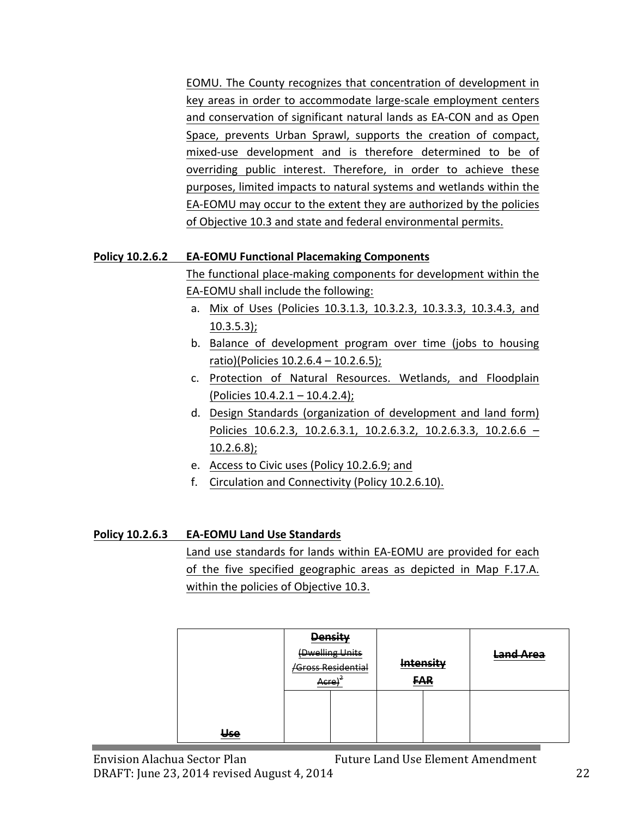EOMU. The County recognizes that concentration of development in key areas in order to accommodate large-scale employment centers and conservation of significant natural lands as EA-CON and as Open Space, prevents Urban Sprawl, supports the creation of compact, mixed-use development and is therefore determined to be of overriding public interest. Therefore, in order to achieve these purposes, limited impacts to natural systems and wetlands within the EA-EOMU may occur to the extent they are authorized by the policies of Objective 10.3 and state and federal environmental permits.

#### **Policy 10.2.6.2 •• EA-EOMU Functional Placemaking Components**

The functional place-making components for development within the EA-EOMU shall include the following:

- a. Mix of Uses (Policies 10.3.1.3, 10.3.2.3, 10.3.3.3, 10.3.4.3, and 10.3.5.3);
- b. Balance of development program over time (jobs to housing ratio)(Policies  $10.2.6.4 - 10.2.6.5$ );
- c. Protection of Natural Resources. Wetlands, and Floodplain (Policies  $10.4.2.1 - 10.4.2.4$ );
- d. Design Standards (organization of development and land form) Policies 10.6.2.3, 10.2.6.3.1, 10.2.6.3.2, 10.2.6.3.3, 10.2.6.6 -10.2.6.8);
- e. Access to Civic uses (Policy 10.2.6.9; and
- f. Circulation and Connectivity (Policy 10.2.6.10).

## **Policy 10.2.6.3 EA-EOMU Land Use Standards**

Land use standards for lands within EA-EOMU are provided for each of the five specified geographic areas as depicted in Map F.17.A. within the policies of Objective 10.3.

|                |             | <b>Density</b>    |                      |            |           |
|----------------|-------------|-------------------|----------------------|------------|-----------|
|                |             | (Dwelling Units   |                      | Intoncity  | Land Area |
|                |             | Gross Residential | m <del>tensity</del> |            |           |
|                | ∆rra<br>nue |                   |                      | <b>FAR</b> |           |
|                |             |                   |                      |            |           |
|                |             |                   |                      |            |           |
| <del>Use</del> |             |                   |                      |            |           |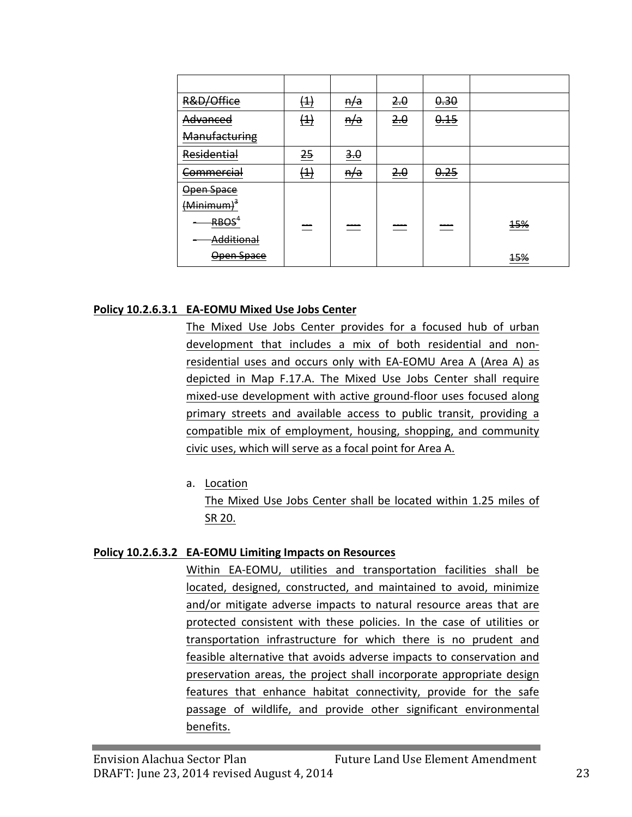| R&D/Office             | $\left( 4 \right)$ | <del>n/a</del> | 2.0  | 0.30 |            |
|------------------------|--------------------|----------------|------|------|------------|
| Advanced               | (1)                | n/a            | 2.0  | 0.15 |            |
| Manufacturing          |                    |                |      |      |            |
| Residential            | 25                 | 3.0            |      |      |            |
| <del>Commercial</del>  | $\left( 4\right)$  | <del>n/a</del> | 2.0  | 0.25 |            |
| Open Space             |                    |                |      |      |            |
| (Minimum) <sup>3</sup> |                    |                |      |      |            |
| RBOS <sup>'</sup>      | ---<br>$\sim$      | ---            | ---- | ---- | <b>15%</b> |
| Additional             |                    |                |      |      |            |
| Open Space             |                    |                |      |      | <b>15%</b> |

#### **Policy 10.2.6.3.1 EA-EOMU Mixed Use Jobs Center**

The Mixed Use Jobs Center provides for a focused hub of urban development that includes a mix of both residential and nonresidential uses and occurs only with EA-EOMU Area A (Area A) as depicted in Map F.17.A. The Mixed Use Jobs Center shall require mixed-use development with active ground-floor uses focused along primary streets and available access to public transit, providing a compatible mix of employment, housing, shopping, and community civic uses, which will serve as a focal point for Area A.

a. Location

The Mixed Use Jobs Center shall be located within 1.25 miles of SR 20.

#### **Policy 10.2.6.3.2 EA-EOMU Limiting Impacts on Resources**

Within EA-EOMU, utilities and transportation facilities shall be located, designed, constructed, and maintained to avoid, minimize and/or mitigate adverse impacts to natural resource areas that are protected consistent with these policies. In the case of utilities or transportation infrastructure for which there is no prudent and feasible alternative that avoids adverse impacts to conservation and preservation areas, the project shall incorporate appropriate design features that enhance habitat connectivity, provide for the safe passage of wildlife, and provide other significant environmental benefits.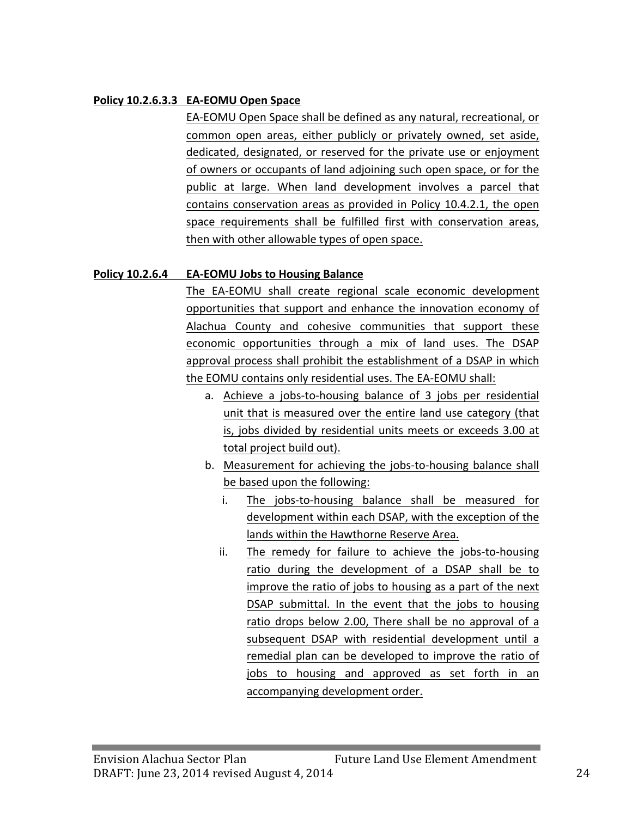#### **Policy 10.2.6.3.3 EA-EOMU Open Space**

EA-EOMU Open Space shall be defined as any natural, recreational, or common open areas, either publicly or privately owned, set aside, dedicated, designated, or reserved for the private use or enjoyment of owners or occupants of land adjoining such open space, or for the public at large. When land development involves a parcel that contains conservation areas as provided in Policy 10.4.2.1, the open space requirements shall be fulfilled first with conservation areas, then with other allowable types of open space.

#### **Policy 10.2.6.4 EA-EOMU Jobs to Housing Balance**

The EA-EOMU shall create regional scale economic development opportunities that support and enhance the innovation economy of Alachua County and cohesive communities that support these economic opportunities through a mix of land uses. The DSAP approval process shall prohibit the establishment of a DSAP in which the EOMU contains only residential uses. The EA-EOMU shall:

- a. Achieve a jobs-to-housing balance of 3 jobs per residential unit that is measured over the entire land use category (that is, jobs divided by residential units meets or exceeds 3.00 at total project build out).
- b. Measurement for achieving the jobs-to-housing balance shall be based upon the following:
	- i. The jobs-to-housing balance shall be measured for development within each DSAP, with the exception of the lands within the Hawthorne Reserve Area.
	- ii. The remedy for failure to achieve the jobs-to-housing ratio during the development of a DSAP shall be to improve the ratio of jobs to housing as a part of the next DSAP submittal. In the event that the jobs to housing ratio drops below 2.00, There shall be no approval of a subsequent DSAP with residential development until a remedial plan can be developed to improve the ratio of jobs to housing and approved as set forth in an accompanying development order.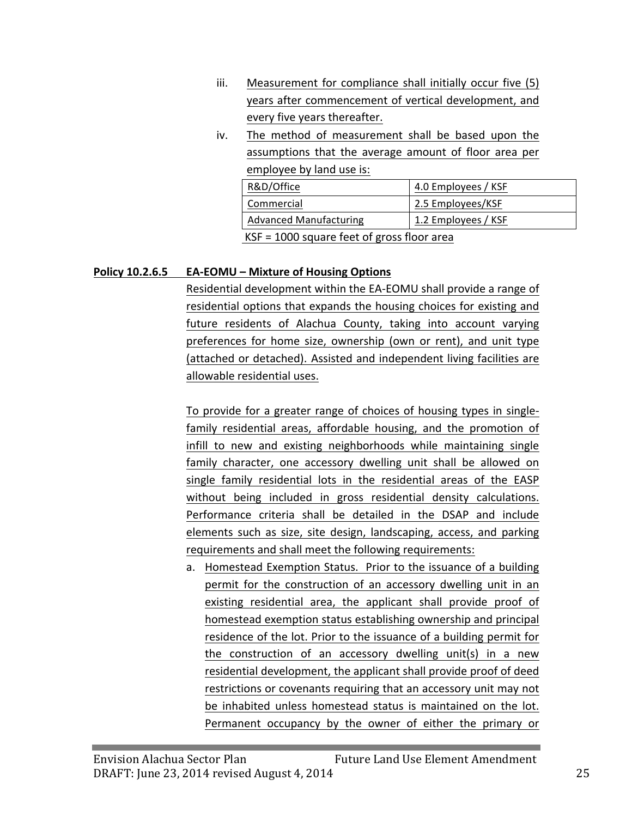- $iii.$  Measurement for compliance shall initially occur five  $(5)$ years after commencement of vertical development, and every five years thereafter.
- iv. The method of measurement shall be based upon the assumptions that the average amount of floor area per employee by land use is:

| R&D/Office                                   | 4.0 Employees / KSF |  |  |
|----------------------------------------------|---------------------|--|--|
| Commercial                                   | 2.5 Employees/KSF   |  |  |
| <b>Advanced Manufacturing</b>                | 1.2 Employees / KSF |  |  |
| $KSF = 1000$ square feet of gross floor area |                     |  |  |

#### **Policy 10.2.6.5 EA-EOMU – Mixture of Housing Options**

Residential development within the EA-EOMU shall provide a range of residential options that expands the housing choices for existing and future residents of Alachua County, taking into account varying preferences for home size, ownership (own or rent), and unit type (attached or detached). Assisted and independent living facilities are allowable residential uses.

To provide for a greater range of choices of housing types in singlefamily residential areas, affordable housing, and the promotion of infill to new and existing neighborhoods while maintaining single family character, one accessory dwelling unit shall be allowed on single family residential lots in the residential areas of the EASP without being included in gross residential density calculations. Performance criteria shall be detailed in the DSAP and include elements such as size, site design, landscaping, access, and parking requirements and shall meet the following requirements:

a. Homestead Exemption Status. Prior to the issuance of a building permit for the construction of an accessory dwelling unit in an existing residential area, the applicant shall provide proof of homestead exemption status establishing ownership and principal residence of the lot. Prior to the issuance of a building permit for the construction of an accessory dwelling unit(s) in a new residential development, the applicant shall provide proof of deed restrictions or covenants requiring that an accessory unit may not be inhabited unless homestead status is maintained on the lot. Permanent occupancy by the owner of either the primary or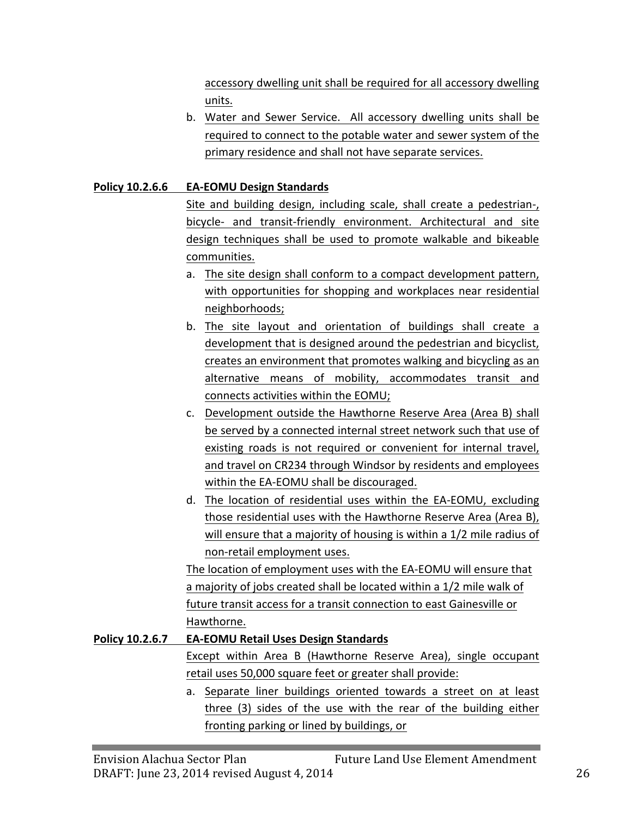accessory dwelling unit shall be required for all accessory dwelling units.

b. Water and Sewer Service. All accessory dwelling units shall be required to connect to the potable water and sewer system of the primary residence and shall not have separate services.

## **Policy 10.2.6.6 EA-EOMU Design Standards**

Site and building design, including scale, shall create a pedestrian-, bicycle- and transit-friendly environment. Architectural and site design techniques shall be used to promote walkable and bikeable communities.

- a. The site design shall conform to a compact development pattern, with opportunities for shopping and workplaces near residential neighborhoods;
- b. The site layout and orientation of buildings shall create a development that is designed around the pedestrian and bicyclist, creates an environment that promotes walking and bicycling as an alternative means of mobility, accommodates transit and connects activities within the EOMU;
- c. Development outside the Hawthorne Reserve Area (Area B) shall be served by a connected internal street network such that use of existing roads is not required or convenient for internal travel, and travel on CR234 through Windsor by residents and employees within the EA-EOMU shall be discouraged.
- d. The location of residential uses within the EA-EOMU, excluding those residential uses with the Hawthorne Reserve Area (Area B), will ensure that a majority of housing is within a 1/2 mile radius of non-retail employment uses.

The location of employment uses with the EA-EOMU will ensure that a majority of jobs created shall be located within a 1/2 mile walk of future transit access for a transit connection to east Gainesville or Hawthorne.

## **Policy 10.2.6.7 EA-EOMU** Retail Uses Design Standards Except within Area B (Hawthorne Reserve Area), single occupant retail uses 50,000 square feet or greater shall provide:

a. Separate liner buildings oriented towards a street on at least three (3) sides of the use with the rear of the building either fronting parking or lined by buildings, or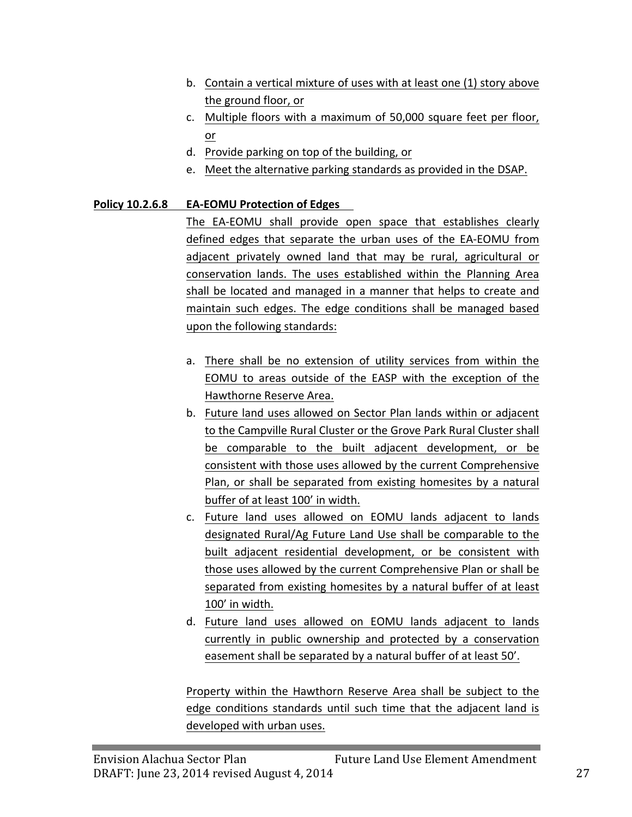- b. Contain a vertical mixture of uses with at least one (1) story above the ground floor, or
- c. Multiple floors with a maximum of 50,000 square feet per floor, or
- d. Provide parking on top of the building, or
- e. Meet the alternative parking standards as provided in the DSAP.

## **Policy 10.2.6.8 EA-EOMU Protection of Edges**

The EA-EOMU shall provide open space that establishes clearly defined edges that separate the urban uses of the EA-EOMU from adjacent privately owned land that may be rural, agricultural or conservation lands. The uses established within the Planning Area shall be located and managed in a manner that helps to create and maintain such edges. The edge conditions shall be managed based upon the following standards:

- a. There shall be no extension of utility services from within the EOMU to areas outside of the EASP with the exception of the Hawthorne Reserve Area.
- b. Future land uses allowed on Sector Plan lands within or adjacent to the Campville Rural Cluster or the Grove Park Rural Cluster shall be comparable to the built adjacent development, or be consistent with those uses allowed by the current Comprehensive Plan, or shall be separated from existing homesites by a natural buffer of at least 100' in width.
- c. Future land uses allowed on EOMU lands adjacent to lands designated Rural/Ag Future Land Use shall be comparable to the built adjacent residential development, or be consistent with those uses allowed by the current Comprehensive Plan or shall be separated from existing homesites by a natural buffer of at least 100' in width.
- d. Future land uses allowed on EOMU lands adjacent to lands currently in public ownership and protected by a conservation easement shall be separated by a natural buffer of at least 50'.

Property within the Hawthorn Reserve Area shall be subject to the edge conditions standards until such time that the adjacent land is developed with urban uses.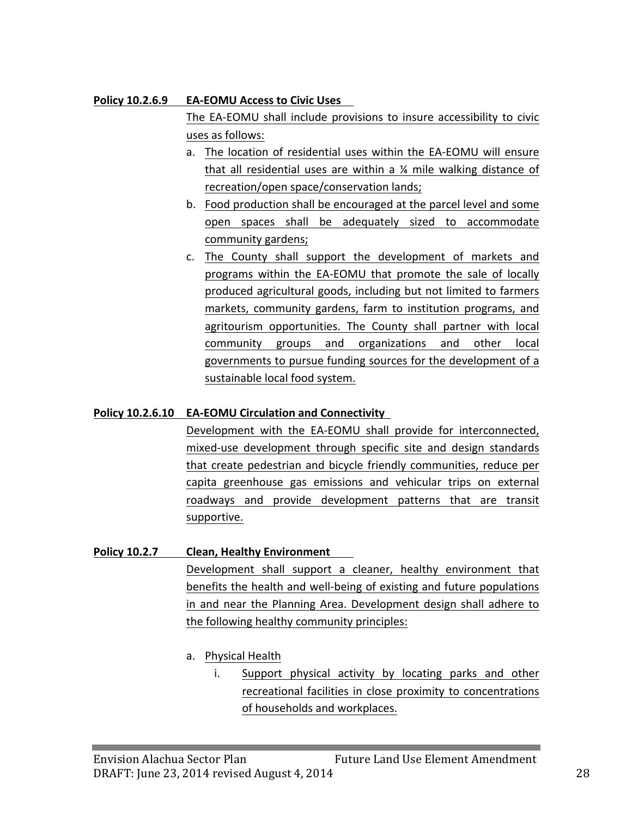#### **Policy 10.2.6.9 •• EA-EOMU Access to Civic Uses**

The EA-EOMU shall include provisions to insure accessibility to civic uses as follows:

- a. The location of residential uses within the EA-EOMU will ensure that all residential uses are within a  $\frac{1}{4}$  mile walking distance of recreation/open space/conservation lands;
- b. Food production shall be encouraged at the parcel level and some open spaces shall be adequately sized to accommodate community gardens;
- c. The County shall support the development of markets and programs within the EA-EOMU that promote the sale of locally produced agricultural goods, including but not limited to farmers markets, community gardens, farm to institution programs, and agritourism opportunities. The County shall partner with local community groups and organizations and other local governments to pursue funding sources for the development of a sustainable local food system.

## **Policy 10.2.6.10 EA-EOMU Circulation and Connectivity**

Development with the EA-EOMU shall provide for interconnected, mixed-use development through specific site and design standards that create pedestrian and bicycle friendly communities, reduce per capita greenhouse gas emissions and vehicular trips on external roadways and provide development patterns that are transit supportive. 

## **Policy 10.2.7 Clean, Healthy Environment**

Development shall support a cleaner, healthy environment that benefits the health and well-being of existing and future populations in and near the Planning Area. Development design shall adhere to the following healthy community principles:

- a. Physical Health
	- i. Support physical activity by locating parks and other recreational facilities in close proximity to concentrations of households and workplaces.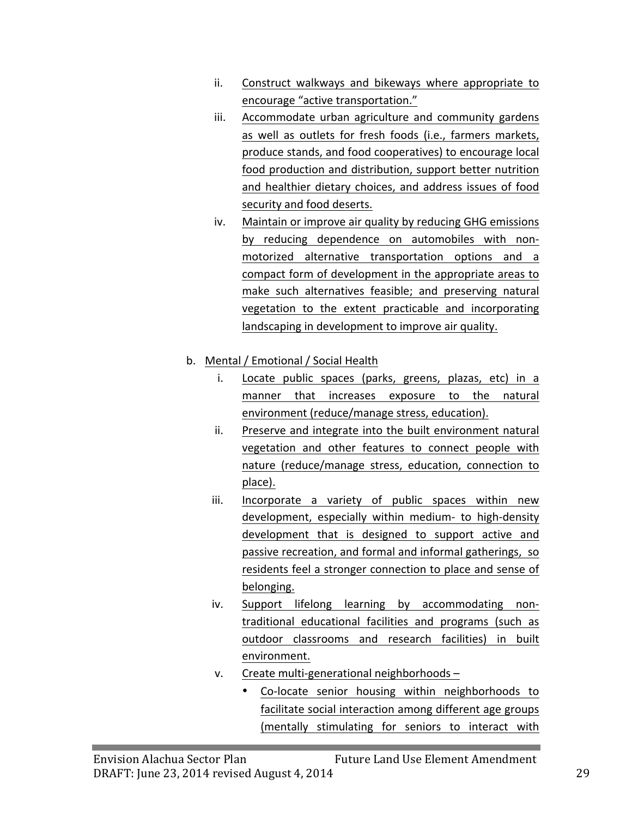- ii. Construct walkways and bikeways where appropriate to encourage "active transportation."
- iii. Accommodate urban agriculture and community gardens as well as outlets for fresh foods (i.e., farmers markets, produce stands, and food cooperatives) to encourage local food production and distribution, support better nutrition and healthier dietary choices, and address issues of food security and food deserts.
- iv. Maintain or improve air quality by reducing GHG emissions by reducing dependence on automobiles with nonmotorized alternative transportation options and a compact form of development in the appropriate areas to make such alternatives feasible; and preserving natural vegetation to the extent practicable and incorporating landscaping in development to improve air quality.

## b. Mental / Emotional / Social Health

- i. Locate public spaces (parks, greens, plazas, etc) in a manner that increases exposure to the natural environment (reduce/manage stress, education).
- ii. Preserve and integrate into the built environment natural vegetation and other features to connect people with nature (reduce/manage stress, education, connection to place).
- iii. Incorporate a variety of public spaces within new development, especially within medium- to high-density development that is designed to support active and passive recreation, and formal and informal gatherings, so residents feel a stronger connection to place and sense of belonging.
- iv. Support lifelong learning by accommodating nontraditional educational facilities and programs (such as outdoor classrooms and research facilities) in built environment.
- v. Create multi-generational neighborhoods -
	- Co-locate senior housing within neighborhoods to facilitate social interaction among different age groups (mentally stimulating for seniors to interact with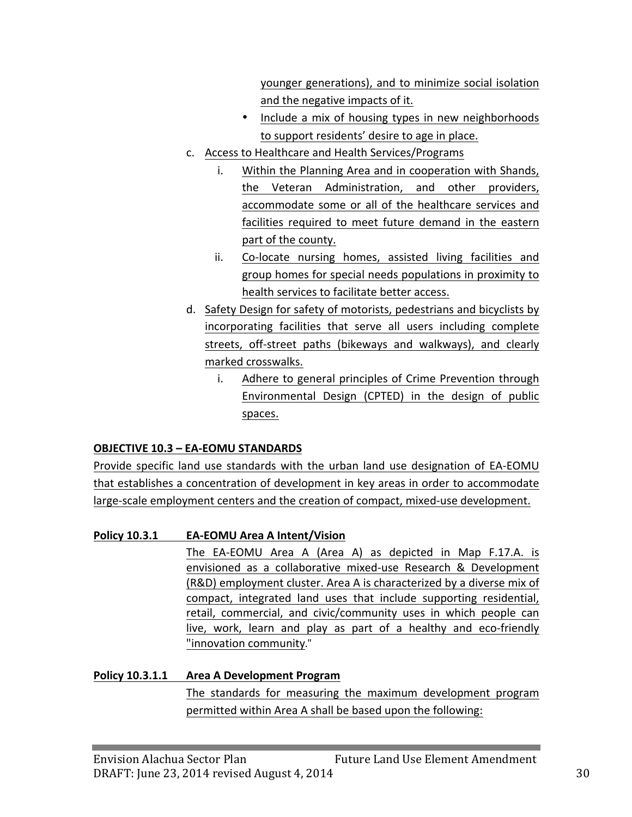younger generations), and to minimize social isolation and the negative impacts of it.

- Include a mix of housing types in new neighborhoods to support residents' desire to age in place.
- c. Access to Healthcare and Health Services/Programs
	- i. Within the Planning Area and in cooperation with Shands, the Veteran Administration, and other providers, accommodate some or all of the healthcare services and facilities required to meet future demand in the eastern part of the county.
	- ii. Co-locate nursing homes, assisted living facilities and group homes for special needs populations in proximity to health services to facilitate better access.
- d. Safety Design for safety of motorists, pedestrians and bicyclists by incorporating facilities that serve all users including complete streets, off-street paths (bikeways and walkways), and clearly marked crosswalks.
	- i. Adhere to general principles of Crime Prevention through Environmental Design (CPTED) in the design of public spaces.

## **OBJECTIVE 10.3 - EA-EOMU STANDARDS**

Provide specific land use standards with the urban land use designation of EA-EOMU that establishes a concentration of development in key areas in order to accommodate large-scale employment centers and the creation of compact, mixed-use development.

## **Policy 10.3.1 EA-EOMU Area A Intent/Vision**

The EA-EOMU Area A (Area A) as depicted in Map F.17.A. is envisioned as a collaborative mixed-use Research & Development (R&D) employment cluster. Area A is characterized by a diverse mix of compact, integrated land uses that include supporting residential, retail, commercial, and civic/community uses in which people can live, work, learn and play as part of a healthy and eco-friendly "innovation community."

**Policy 10.3.1.1 •• Area A Development Program** The standards for measuring the maximum development program permitted within Area A shall be based upon the following: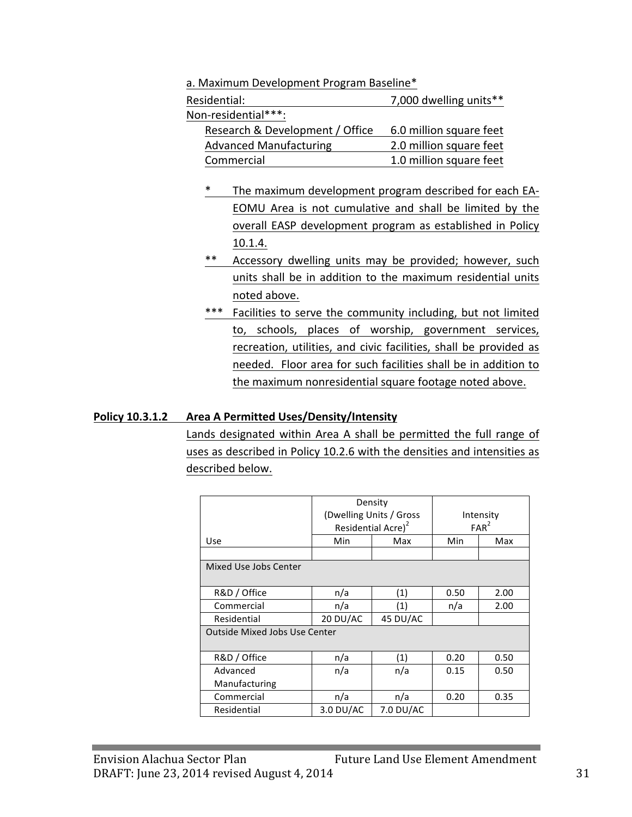a. Maximum Development Program Baseline\*

| Residential:                    | 7,000 dwelling units**  |
|---------------------------------|-------------------------|
| Non-residential***:             |                         |
| Research & Development / Office | 6.0 million square feet |
| <b>Advanced Manufacturing</b>   | 2.0 million square feet |
| Commercial                      | 1.0 million square feet |

- \* The maximum development program described for each EA-EOMU Area is not cumulative and shall be limited by the overall EASP development program as established in Policy 10.1.4.
- \*\* Accessory dwelling units may be provided; however, such units shall be in addition to the maximum residential units noted above.
- \*\*\* Facilities to serve the community including, but not limited to, schools, places of worship, government services, recreation, utilities, and civic facilities, shall be provided as needed. Floor area for such facilities shall be in addition to the maximum nonresidential square footage noted above.

#### **Policy 10.3.1.2** Area A Permitted Uses/Density/Intensity

Lands designated within Area A shall be permitted the full range of uses as described in Policy 10.2.6 with the densities and intensities as described below.

|                                      | Density<br>(Dwelling Units / Gross<br>Residential Acre) <sup>2</sup> |     |      | Intensity<br>FAR <sup>2</sup> |  |
|--------------------------------------|----------------------------------------------------------------------|-----|------|-------------------------------|--|
| <b>Use</b>                           | Min                                                                  | Max | Min  | Max                           |  |
|                                      |                                                                      |     |      |                               |  |
| Mixed Use Jobs Center                |                                                                      |     |      |                               |  |
| R&D / Office                         | n/a                                                                  | (1) | 0.50 | 2.00                          |  |
| Commercial                           | n/a<br>(1)                                                           |     | n/a  | 2.00                          |  |
| Residential                          | 20 DU/AC<br>45 DU/AC                                                 |     |      |                               |  |
| <b>Outside Mixed Jobs Use Center</b> |                                                                      |     |      |                               |  |
| R&D / Office                         | n/a                                                                  | (1) | 0.20 | 0.50                          |  |
| Advanced                             | n/a                                                                  | n/a | 0.15 | 0.50                          |  |
| Manufacturing                        |                                                                      |     |      |                               |  |
| Commercial                           | n/a                                                                  | n/a | 0.20 | 0.35                          |  |
| Residential                          | 3.0 DU/AC<br>7.0 DU/AC                                               |     |      |                               |  |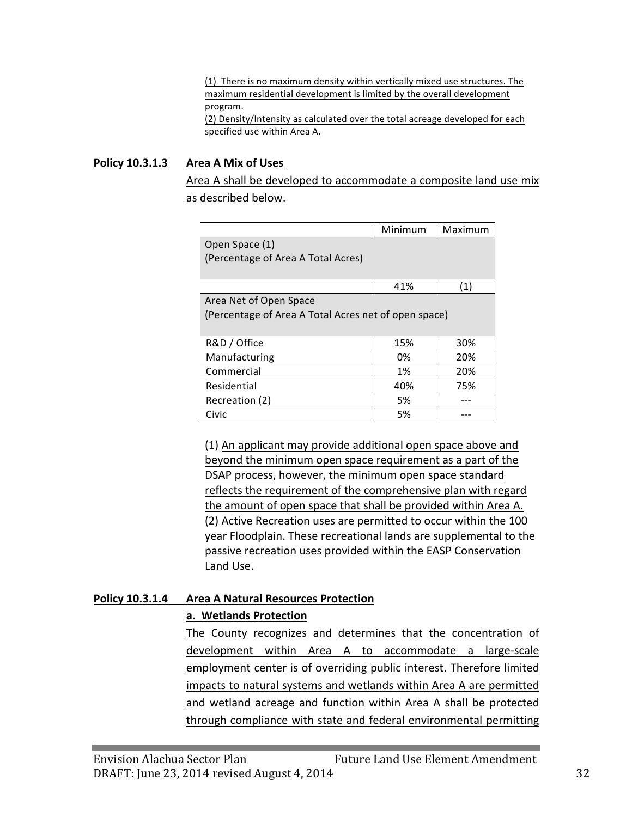(1) There is no maximum density within vertically mixed use structures. The maximum residential development is limited by the overall development program. (2) Density/Intensity as calculated over the total acreage developed for each specified use within Area A.

#### **Policy 10.3.1.3** Area A Mix of Uses

Area A shall be developed to accommodate a composite land use mix as described below.

|                                                      | Minimum | Maximum |
|------------------------------------------------------|---------|---------|
| Open Space (1)                                       |         |         |
| (Percentage of Area A Total Acres)                   |         |         |
|                                                      |         |         |
|                                                      | 41%     | (1)     |
| Area Net of Open Space                               |         |         |
| (Percentage of Area A Total Acres net of open space) |         |         |
|                                                      |         |         |
| R&D / Office                                         | 15%     | 30%     |
| Manufacturing                                        | 0%      | 20%     |
| Commercial                                           | 1%      | 20%     |
| Residential                                          | 40%     | 75%     |
| Recreation (2)                                       | 5%      |         |
| Civic                                                | 5%      |         |

(1) An applicant may provide additional open space above and beyond the minimum open space requirement as a part of the DSAP process, however, the minimum open space standard reflects the requirement of the comprehensive plan with regard the amount of open space that shall be provided within Area A. (2) Active Recreation uses are permitted to occur within the 100 year Floodplain. These recreational lands are supplemental to the passive recreation uses provided within the EASP Conservation Land Use.

#### **Policy 10.3.1.4 •• Area A Natural Resources Protection**

#### **a. Wetlands Protection**

The County recognizes and determines that the concentration of development within Area A to accommodate a large-scale employment center is of overriding public interest. Therefore limited impacts to natural systems and wetlands within Area A are permitted and wetland acreage and function within Area A shall be protected through compliance with state and federal environmental permitting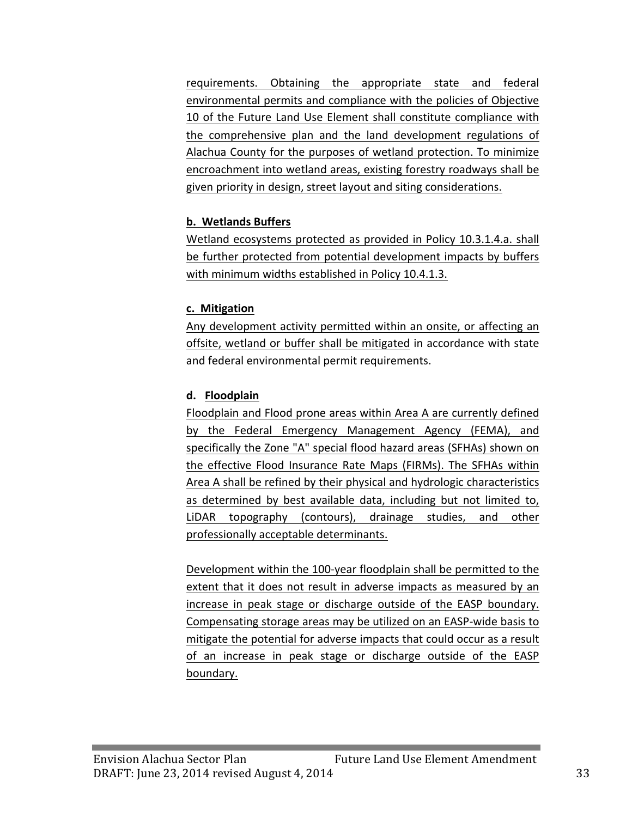requirements. Obtaining the appropriate state and federal environmental permits and compliance with the policies of Objective 10 of the Future Land Use Element shall constitute compliance with the comprehensive plan and the land development regulations of Alachua County for the purposes of wetland protection. To minimize encroachment into wetland areas, existing forestry roadways shall be given priority in design, street layout and siting considerations.

## **b. Wetlands Buffers**

Wetland ecosystems protected as provided in Policy 10.3.1.4.a. shall be further protected from potential development impacts by buffers with minimum widths established in Policy 10.4.1.3.

#### **c. Mitigation**

Any development activity permitted within an onsite, or affecting an offsite, wetland or buffer shall be mitigated in accordance with state and federal environmental permit requirements.

#### **d. Floodplain**

Floodplain and Flood prone areas within Area A are currently defined by the Federal Emergency Management Agency (FEMA), and specifically the Zone "A" special flood hazard areas (SFHAs) shown on the effective Flood Insurance Rate Maps (FIRMs). The SFHAs within Area A shall be refined by their physical and hydrologic characteristics as determined by best available data, including but not limited to, LiDAR topography (contours), drainage studies, and other professionally acceptable determinants.

Development within the 100-year floodplain shall be permitted to the extent that it does not result in adverse impacts as measured by an increase in peak stage or discharge outside of the EASP boundary. Compensating storage areas may be utilized on an EASP-wide basis to mitigate the potential for adverse impacts that could occur as a result of an increase in peak stage or discharge outside of the EASP boundary.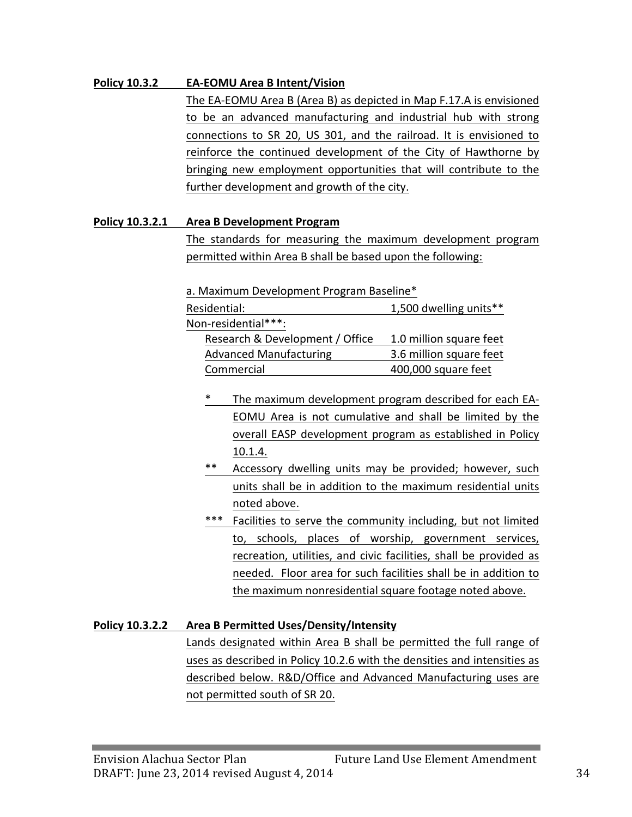#### **Policy 10.3.2 EA-EOMU** Area B Intent/Vision

The EA-EOMU Area B (Area B) as depicted in Map F.17.A is envisioned to be an advanced manufacturing and industrial hub with strong connections to SR 20, US 301, and the railroad. It is envisioned to reinforce the continued development of the City of Hawthorne by bringing new employment opportunities that will contribute to the further development and growth of the city.

#### **Policy 10.3.2.1 •• Area B Development Program**

The standards for measuring the maximum development program permitted within Area B shall be based upon the following:

a. Maximum Development Program Baseline\*

| Residential:                    | 1,500 dwelling units**  |
|---------------------------------|-------------------------|
| Non-residential***:             |                         |
| Research & Development / Office | 1.0 million square feet |
| <b>Advanced Manufacturing</b>   | 3.6 million square feet |
| Commercial                      | 400,000 square feet     |

- The maximum development program described for each EA-EOMU Area is not cumulative and shall be limited by the overall EASP development program as established in Policy 10.1.4.
- \*\* Accessory dwelling units may be provided; however, such units shall be in addition to the maximum residential units noted above.
- \*\*\* Facilities to serve the community including, but not limited to, schools, places of worship, government services, recreation, utilities, and civic facilities, shall be provided as needed. Floor area for such facilities shall be in addition to the maximum nonresidential square footage noted above.

## **Policy 10.3.2.2 Area B Permitted Uses/Density/Intensity**

Lands designated within Area B shall be permitted the full range of uses as described in Policy 10.2.6 with the densities and intensities as described below. R&D/Office and Advanced Manufacturing uses are not permitted south of SR 20.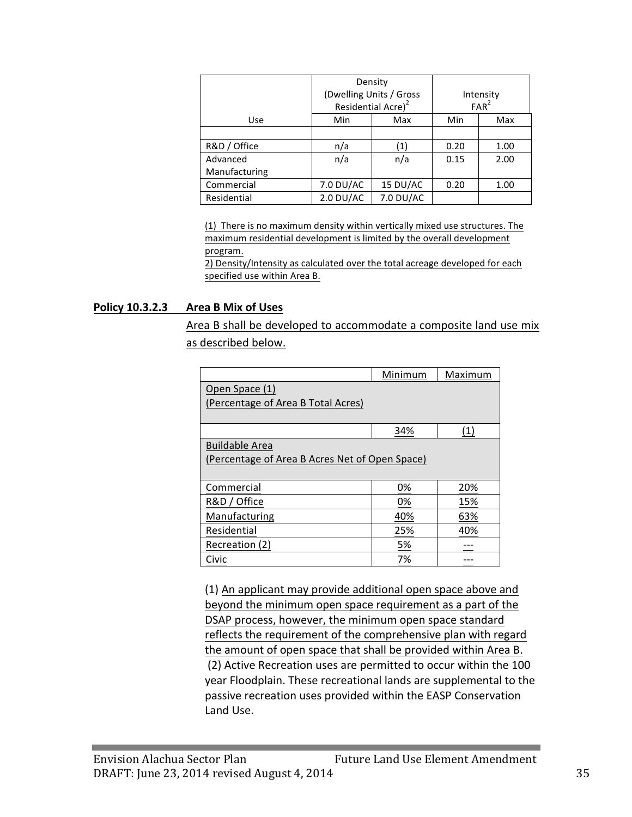|               | Density<br>(Dwelling Units / Gross<br>Residential Acre) <sup>2</sup> |           |      | Intensity<br>FAR <sup>2</sup> |
|---------------|----------------------------------------------------------------------|-----------|------|-------------------------------|
| Use           | Min<br>Max                                                           |           | Min  | Max                           |
|               |                                                                      |           |      |                               |
| R&D / Office  | n/a                                                                  | (1)       | 0.20 | 1.00                          |
| Advanced      | n/a<br>n/a                                                           |           | 0.15 | 2.00                          |
| Manufacturing |                                                                      |           |      |                               |
| Commercial    | 7.0 DU/AC<br>15 DU/AC                                                |           | 0.20 | 1.00                          |
| Residential   | $2.0$ DU/AC                                                          | 7.0 DU/AC |      |                               |

(1) There is no maximum density within vertically mixed use structures. The maximum residential development is limited by the overall development program.

2) Density/Intensity as calculated over the total acreage developed for each specified use within Area B.

#### **Policy 10.3.2.3 Area B Mix of Uses**

Area B shall be developed to accommodate a composite land use mix as described below.

|                                                | Minimum | Maximum |
|------------------------------------------------|---------|---------|
| Open Space (1)                                 |         |         |
| (Percentage of Area B Total Acres)             |         |         |
|                                                |         |         |
|                                                | 34%     | (1)     |
| <b>Buildable Area</b>                          |         |         |
| (Percentage of Area B Acres Net of Open Space) |         |         |
|                                                |         |         |
| Commercial                                     | 0%      | 20%     |
| R&D / Office                                   | 0%      | 15%     |
| Manufacturing                                  | 40%     | 63%     |
| Residential                                    | 25%     | 40%     |
| Recreation (2)                                 | 5%      |         |
| Civic                                          | 7%      |         |

(1) An applicant may provide additional open space above and beyond the minimum open space requirement as a part of the DSAP process, however, the minimum open space standard reflects the requirement of the comprehensive plan with regard the amount of open space that shall be provided within Area B. (2) Active Recreation uses are permitted to occur within the 100 year Floodplain. These recreational lands are supplemental to the passive recreation uses provided within the EASP Conservation Land Use.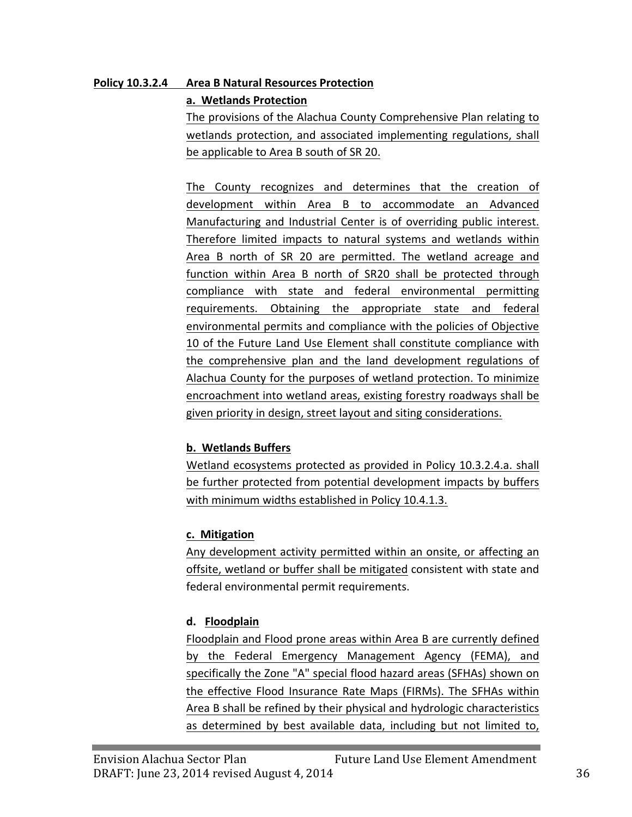#### **Policy 10.3.2.4 Area B Natural Resources Protection**

#### **a. Wetlands Protection**

The provisions of the Alachua County Comprehensive Plan relating to wetlands protection, and associated implementing regulations, shall be applicable to Area B south of SR 20.

The County recognizes and determines that the creation of development within Area B to accommodate an Advanced Manufacturing and Industrial Center is of overriding public interest. Therefore limited impacts to natural systems and wetlands within Area B north of SR 20 are permitted. The wetland acreage and function within Area B north of SR20 shall be protected through compliance with state and federal environmental permitting requirements. Obtaining the appropriate state and federal environmental permits and compliance with the policies of Objective 10 of the Future Land Use Element shall constitute compliance with the comprehensive plan and the land development regulations of Alachua County for the purposes of wetland protection. To minimize encroachment into wetland areas, existing forestry roadways shall be given priority in design, street layout and siting considerations.

## **b. Wetlands Buffers**

Wetland ecosystems protected as provided in Policy 10.3.2.4.a. shall be further protected from potential development impacts by buffers with minimum widths established in Policy 10.4.1.3.

#### **c. Mitigation**

Any development activity permitted within an onsite, or affecting an offsite, wetland or buffer shall be mitigated consistent with state and federal environmental permit requirements.

## **d. Floodplain**

Floodplain and Flood prone areas within Area B are currently defined by the Federal Emergency Management Agency (FEMA), and specifically the Zone "A" special flood hazard areas (SFHAs) shown on the effective Flood Insurance Rate Maps (FIRMs). The SFHAs within Area B shall be refined by their physical and hydrologic characteristics as determined by best available data, including but not limited to,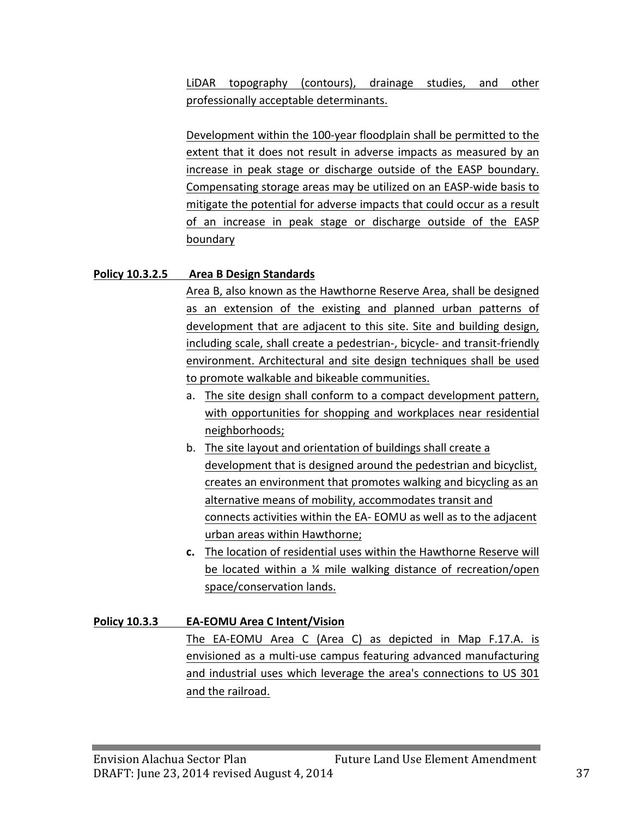LiDAR topography (contours), drainage studies, and other professionally acceptable determinants.

Development within the 100-year floodplain shall be permitted to the extent that it does not result in adverse impacts as measured by an increase in peak stage or discharge outside of the EASP boundary. Compensating storage areas may be utilized on an EASP-wide basis to mitigate the potential for adverse impacts that could occur as a result of an increase in peak stage or discharge outside of the EASP boundary

#### **Policy 10.3.2.5 Area B Design Standards**

Area B, also known as the Hawthorne Reserve Area, shall be designed as an extension of the existing and planned urban patterns of development that are adjacent to this site. Site and building design, including scale, shall create a pedestrian-, bicycle- and transit-friendly environment. Architectural and site design techniques shall be used to promote walkable and bikeable communities.

- a. The site design shall conform to a compact development pattern, with opportunities for shopping and workplaces near residential neighborhoods;
- b. The site layout and orientation of buildings shall create a development that is designed around the pedestrian and bicyclist, creates an environment that promotes walking and bicycling as an alternative means of mobility, accommodates transit and connects activities within the EA- EOMU as well as to the adjacent urban areas within Hawthorne;
- **c.** The location of residential uses within the Hawthorne Reserve will be located within a  $\frac{1}{4}$  mile walking distance of recreation/open space/conservation lands.

## **Policy 10.3.3 EA-EOMU Area C Intent/Vision**

The EA-EOMU Area C (Area C) as depicted in Map F.17.A. is envisioned as a multi-use campus featuring advanced manufacturing and industrial uses which leverage the area's connections to US 301 and the railroad.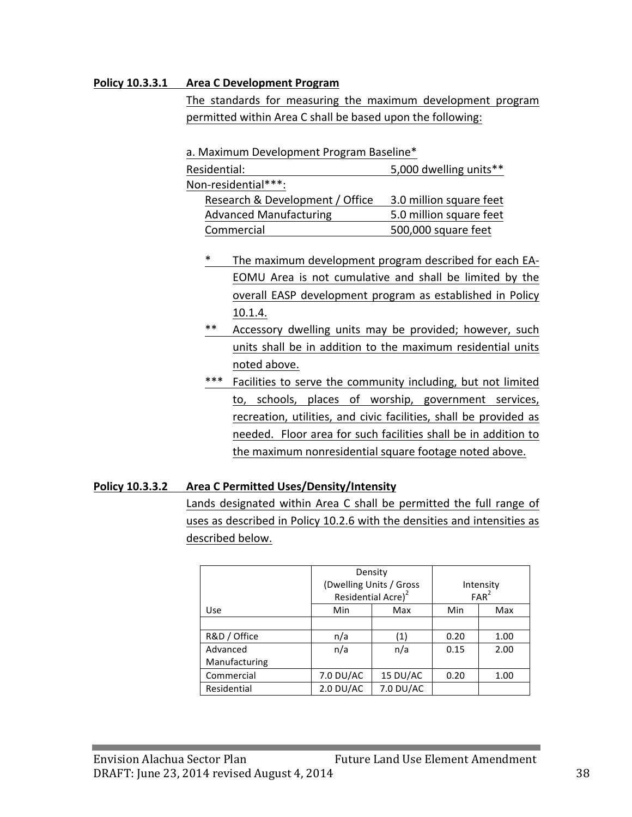#### **Policy 10.3.3.1 Area C Development Program**

The standards for measuring the maximum development program permitted within Area C shall be based upon the following:

a. Maximum Development Program Baseline\*

| 5,000 dwelling units**  |
|-------------------------|
|                         |
| 3.0 million square feet |
| 5.0 million square feet |
| 500,000 square feet     |
|                         |

- \* The maximum development program described for each EA-EOMU Area is not cumulative and shall be limited by the overall EASP development program as established in Policy 10.1.4.
- \*\* Accessory dwelling units may be provided; however, such units shall be in addition to the maximum residential units noted above.
- \*\*\* Facilities to serve the community including, but not limited to, schools, places of worship, government services, recreation, utilities, and civic facilities, shall be provided as needed. Floor area for such facilities shall be in addition to the maximum nonresidential square footage noted above.

#### **Policy 10.3.3.2 Area C Permitted Uses/Density/Intensity**

Lands designated within Area C shall be permitted the full range of uses as described in Policy 10.2.6 with the densities and intensities as described below.

|               | Density<br>(Dwelling Units / Gross<br>Residential Acre) <sup>2</sup> |           |      | Intensity<br>FAR <sup>2</sup> |
|---------------|----------------------------------------------------------------------|-----------|------|-------------------------------|
| Use           | Min                                                                  | Max       | Min  | Max                           |
|               |                                                                      |           |      |                               |
| R&D / Office  | n/a                                                                  | (1)       | 0.20 | 1.00                          |
| Advanced      | n/a                                                                  | n/a       | 0.15 | 2.00                          |
| Manufacturing |                                                                      |           |      |                               |
| Commercial    | 7.0 DU/AC                                                            | 15 DU/AC  | 0.20 | 1.00                          |
| Residential   | $2.0$ DU/AC                                                          | 7.0 DU/AC |      |                               |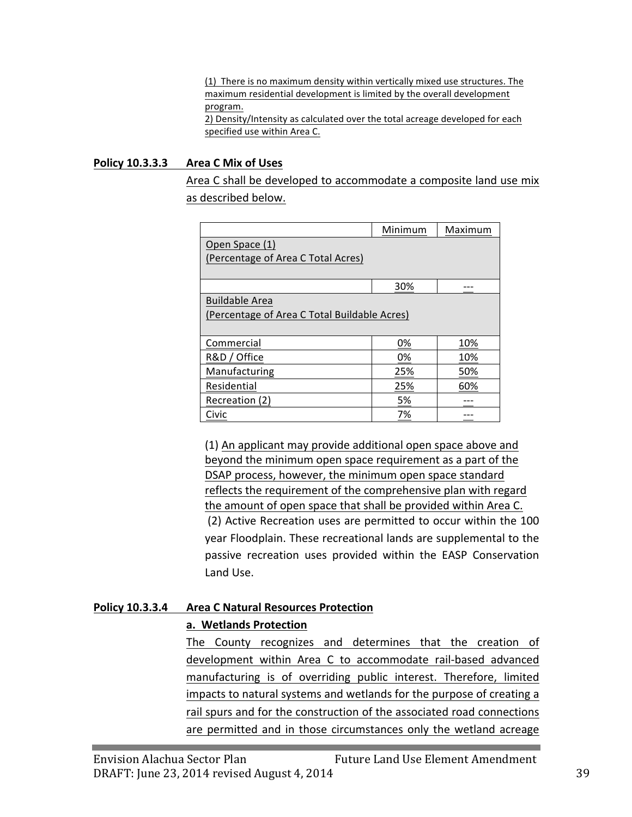(1) There is no maximum density within vertically mixed use structures. The maximum residential development is limited by the overall development program. 2) Density/Intensity as calculated over the total acreage developed for each specified use within Area C.

#### **Policy 10.3.3.3 Area C Mix of Uses**

Area C shall be developed to accommodate a composite land use mix as described below.

|                                              | Minimum | Maximum |
|----------------------------------------------|---------|---------|
| Open Space (1)                               |         |         |
| (Percentage of Area C Total Acres)           |         |         |
|                                              |         |         |
|                                              | 30%     |         |
| <b>Buildable Area</b>                        |         |         |
| (Percentage of Area C Total Buildable Acres) |         |         |
|                                              |         |         |
| Commercial                                   | 0%      | 10%     |
| R&D / Office                                 | 0%      | 10%     |
| Manufacturing                                | 25%     | 50%     |
| Residential                                  | 25%     | 60%     |
| Recreation (2)                               | 5%      |         |
| Civic                                        | 7%      |         |

(1) An applicant may provide additional open space above and beyond the minimum open space requirement as a part of the DSAP process, however, the minimum open space standard reflects the requirement of the comprehensive plan with regard the amount of open space that shall be provided within Area C. (2) Active Recreation uses are permitted to occur within the 100 year Floodplain. These recreational lands are supplemental to the passive recreation uses provided within the EASP Conservation Land Use.

#### **Policy 10.3.3.4 Area C Natural Resources Protection a. Wetlands Protection**

The County recognizes and determines that the creation of development within Area C to accommodate rail-based advanced manufacturing is of overriding public interest. Therefore, limited impacts to natural systems and wetlands for the purpose of creating a rail spurs and for the construction of the associated road connections are permitted and in those circumstances only the wetland acreage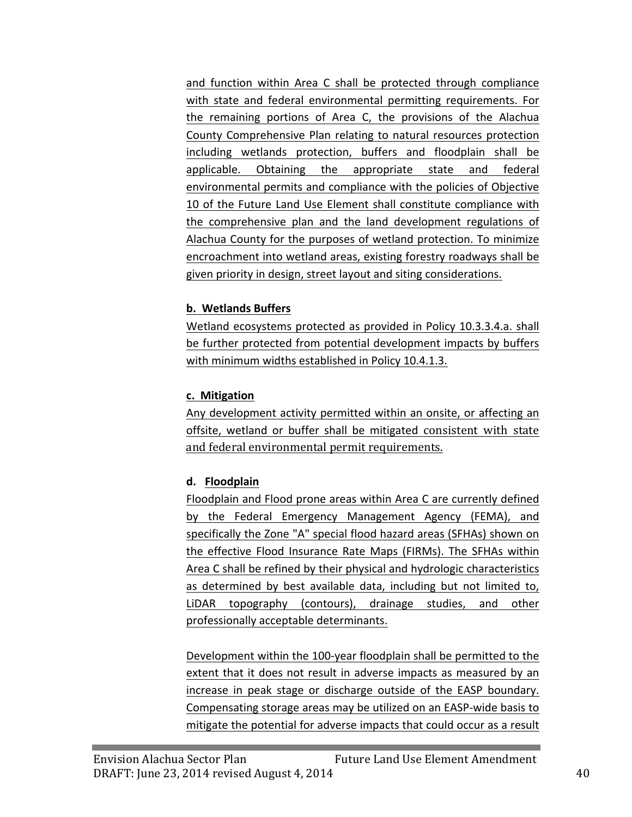and function within Area C shall be protected through compliance with state and federal environmental permitting requirements. For the remaining portions of Area C, the provisions of the Alachua County Comprehensive Plan relating to natural resources protection including wetlands protection, buffers and floodplain shall be applicable. Obtaining the appropriate state and federal environmental permits and compliance with the policies of Objective 10 of the Future Land Use Element shall constitute compliance with the comprehensive plan and the land development regulations of Alachua County for the purposes of wetland protection. To minimize encroachment into wetland areas, existing forestry roadways shall be given priority in design, street layout and siting considerations.

## **b. Wetlands Buffers**

Wetland ecosystems protected as provided in Policy 10.3.3.4.a. shall be further protected from potential development impacts by buffers with minimum widths established in Policy 10.4.1.3.

#### **c. Mitigation**

Any development activity permitted within an onsite, or affecting an offsite, wetland or buffer shall be mitigated consistent with state and federal environmental permit requirements.

## **d. Floodplain**

Floodplain and Flood prone areas within Area C are currently defined by the Federal Emergency Management Agency (FEMA), and specifically the Zone "A" special flood hazard areas (SFHAs) shown on the effective Flood Insurance Rate Maps (FIRMs). The SFHAs within Area C shall be refined by their physical and hydrologic characteristics as determined by best available data, including but not limited to, LiDAR topography (contours), drainage studies, and other professionally acceptable determinants.

Development within the 100-year floodplain shall be permitted to the extent that it does not result in adverse impacts as measured by an increase in peak stage or discharge outside of the EASP boundary. Compensating storage areas may be utilized on an EASP-wide basis to mitigate the potential for adverse impacts that could occur as a result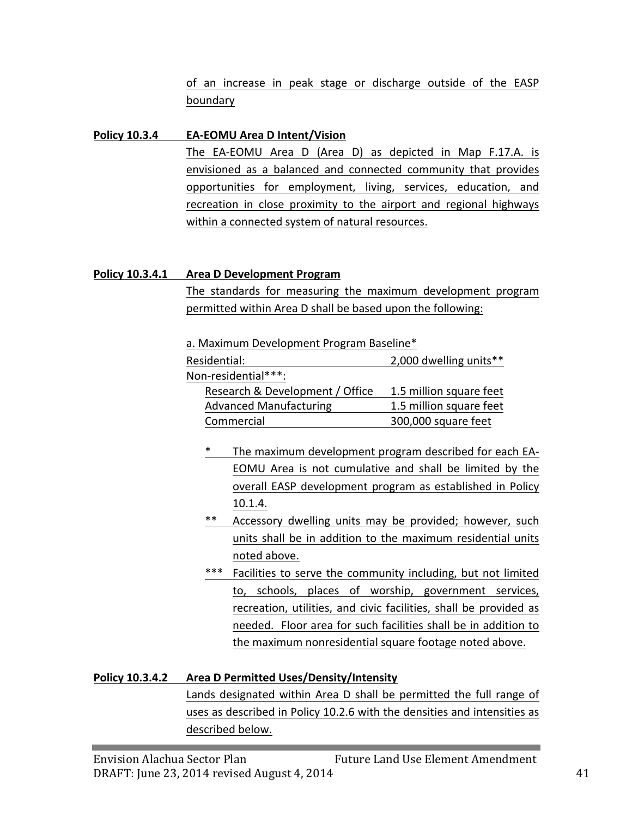of an increase in peak stage or discharge outside of the EASP boundary

#### **Policy 10.3.4 EA-EOMU** Area D Intent/Vision

The EA-EOMU Area D (Area D) as depicted in Map F.17.A. is envisioned as a balanced and connected community that provides opportunities for employment, living, services, education, and recreation in close proximity to the airport and regional highways within a connected system of natural resources.

#### **Policy 10.3.4.1 Area D Development Program**

The standards for measuring the maximum development program permitted within Area D shall be based upon the following:

|  |  | a. Maximum Development Program Baseline* |  |  |  |  |  |
|--|--|------------------------------------------|--|--|--|--|--|
|--|--|------------------------------------------|--|--|--|--|--|

| Residential:                    | 2,000 dwelling units**  |
|---------------------------------|-------------------------|
| Non-residential***:             |                         |
| Research & Development / Office | 1.5 million square feet |
| <b>Advanced Manufacturing</b>   | 1.5 million square feet |
| Commercial                      | 300,000 square feet     |

- \* The maximum development program described for each EA-EOMU Area is not cumulative and shall be limited by the overall EASP development program as established in Policy 10.1.4.
- \*\* Accessory dwelling units may be provided; however, such units shall be in addition to the maximum residential units noted above.
- \*\*\* Facilities to serve the community including, but not limited to, schools, places of worship, government services, recreation, utilities, and civic facilities, shall be provided as needed. Floor area for such facilities shall be in addition to the maximum nonresidential square footage noted above.

#### **Policy 10.3.4.2 Area D Permitted Uses/Density/Intensity**

Lands designated within Area D shall be permitted the full range of uses as described in Policy 10.2.6 with the densities and intensities as described below.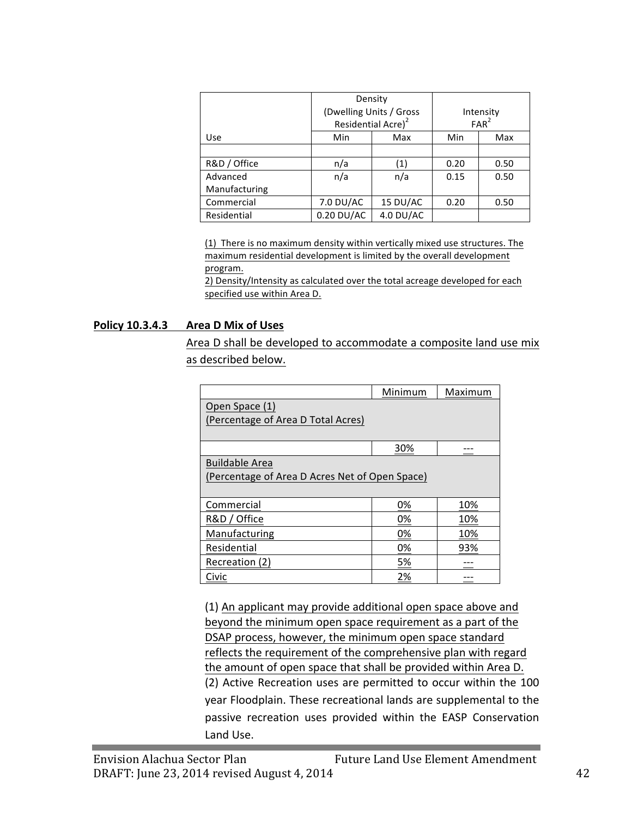|               | Density<br>(Dwelling Units / Gross<br>Residential Acre) <sup>2</sup> |             |      | Intensity<br>FAR <sup>2</sup> |
|---------------|----------------------------------------------------------------------|-------------|------|-------------------------------|
| <b>Use</b>    | Min                                                                  | Max         | Min  | Max                           |
|               |                                                                      |             |      |                               |
| R&D / Office  | n/a                                                                  | (1)         | 0.20 | 0.50                          |
| Advanced      | n/a                                                                  | n/a         | 0.15 | 0.50                          |
| Manufacturing |                                                                      |             |      |                               |
| Commercial    | 7.0 DU/AC                                                            | 15 DU/AC    | 0.20 | 0.50                          |
| Residential   | $0.20$ DU/AC                                                         | $4.0$ DU/AC |      |                               |

(1) There is no maximum density within vertically mixed use structures. The maximum residential development is limited by the overall development program.

2) Density/Intensity as calculated over the total acreage developed for each specified use within Area D.

#### **Policy 10.3.4.3 Area D Mix of Uses**

Area D shall be developed to accommodate a composite land use mix as described below.

|                                                | Minimum | Maximum |
|------------------------------------------------|---------|---------|
| Open Space (1)                                 |         |         |
| (Percentage of Area D Total Acres)             |         |         |
|                                                |         |         |
|                                                | 30%     |         |
| <b>Buildable Area</b>                          |         |         |
| (Percentage of Area D Acres Net of Open Space) |         |         |
|                                                |         |         |
| Commercial                                     | 0%      | 10%     |
| R&D / Office                                   | 0%      | 10%     |
| Manufacturing                                  | 0%      | 10%     |
| Residential                                    | 0%      | 93%     |
| Recreation (2)                                 | 5%      |         |
| Civic                                          | 2%      |         |

(1) An applicant may provide additional open space above and beyond the minimum open space requirement as a part of the DSAP process, however, the minimum open space standard reflects the requirement of the comprehensive plan with regard the amount of open space that shall be provided within Area D. (2) Active Recreation uses are permitted to occur within the 100 year Floodplain. These recreational lands are supplemental to the passive recreation uses provided within the EASP Conservation Land Use.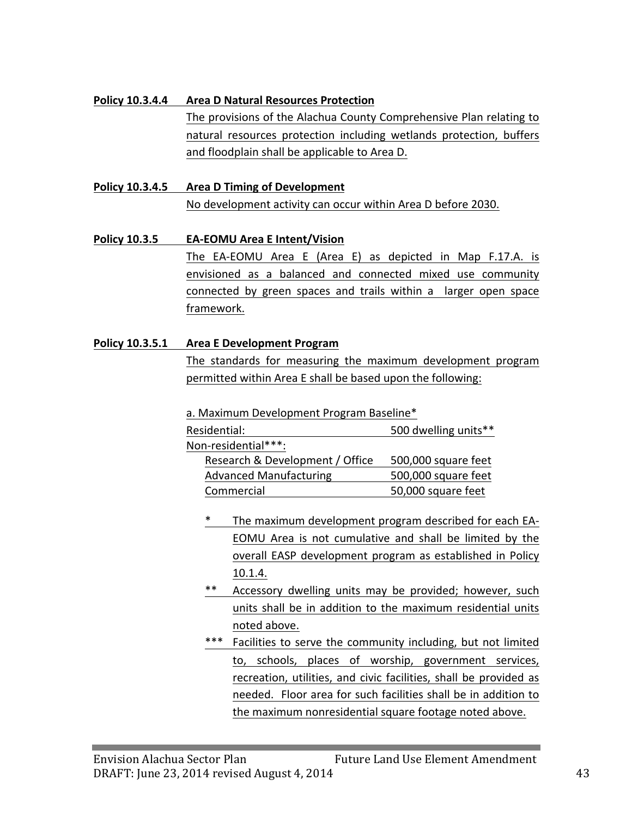#### **Policy 10.3.4.4 •• Area D Natural Resources Protection**

The provisions of the Alachua County Comprehensive Plan relating to natural resources protection including wetlands protection, buffers and floodplain shall be applicable to Area D.

#### **Policy 10.3.4.5 •• Area D Timing of Development**

No development activity can occur within Area D before 2030.

**Policy 10.3.5 EA-EOMU Area E Intent/Vision** The EA-EOMU Area E (Area E) as depicted in Map F.17.A. is envisioned as a balanced and connected mixed use community connected by green spaces and trails within a larger open space framework. 

#### **Policy 10.3.5.1 Area E Development Program**

The standards for measuring the maximum development program permitted within Area E shall be based upon the following:

a. Maximum Development Program Baseline\*

| Residential:                    | 500 dwelling units** |
|---------------------------------|----------------------|
| Non-residential***:             |                      |
| Research & Development / Office | 500,000 square feet  |
| <b>Advanced Manufacturing</b>   | 500,000 square feet  |
| Commercial                      | 50,000 square feet   |

- \* The maximum development program described for each EA-EOMU Area is not cumulative and shall be limited by the overall EASP development program as established in Policy 10.1.4.
- Accessory dwelling units may be provided; however, such units shall be in addition to the maximum residential units noted above.
- \*\*\* Facilities to serve the community including, but not limited to, schools, places of worship, government services, recreation, utilities, and civic facilities, shall be provided as needed. Floor area for such facilities shall be in addition to the maximum nonresidential square footage noted above.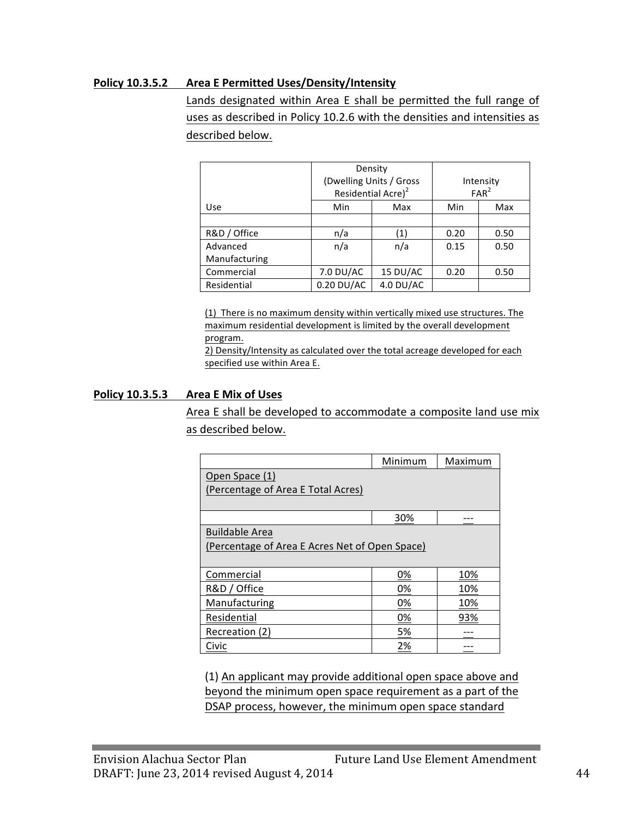#### **Policy 10.3.5.2 Area E Permitted Uses/Density/Intensity**

Lands designated within Area E shall be permitted the full range of uses as described in Policy 10.2.6 with the densities and intensities as described below.

|               | Density                        |                         |      |                  |
|---------------|--------------------------------|-------------------------|------|------------------|
|               |                                | (Dwelling Units / Gross |      | Intensity        |
|               | Residential Acre) <sup>2</sup> |                         |      | FAR <sup>2</sup> |
| Use           | Min                            | Max                     | Min  | Max              |
|               |                                |                         |      |                  |
| R&D / Office  | n/a                            | $\left( 1\right)$       | 0.20 | 0.50             |
| Advanced      | n/a                            | n/a                     | 0.15 | 0.50             |
| Manufacturing |                                |                         |      |                  |
| Commercial    | 7.0 DU/AC                      | 15 DU/AC                | 0.20 | 0.50             |
| Residential   | $0.20$ DU/AC                   | 4.0 DU/AC               |      |                  |

(1) There is no maximum density within vertically mixed use structures. The maximum residential development is limited by the overall development program.

2) Density/Intensity as calculated over the total acreage developed for each specified use within Area E.

#### **Policy 10.3.5.3 Area E Mix of Uses**

Area E shall be developed to accommodate a composite land use mix as described below.

|                                                | Minimum | Maximum |
|------------------------------------------------|---------|---------|
| Open Space (1)                                 |         |         |
| (Percentage of Area E Total Acres)             |         |         |
|                                                |         |         |
|                                                | 30%     |         |
| <b>Buildable Area</b>                          |         |         |
| (Percentage of Area E Acres Net of Open Space) |         |         |
|                                                |         |         |
| Commercial                                     | 0%      | 10%     |
| R&D / Office                                   | 0%      | 10%     |
| Manufacturing                                  | 0%      | 10%     |
| Residential                                    | 0%      | 93%     |
| Recreation (2)                                 | 5%      |         |
| Civic                                          | 2%      |         |

(1) An applicant may provide additional open space above and beyond the minimum open space requirement as a part of the DSAP process, however, the minimum open space standard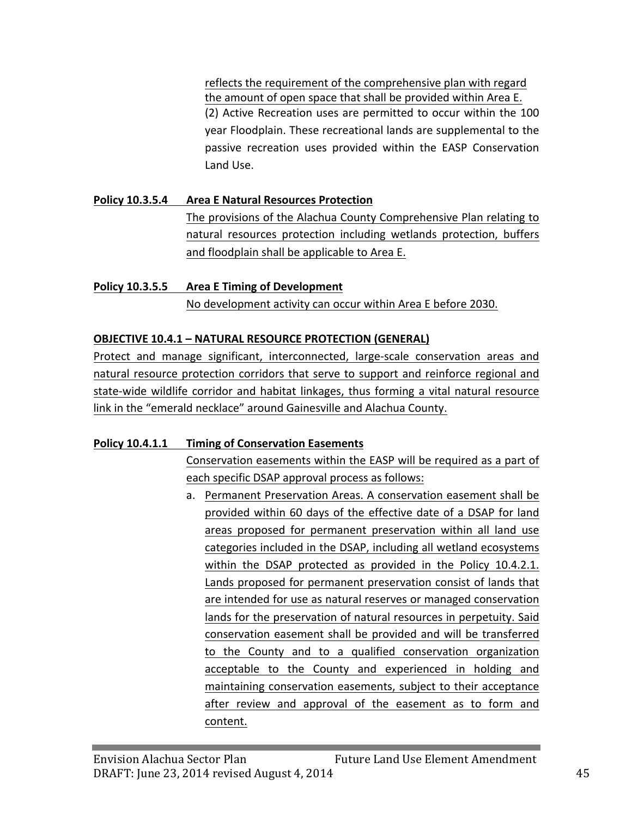reflects the requirement of the comprehensive plan with regard the amount of open space that shall be provided within Area E. (2) Active Recreation uses are permitted to occur within the 100 year Floodplain. These recreational lands are supplemental to the passive recreation uses provided within the EASP Conservation Land Use.

# **Policy 10.3.5.4 Area E Natural Resources Protection** The provisions of the Alachua County Comprehensive Plan relating to natural resources protection including wetlands protection, buffers and floodplain shall be applicable to Area E.

## **Policy 10.3.5.5 •• Area E Timing of Development**

No development activity can occur within Area E before 2030.

## **OBJECTIVE 10.4.1 - NATURAL RESOURCE PROTECTION (GENERAL)**

Protect and manage significant, interconnected, large-scale conservation areas and natural resource protection corridors that serve to support and reinforce regional and state-wide wildlife corridor and habitat linkages, thus forming a vital natural resource link in the "emerald necklace" around Gainesville and Alachua County.

#### **Policy 10.4.1.1 Timing of Conservation Easements**

Conservation easements within the EASP will be required as a part of each specific DSAP approval process as follows:

a. Permanent Preservation Areas. A conservation easement shall be provided within 60 days of the effective date of a DSAP for land areas proposed for permanent preservation within all land use categories included in the DSAP, including all wetland ecosystems within the DSAP protected as provided in the Policy 10.4.2.1. Lands proposed for permanent preservation consist of lands that are intended for use as natural reserves or managed conservation lands for the preservation of natural resources in perpetuity. Said conservation easement shall be provided and will be transferred to the County and to a qualified conservation organization acceptable to the County and experienced in holding and maintaining conservation easements, subject to their acceptance after review and approval of the easement as to form and content.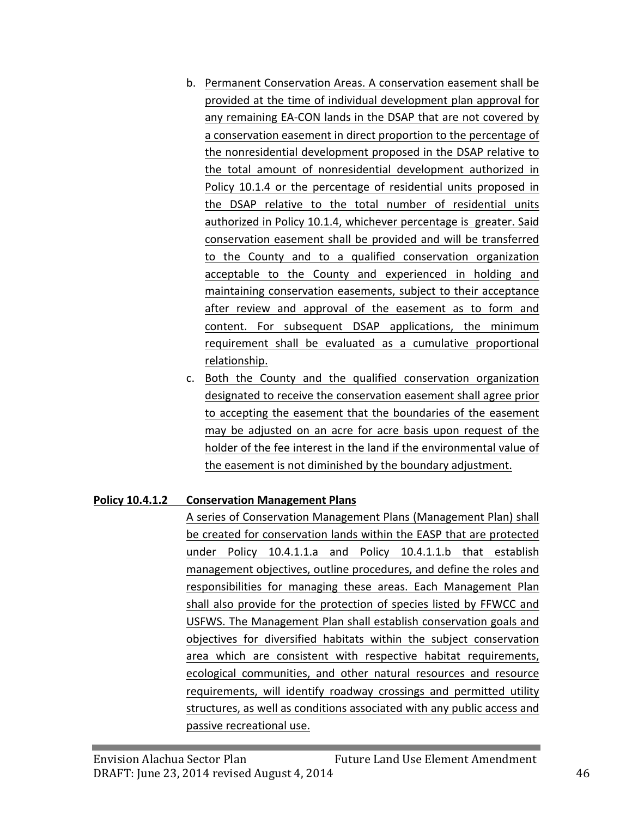- b. Permanent Conservation Areas. A conservation easement shall be provided at the time of individual development plan approval for any remaining EA-CON lands in the DSAP that are not covered by a conservation easement in direct proportion to the percentage of the nonresidential development proposed in the DSAP relative to the total amount of nonresidential development authorized in Policy 10.1.4 or the percentage of residential units proposed in the DSAP relative to the total number of residential units authorized in Policy 10.1.4, whichever percentage is greater. Said conservation easement shall be provided and will be transferred to the County and to a qualified conservation organization acceptable to the County and experienced in holding and maintaining conservation easements, subject to their acceptance after review and approval of the easement as to form and content. For subsequent DSAP applications, the minimum requirement shall be evaluated as a cumulative proportional relationship.
- c. Both the County and the qualified conservation organization designated to receive the conservation easement shall agree prior to accepting the easement that the boundaries of the easement may be adjusted on an acre for acre basis upon request of the holder of the fee interest in the land if the environmental value of the easement is not diminished by the boundary adjustment.

#### **Policy 10.4.1.2 Conservation Management Plans**

A series of Conservation Management Plans (Management Plan) shall be created for conservation lands within the EASP that are protected under Policy 10.4.1.1.a and Policy 10.4.1.1.b that establish management objectives, outline procedures, and define the roles and responsibilities for managing these areas. Each Management Plan shall also provide for the protection of species listed by FFWCC and USFWS. The Management Plan shall establish conservation goals and objectives for diversified habitats within the subject conservation area which are consistent with respective habitat requirements, ecological communities, and other natural resources and resource requirements, will identify roadway crossings and permitted utility structures, as well as conditions associated with any public access and passive recreational use.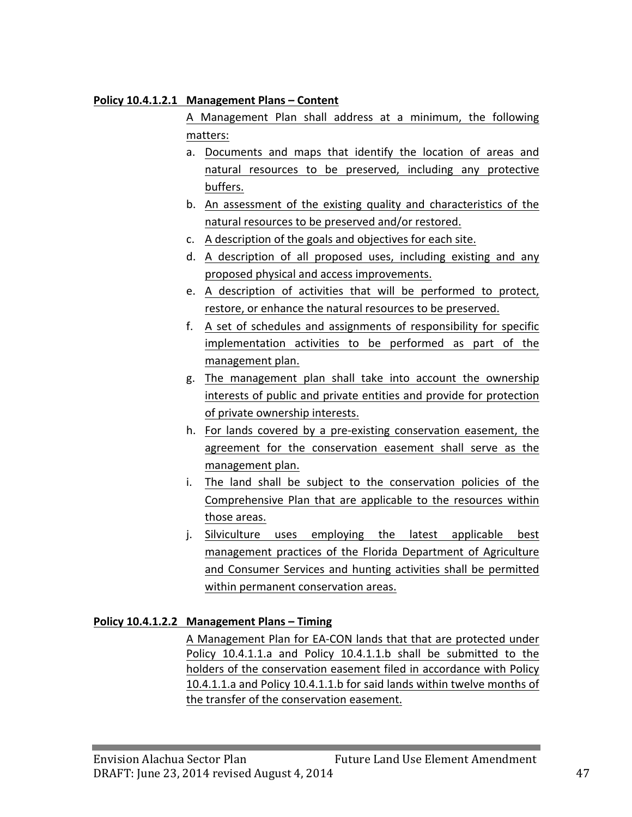#### **Policy 10.4.1.2.1 Management Plans – Content**

A Management Plan shall address at a minimum, the following matters:

- a. Documents and maps that identify the location of areas and natural resources to be preserved, including any protective buffers.
- b. An assessment of the existing quality and characteristics of the natural resources to be preserved and/or restored.
- c. A description of the goals and objectives for each site.
- d. A description of all proposed uses, including existing and any proposed physical and access improvements.
- e. A description of activities that will be performed to protect, restore, or enhance the natural resources to be preserved.
- f. A set of schedules and assignments of responsibility for specific implementation activities to be performed as part of the management plan.
- g. The management plan shall take into account the ownership interests of public and private entities and provide for protection of private ownership interests.
- h. For lands covered by a pre-existing conservation easement, the agreement for the conservation easement shall serve as the management plan.
- i. The land shall be subject to the conservation policies of the Comprehensive Plan that are applicable to the resources within those areas.
- j. Silviculture uses employing the latest applicable best management practices of the Florida Department of Agriculture and Consumer Services and hunting activities shall be permitted within permanent conservation areas.

#### **Policy 10.4.1.2.2 Management Plans – Timing**

A Management Plan for EA-CON lands that that are protected under Policy 10.4.1.1.a and Policy 10.4.1.1.b shall be submitted to the holders of the conservation easement filed in accordance with Policy 10.4.1.1.a and Policy 10.4.1.1.b for said lands within twelve months of the transfer of the conservation easement.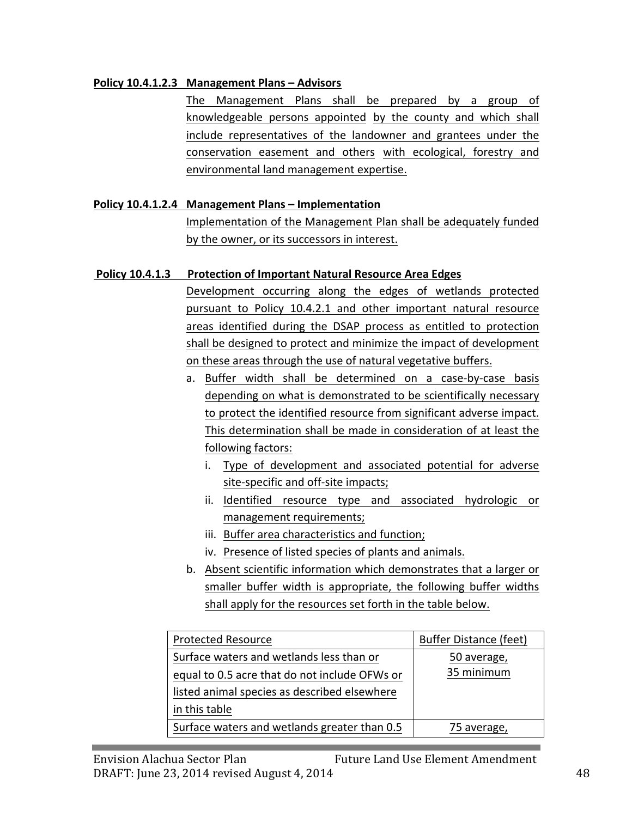### **Policy 10.4.1.2.3 Management Plans – Advisors**

The Management Plans shall be prepared by a group of knowledgeable persons appointed by the county and which shall include representatives of the landowner and grantees under the conservation easement and others with ecological, forestry and environmental land management expertise.

## **Policy 10.4.1.2.4 Management Plans – Implementation**

Implementation of the Management Plan shall be adequately funded by the owner, or its successors in interest.

## **Policy 10.4.1.3** Protection of Important Natural Resource Area Edges

Development occurring along the edges of wetlands protected pursuant to Policy 10.4.2.1 and other important natural resource areas identified during the DSAP process as entitled to protection shall be designed to protect and minimize the impact of development on these areas through the use of natural vegetative buffers.

- a. Buffer width shall be determined on a case-by-case basis depending on what is demonstrated to be scientifically necessary to protect the identified resource from significant adverse impact. This determination shall be made in consideration of at least the following factors:
	- i. Type of development and associated potential for adverse site-specific and off-site impacts;
	- ii. Identified resource type and associated hydrologic or management requirements;
	- iii. Buffer area characteristics and function;
	- iv. Presence of listed species of plants and animals.
- b. Absent scientific information which demonstrates that a larger or smaller buffer width is appropriate, the following buffer widths shall apply for the resources set forth in the table below.

| <b>Protected Resource</b>                                                                                                                 | <b>Buffer Distance (feet)</b> |
|-------------------------------------------------------------------------------------------------------------------------------------------|-------------------------------|
| Surface waters and wetlands less than or<br>equal to 0.5 acre that do not include OFWs or<br>listed animal species as described elsewhere | 50 average,<br>35 minimum     |
| in this table                                                                                                                             |                               |
| Surface waters and wetlands greater than 0.5                                                                                              | 75 average,                   |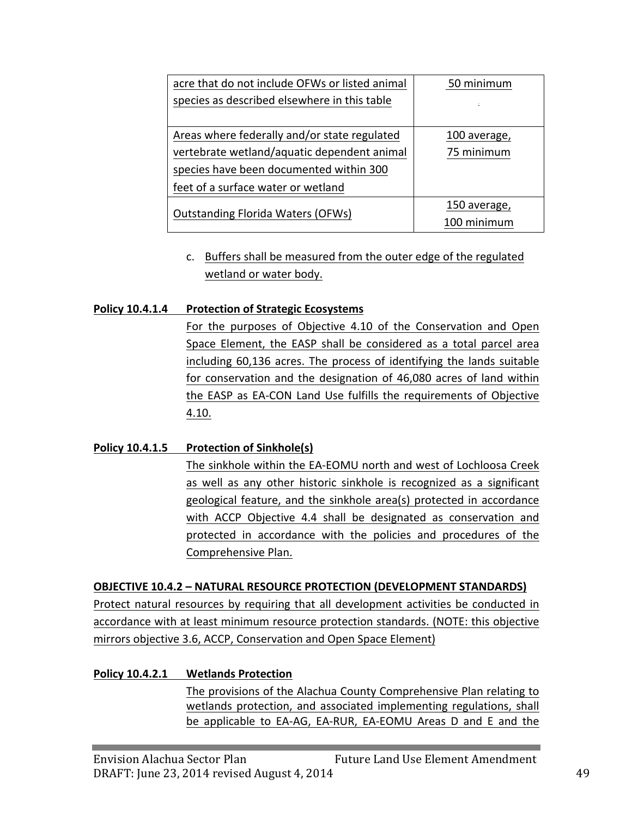| acre that do not include OFWs or listed animal | 50 minimum   |
|------------------------------------------------|--------------|
| species as described elsewhere in this table   | ÷.           |
|                                                |              |
| Areas where federally and/or state regulated   | 100 average, |
| vertebrate wetland/aquatic dependent animal    | 75 minimum   |
| species have been documented within 300        |              |
| feet of a surface water or wetland             |              |
|                                                | 150 average, |
| <b>Outstanding Florida Waters (OFWs)</b>       | 100 minimum  |

c. Buffers shall be measured from the outer edge of the regulated wetland or water body.

#### **Policy 10.4.1.4 Protection of Strategic Ecosystems**

For the purposes of Objective 4.10 of the Conservation and Open Space Element, the EASP shall be considered as a total parcel area including 60,136 acres. The process of identifying the lands suitable for conservation and the designation of 46,080 acres of land within the EASP as EA-CON Land Use fulfills the requirements of Objective 4.10.

#### **Policy 10.4.1.5 Protection of Sinkhole(s)**

The sinkhole within the EA-EOMU north and west of Lochloosa Creek as well as any other historic sinkhole is recognized as a significant geological feature, and the sinkhole area(s) protected in accordance with ACCP Objective 4.4 shall be designated as conservation and protected in accordance with the policies and procedures of the Comprehensive Plan.

#### **OBJECTIVE 10.4.2 - NATURAL RESOURCE PROTECTION (DEVELOPMENT STANDARDS)**

Protect natural resources by requiring that all development activities be conducted in accordance with at least minimum resource protection standards. (NOTE: this objective mirrors objective 3.6, ACCP, Conservation and Open Space Element)

#### **Policy 10.4.2.1 Wetlands Protection**

The provisions of the Alachua County Comprehensive Plan relating to wetlands protection, and associated implementing regulations, shall be applicable to EA-AG, EA-RUR, EA-EOMU Areas D and E and the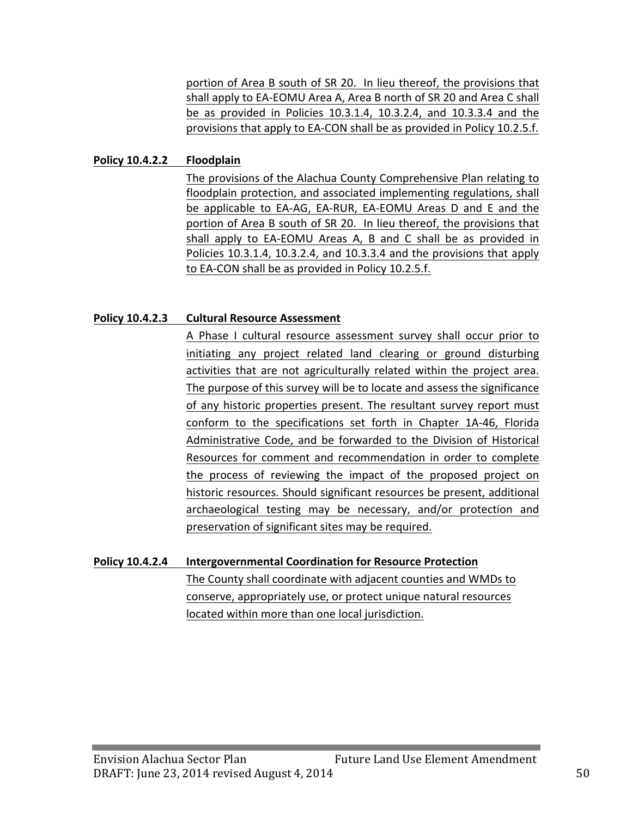portion of Area B south of SR 20. In lieu thereof, the provisions that shall apply to EA-EOMU Area A, Area B north of SR 20 and Area C shall be as provided in Policies  $10.3.1.4$ ,  $10.3.2.4$ , and  $10.3.3.4$  and the provisions that apply to EA-CON shall be as provided in Policy 10.2.5.f.

#### **Policy 10.4.2.2 Floodplain**

The provisions of the Alachua County Comprehensive Plan relating to floodplain protection, and associated implementing regulations, shall be applicable to EA-AG, EA-RUR, EA-EOMU Areas D and E and the portion of Area B south of SR 20. In lieu thereof, the provisions that shall apply to EA-EOMU Areas A, B and C shall be as provided in Policies 10.3.1.4, 10.3.2.4, and 10.3.3.4 and the provisions that apply to EA-CON shall be as provided in Policy 10.2.5.f.

#### **Policy 10.4.2.3 Cultural Resource Assessment**

A Phase I cultural resource assessment survey shall occur prior to initiating any project related land clearing or ground disturbing activities that are not agriculturally related within the project area. The purpose of this survey will be to locate and assess the significance of any historic properties present. The resultant survey report must conform to the specifications set forth in Chapter 1A-46, Florida Administrative Code, and be forwarded to the Division of Historical Resources for comment and recommendation in order to complete the process of reviewing the impact of the proposed project on historic resources. Should significant resources be present, additional archaeological testing may be necessary, and/or protection and preservation of significant sites may be required.

# **Policy 10.4.2.4 Intergovernmental Coordination for Resource Protection**

The County shall coordinate with adjacent counties and WMDs to conserve, appropriately use, or protect unique natural resources located within more than one local jurisdiction.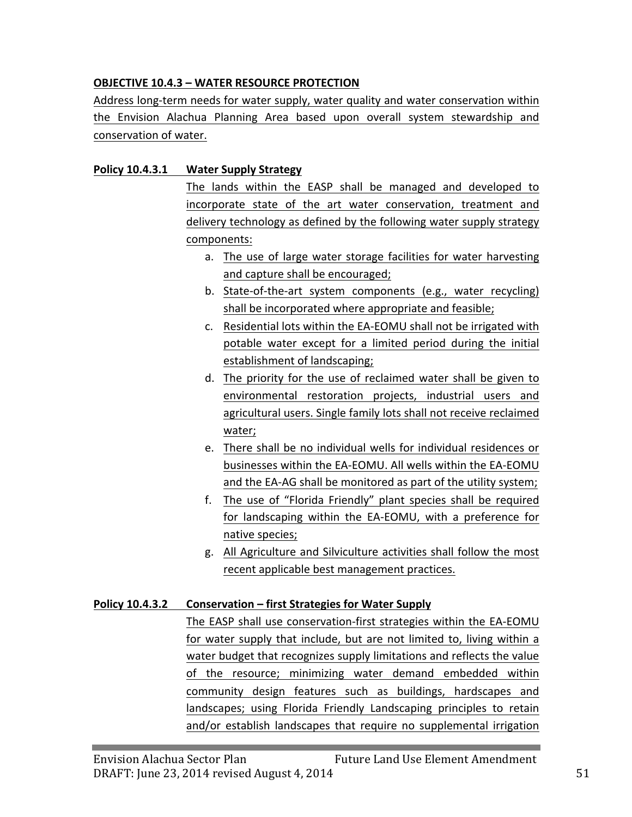## **OBJECTIVE 10.4.3 - WATER RESOURCE PROTECTION**

Address long-term needs for water supply, water quality and water conservation within the Envision Alachua Planning Area based upon overall system stewardship and conservation of water.

#### **Policy 10.4.3.1 Water Supply Strategy**

The lands within the EASP shall be managed and developed to incorporate state of the art water conservation, treatment and delivery technology as defined by the following water supply strategy components:

- a. The use of large water storage facilities for water harvesting and capture shall be encouraged;
- b. State-of-the-art system components (e.g., water recycling) shall be incorporated where appropriate and feasible;
- c. Residential lots within the EA-EOMU shall not be irrigated with potable water except for a limited period during the initial establishment of landscaping;
- d. The priority for the use of reclaimed water shall be given to environmental restoration projects, industrial users and agricultural users. Single family lots shall not receive reclaimed water;
- e. There shall be no individual wells for individual residences or businesses within the EA-EOMU. All wells within the EA-EOMU and the EA-AG shall be monitored as part of the utility system;
- f. The use of "Florida Friendly" plant species shall be required for landscaping within the EA-EOMU, with a preference for native species;
- g. All Agriculture and Silviculture activities shall follow the most recent applicable best management practices.

#### **Policy 10.4.3.2 Conservation – first Strategies for Water Supply**

The EASP shall use conservation-first strategies within the EA-EOMU for water supply that include, but are not limited to, living within a water budget that recognizes supply limitations and reflects the value of the resource; minimizing water demand embedded within community design features such as buildings, hardscapes and landscapes; using Florida Friendly Landscaping principles to retain and/or establish landscapes that require no supplemental irrigation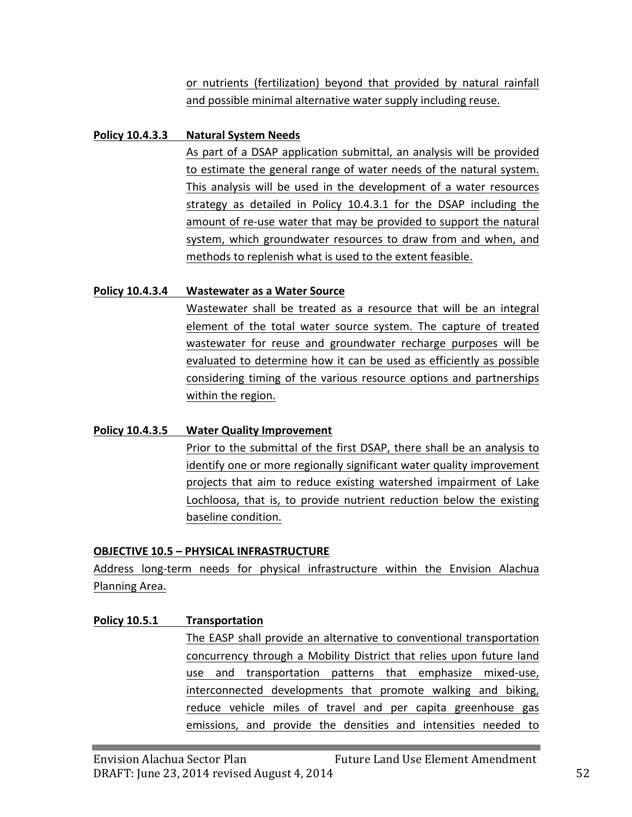or nutrients (fertilization) beyond that provided by natural rainfall and possible minimal alternative water supply including reuse.

#### **Policy 10.4.3.3** Natural System Needs

As part of a DSAP application submittal, an analysis will be provided to estimate the general range of water needs of the natural system. This analysis will be used in the development of a water resources strategy as detailed in Policy 10.4.3.1 for the DSAP including the amount of re-use water that may be provided to support the natural system, which groundwater resources to draw from and when, and methods to replenish what is used to the extent feasible.

#### **Policy 10.4.3.4 Wastewater as a Water Source**

Wastewater shall be treated as a resource that will be an integral element of the total water source system. The capture of treated wastewater for reuse and groundwater recharge purposes will be evaluated to determine how it can be used as efficiently as possible considering timing of the various resource options and partnerships within the region.

#### **Policy 10.4.3.5 Water Quality Improvement**

Prior to the submittal of the first DSAP, there shall be an analysis to identify one or more regionally significant water quality improvement projects that aim to reduce existing watershed impairment of Lake Lochloosa, that is, to provide nutrient reduction below the existing baseline condition.

#### **OBJECTIVE 10.5 - PHYSICAL INFRASTRUCTURE**

Address long-term needs for physical infrastructure within the Envision Alachua Planning Area.

#### **Policy 10.5.1 Transportation**

The EASP shall provide an alternative to conventional transportation concurrency through a Mobility District that relies upon future land use and transportation patterns that emphasize mixed-use, interconnected developments that promote walking and biking, reduce vehicle miles of travel and per capita greenhouse gas emissions, and provide the densities and intensities needed to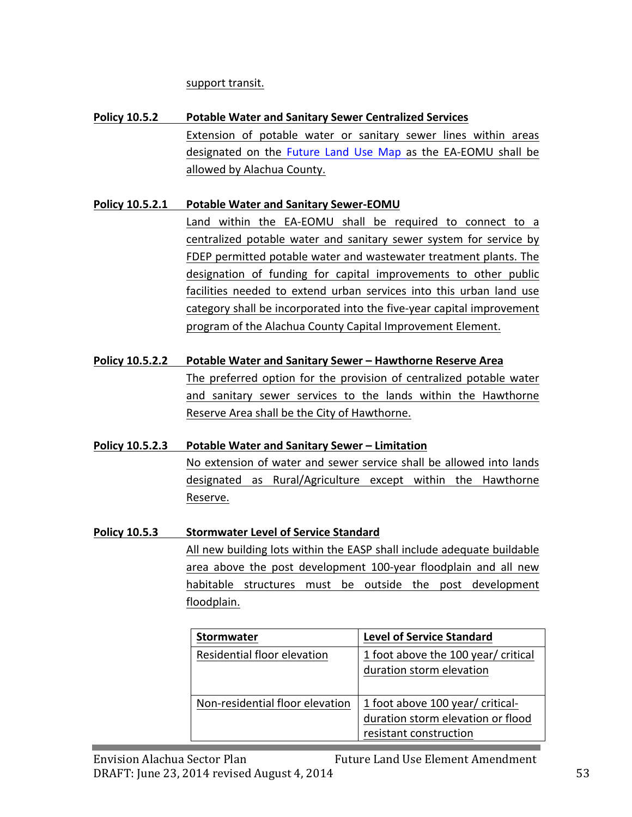support transit.

**Policy 10.5.2** Potable Water and Sanitary Sewer Centralized Services Extension of potable water or sanitary sewer lines within areas designated on the Future Land Use Map as the EA-EOMU shall be allowed by Alachua County.

## **Policy 10.5.2.1** Potable Water and Sanitary Sewer-EOMU

Land within the EA-EOMU shall be required to connect to a centralized potable water and sanitary sewer system for service by FDEP permitted potable water and wastewater treatment plants. The designation of funding for capital improvements to other public facilities needed to extend urban services into this urban land use category shall be incorporated into the five-year capital improvement program of the Alachua County Capital Improvement Element.

## **Policy 10.5.2.2** Potable Water and Sanitary Sewer – Hawthorne Reserve Area

The preferred option for the provision of centralized potable water and sanitary sewer services to the lands within the Hawthorne Reserve Area shall be the City of Hawthorne.

#### **Policy 10.5.2.3** Potable Water and Sanitary Sewer – Limitation

No extension of water and sewer service shall be allowed into lands designated as Rural/Agriculture except within the Hawthorne Reserve.

## **Policy 10.5.3** Stormwater Level of Service Standard

All new building lots within the EASP shall include adequate buildable area above the post development 100-year floodplain and all new habitable structures must be outside the post development floodplain. 

| <b>Stormwater</b>               | <b>Level of Service Standard</b>                                                                |
|---------------------------------|-------------------------------------------------------------------------------------------------|
| Residential floor elevation     | 1 foot above the 100 year/ critical<br>duration storm elevation                                 |
| Non-residential floor elevation | 1 foot above 100 year/ critical-<br>duration storm elevation or flood<br>resistant construction |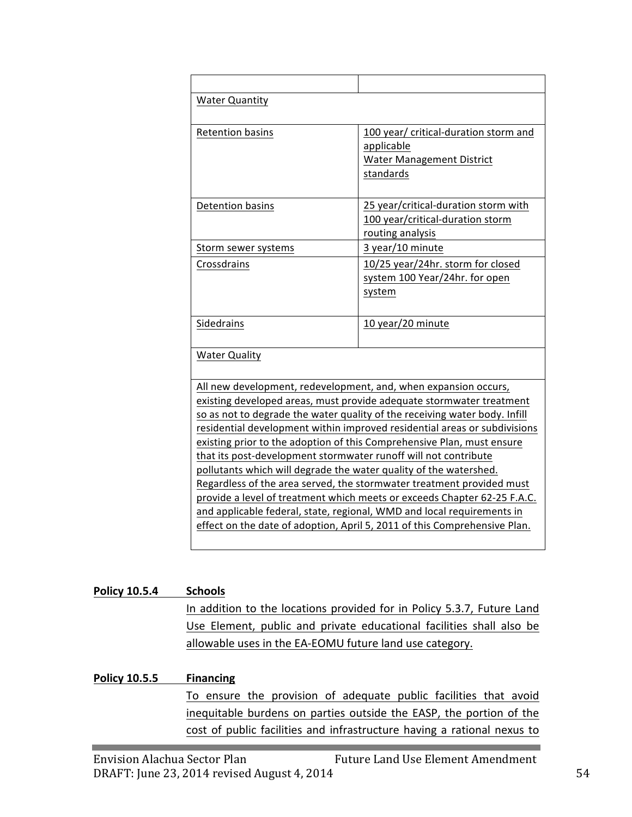| <b>Water Quantity</b>                                                     |                                                                            |  |
|---------------------------------------------------------------------------|----------------------------------------------------------------------------|--|
|                                                                           |                                                                            |  |
| <b>Retention basins</b>                                                   | 100 year/ critical-duration storm and                                      |  |
|                                                                           | applicable                                                                 |  |
|                                                                           | <b>Water Management District</b>                                           |  |
|                                                                           | standards                                                                  |  |
|                                                                           |                                                                            |  |
| <b>Detention basins</b>                                                   | 25 year/critical-duration storm with                                       |  |
|                                                                           | 100 year/critical-duration storm                                           |  |
|                                                                           | routing analysis                                                           |  |
| Storm sewer systems                                                       | 3 year/10 minute                                                           |  |
| Crossdrains                                                               | 10/25 year/24hr. storm for closed                                          |  |
|                                                                           | system 100 Year/24hr. for open                                             |  |
|                                                                           | system                                                                     |  |
|                                                                           |                                                                            |  |
| Sidedrains                                                                | 10 year/20 minute                                                          |  |
|                                                                           |                                                                            |  |
| <b>Water Quality</b>                                                      |                                                                            |  |
|                                                                           |                                                                            |  |
| All new development, redevelopment, and, when expansion occurs,           |                                                                            |  |
|                                                                           | existing developed areas, must provide adequate stormwater treatment       |  |
|                                                                           | so as not to degrade the water quality of the receiving water body. Infill |  |
| residential development within improved residential areas or subdivisions |                                                                            |  |
| existing prior to the adoption of this Comprehensive Plan, must ensure    |                                                                            |  |
| that its post-development stormwater runoff will not contribute           |                                                                            |  |
| pollutants which will degrade the water quality of the watershed.         |                                                                            |  |
| Regardless of the area served, the stormwater treatment provided must     |                                                                            |  |
| provide a level of treatment which meets or exceeds Chapter 62-25 F.A.C.  |                                                                            |  |
| and applicable federal, state, regional, WMD and local requirements in    |                                                                            |  |
|                                                                           | effect on the date of adoption, April 5, 2011 of this Comprehensive Plan.  |  |
|                                                                           |                                                                            |  |

#### **Policy 10.5.4 Schools**

In addition to the locations provided for in Policy 5.3.7, Future Land Use Element, public and private educational facilities shall also be allowable uses in the EA-EOMU future land use category.

#### **Policy 10.5.5 Financing**

To ensure the provision of adequate public facilities that avoid inequitable burdens on parties outside the EASP, the portion of the cost of public facilities and infrastructure having a rational nexus to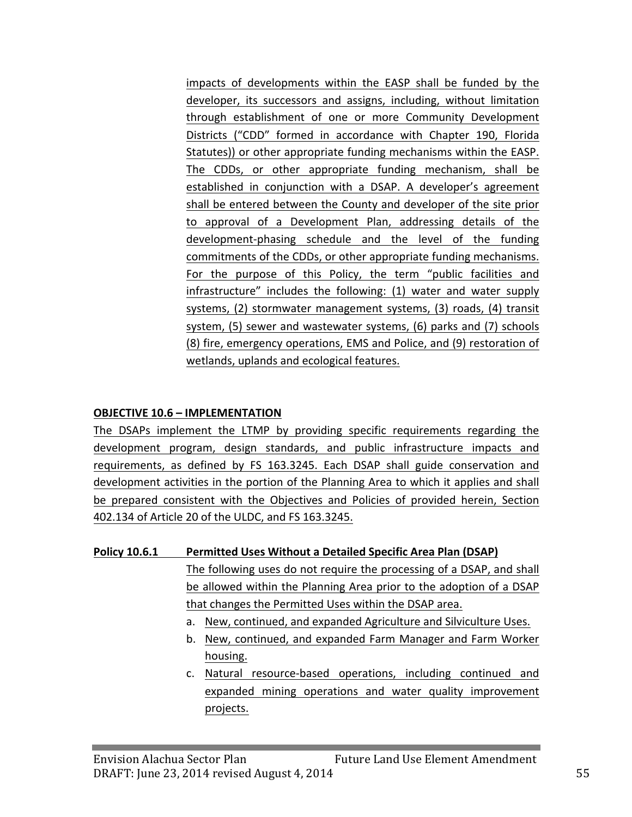impacts of developments within the EASP shall be funded by the developer, its successors and assigns, including, without limitation through establishment of one or more Community Development Districts ("CDD" formed in accordance with Chapter 190, Florida Statutes)) or other appropriate funding mechanisms within the EASP. The CDDs, or other appropriate funding mechanism, shall be established in conjunction with a DSAP. A developer's agreement shall be entered between the County and developer of the site prior to approval of a Development Plan, addressing details of the development-phasing schedule and the level of the funding commitments of the CDDs, or other appropriate funding mechanisms. For the purpose of this Policy, the term "public facilities and infrastructure" includes the following: (1) water and water supply systems, (2) stormwater management systems, (3) roads, (4) transit system, (5) sewer and wastewater systems, (6) parks and (7) schools (8) fire, emergency operations, EMS and Police, and (9) restoration of wetlands, uplands and ecological features.

#### **OBJECTIVE 10.6 - IMPLEMENTATION**

The DSAPs implement the LTMP by providing specific requirements regarding the development program, design standards, and public infrastructure impacts and requirements, as defined by FS 163.3245. Each DSAP shall guide conservation and development activities in the portion of the Planning Area to which it applies and shall be prepared consistent with the Objectives and Policies of provided herein, Section 402.134 of Article 20 of the ULDC, and FS 163.3245.

#### **Policy 10.6.1** Permitted Uses Without a Detailed Specific Area Plan (DSAP)

The following uses do not require the processing of a DSAP, and shall be allowed within the Planning Area prior to the adoption of a DSAP that changes the Permitted Uses within the DSAP area.

- a. New, continued, and expanded Agriculture and Silviculture Uses.
- b. New, continued, and expanded Farm Manager and Farm Worker housing.
- c. Natural resource-based operations, including continued and expanded mining operations and water quality improvement projects.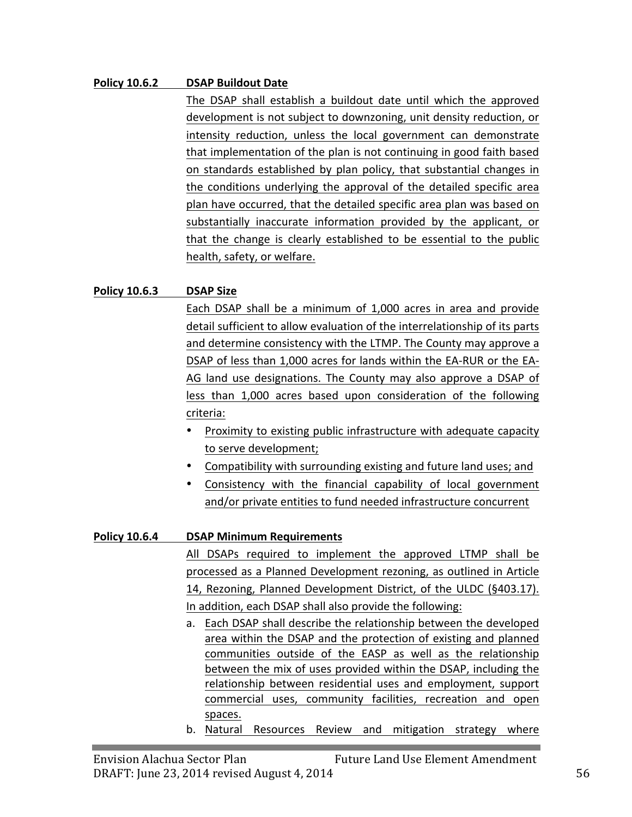#### **Policy 10.6.2 DSAP Buildout Date**

The DSAP shall establish a buildout date until which the approved development is not subject to downzoning, unit density reduction, or intensity reduction, unless the local government can demonstrate that implementation of the plan is not continuing in good faith based on standards established by plan policy, that substantial changes in the conditions underlying the approval of the detailed specific area plan have occurred, that the detailed specific area plan was based on substantially inaccurate information provided by the applicant, or that the change is clearly established to be essential to the public health, safety, or welfare.

#### **Policy 10.6.3 DSAP Size**

Each DSAP shall be a minimum of 1,000 acres in area and provide detail sufficient to allow evaluation of the interrelationship of its parts and determine consistency with the LTMP. The County may approve a DSAP of less than 1,000 acres for lands within the EA-RUR or the EA-AG land use designations. The County may also approve a DSAP of less than 1,000 acres based upon consideration of the following criteria:

- Proximity to existing public infrastructure with adequate capacity to serve development;
- Compatibility with surrounding existing and future land uses; and
- Consistency with the financial capability of local government and/or private entities to fund needed infrastructure concurrent

#### **Policy 10.6.4 DSAP Minimum Requirements**

All DSAPs required to implement the approved LTMP shall be processed as a Planned Development rezoning, as outlined in Article 14, Rezoning, Planned Development District, of the ULDC (§403.17). In addition, each DSAP shall also provide the following:

- a. Each DSAP shall describe the relationship between the developed area within the DSAP and the protection of existing and planned communities outside of the EASP as well as the relationship between the mix of uses provided within the DSAP, including the relationship between residential uses and employment, support commercial uses, community facilities, recreation and open spaces.
- b. Natural Resources Review and mitigation strategy where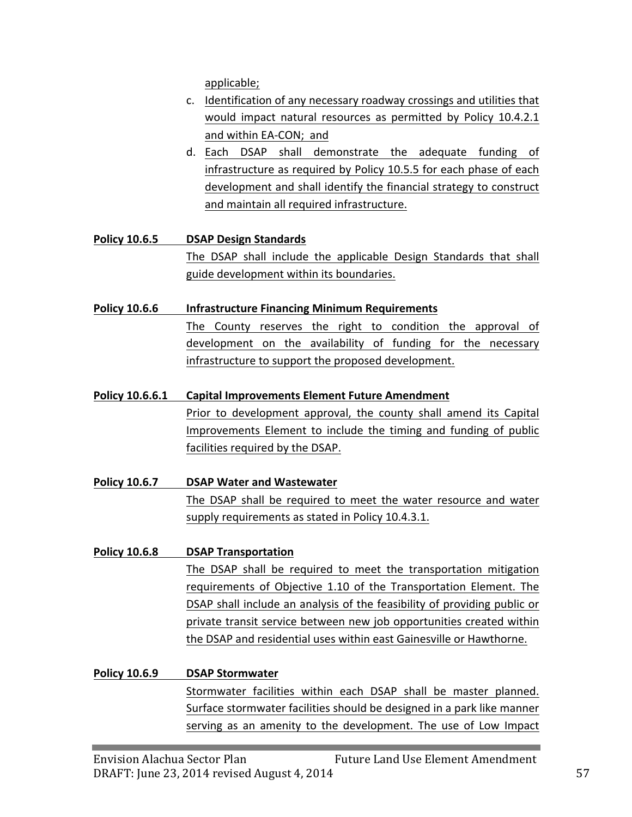applicable;

- c. Identification of any necessary roadway crossings and utilities that would impact natural resources as permitted by Policy 10.4.2.1 and within EA-CON; and
- d. Each DSAP shall demonstrate the adequate funding of infrastructure as required by Policy 10.5.5 for each phase of each development and shall identify the financial strategy to construct and maintain all required infrastructure.

**Policy 10.6.5 DSAP Design Standards** The DSAP shall include the applicable Design Standards that shall guide development within its boundaries.

#### **Policy 10.6.6 ••• Infrastructure Financing Minimum Requirements**

The County reserves the right to condition the approval of development on the availability of funding for the necessary infrastructure to support the proposed development.

#### **Policy 10.6.6.1** Capital Improvements Element Future Amendment

Prior to development approval, the county shall amend its Capital Improvements Element to include the timing and funding of public facilities required by the DSAP.

**Policy 10.6.7 DSAP Water and Wastewater** The DSAP shall be required to meet the water resource and water supply requirements as stated in Policy 10.4.3.1.

## **Policy 10.6.8 DSAP Transportation** The DSAP shall be required to meet the transportation mitigation requirements of Objective 1.10 of the Transportation Element. The DSAP shall include an analysis of the feasibility of providing public or private transit service between new job opportunities created within the DSAP and residential uses within east Gainesville or Hawthorne.

## **Policy 10.6.9 DSAP Stormwater** Stormwater facilities within each DSAP shall be master planned. Surface stormwater facilities should be designed in a park like manner serving as an amenity to the development. The use of Low Impact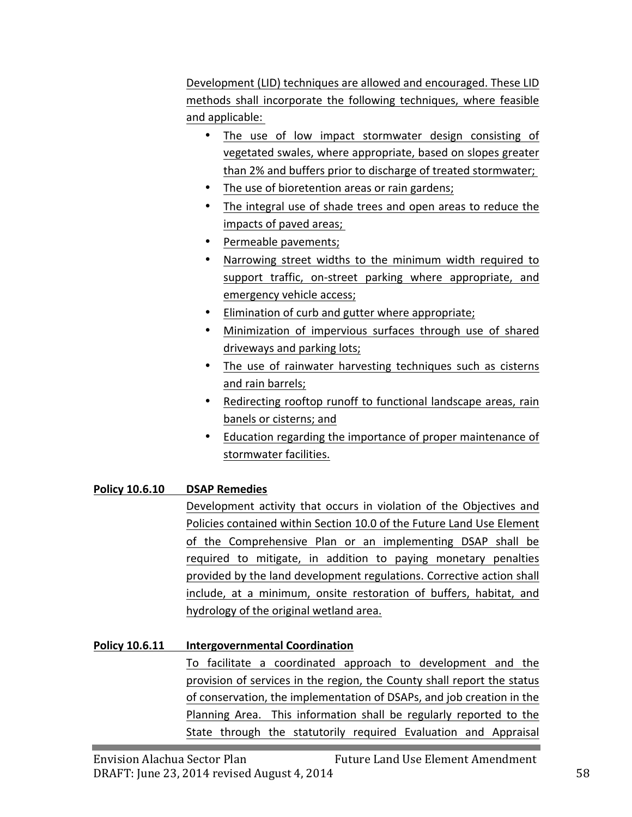Development (LID) techniques are allowed and encouraged. These LID methods shall incorporate the following techniques, where feasible and applicable:

- The use of low impact stormwater design consisting of vegetated swales, where appropriate, based on slopes greater than 2% and buffers prior to discharge of treated stormwater;
- The use of bioretention areas or rain gardens;
- The integral use of shade trees and open areas to reduce the impacts of paved areas;
- Permeable pavements;
- Narrowing street widths to the minimum width required to support traffic, on-street parking where appropriate, and emergency vehicle access;
- Elimination of curb and gutter where appropriate;
- Minimization of impervious surfaces through use of shared driveways and parking lots;
- The use of rainwater harvesting techniques such as cisterns and rain barrels;
- Redirecting rooftop runoff to functional landscape areas, rain banels or cisterns; and
- Education regarding the importance of proper maintenance of stormwater facilities.

## **Policy 10.6.10 DSAP Remedies**

Development activity that occurs in violation of the Objectives and Policies contained within Section 10.0 of the Future Land Use Element of the Comprehensive Plan or an implementing DSAP shall be required to mitigate, in addition to paying monetary penalties provided by the land development regulations. Corrective action shall include, at a minimum, onsite restoration of buffers, habitat, and hydrology of the original wetland area.

## **Policy 10.6.11 Intergovernmental Coordination**

To facilitate a coordinated approach to development and the provision of services in the region, the County shall report the status of conservation, the implementation of DSAPs, and job creation in the Planning Area. This information shall be regularly reported to the State through the statutorily required Evaluation and Appraisal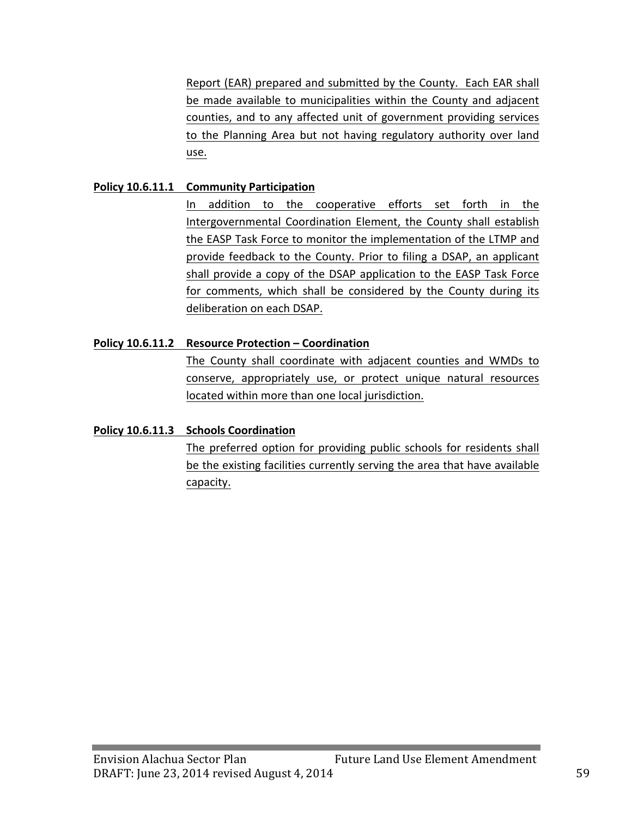Report (EAR) prepared and submitted by the County. Each EAR shall be made available to municipalities within the County and adjacent counties, and to any affected unit of government providing services to the Planning Area but not having regulatory authority over land use. 

#### **Policy 10.6.11.1 Community Participation**

In addition to the cooperative efforts set forth in the Intergovernmental Coordination Element, the County shall establish the EASP Task Force to monitor the implementation of the LTMP and provide feedback to the County. Prior to filing a DSAP, an applicant shall provide a copy of the DSAP application to the EASP Task Force for comments, which shall be considered by the County during its deliberation on each DSAP.

#### **Policy 10.6.11.2** Resource Protection – Coordination

The County shall coordinate with adjacent counties and WMDs to conserve, appropriately use, or protect unique natural resources located within more than one local jurisdiction.

#### **Policy 10.6.11.3 Schools Coordination**

The preferred option for providing public schools for residents shall be the existing facilities currently serving the area that have available capacity.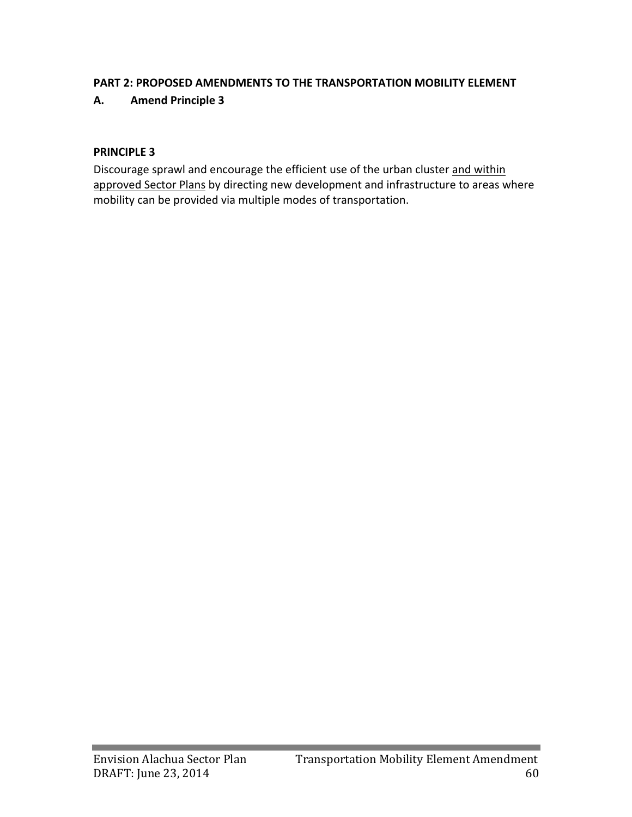#### **PART 2: PROPOSED AMENDMENTS TO THE TRANSPORTATION MOBILITY ELEMENT**

#### **A. Amend Principle 3**

#### **PRINCIPLE 3**

Discourage sprawl and encourage the efficient use of the urban cluster and within approved Sector Plans by directing new development and infrastructure to areas where mobility can be provided via multiple modes of transportation.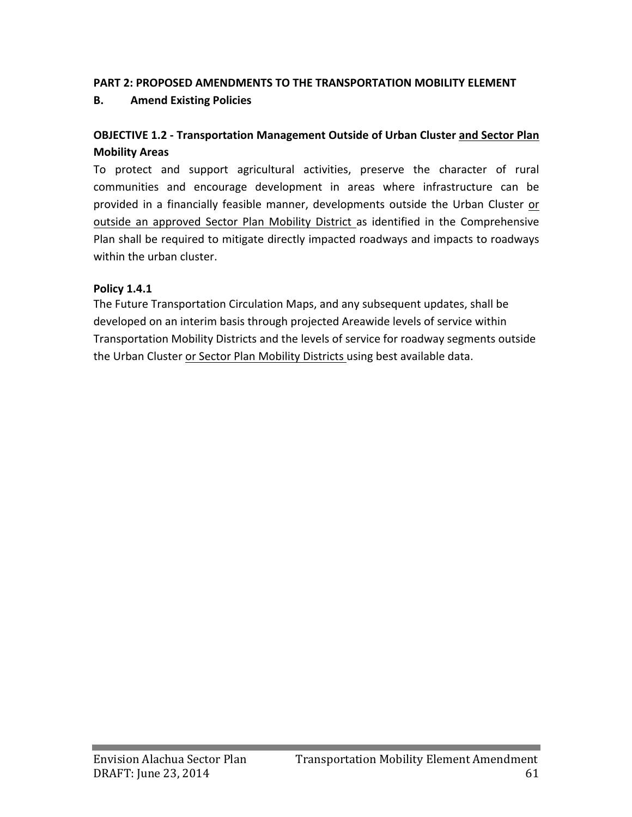#### **PART 2: PROPOSED AMENDMENTS TO THE TRANSPORTATION MOBILITY ELEMENT**

### **B. Amend Existing Policies**

## **OBJECTIVE 1.2 - Transportation Management Outside of Urban Cluster and Sector Plan Mobility Areas**

To protect and support agricultural activities, preserve the character of rural communities and encourage development in areas where infrastructure can be provided in a financially feasible manner, developments outside the Urban Cluster or outside an approved Sector Plan Mobility District as identified in the Comprehensive Plan shall be required to mitigate directly impacted roadways and impacts to roadways within the urban cluster.

#### **Policy 1.4.1**

The Future Transportation Circulation Maps, and any subsequent updates, shall be developed on an interim basis through projected Areawide levels of service within Transportation Mobility Districts and the levels of service for roadway segments outside the Urban Cluster or Sector Plan Mobility Districts using best available data.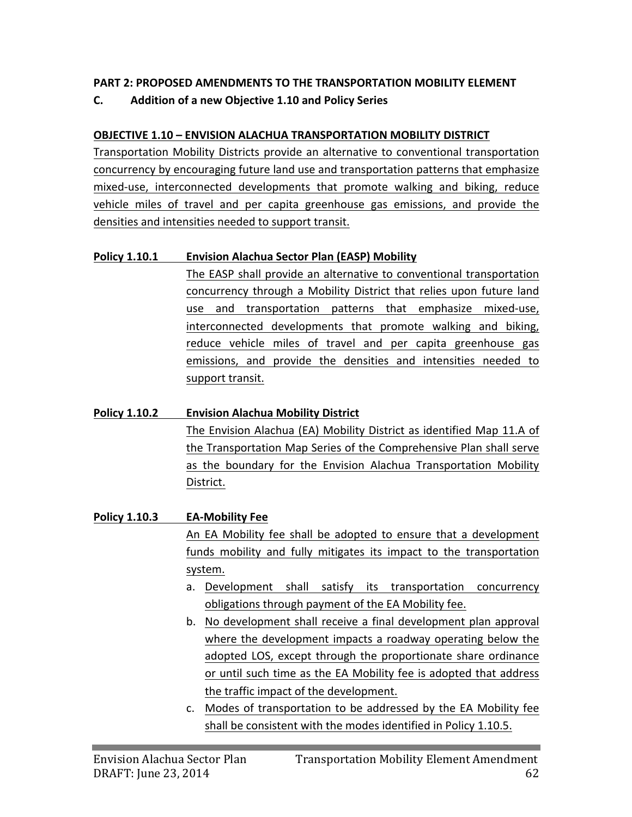## **PART 2: PROPOSED AMENDMENTS TO THE TRANSPORTATION MOBILITY ELEMENT**

**C. Addition of a new Objective 1.10 and Policy Series**

## **OBJECTIVE 1.10 – ENVISION ALACHUA TRANSPORTATION MOBILITY DISTRICT**

Transportation Mobility Districts provide an alternative to conventional transportation concurrency by encouraging future land use and transportation patterns that emphasize mixed-use, interconnected developments that promote walking and biking, reduce vehicle miles of travel and per capita greenhouse gas emissions, and provide the densities and intensities needed to support transit.

## **Policy 1.10.1 Envision Alachua Sector Plan (EASP) Mobility**

The EASP shall provide an alternative to conventional transportation concurrency through a Mobility District that relies upon future land use and transportation patterns that emphasize mixed-use, interconnected developments that promote walking and biking, reduce vehicle miles of travel and per capita greenhouse gas emissions, and provide the densities and intensities needed to support transit.

# **Policy 1.10.2 Envision Alachua Mobility District** The Envision Alachua (EA) Mobility District as identified Map 11.A of the Transportation Map Series of the Comprehensive Plan shall serve as the boundary for the Envision Alachua Transportation Mobility District.

## **Policy 1.10.3 EA-Mobility Fee** An EA Mobility fee shall be adopted to ensure that a development funds mobility and fully mitigates its impact to the transportation system. a. Development shall satisfy its transportation concurrency obligations through payment of the EA Mobility fee.

- b. No development shall receive a final development plan approval where the development impacts a roadway operating below the adopted LOS, except through the proportionate share ordinance or until such time as the EA Mobility fee is adopted that address the traffic impact of the development.
- c. Modes of transportation to be addressed by the EA Mobility fee shall be consistent with the modes identified in Policy 1.10.5.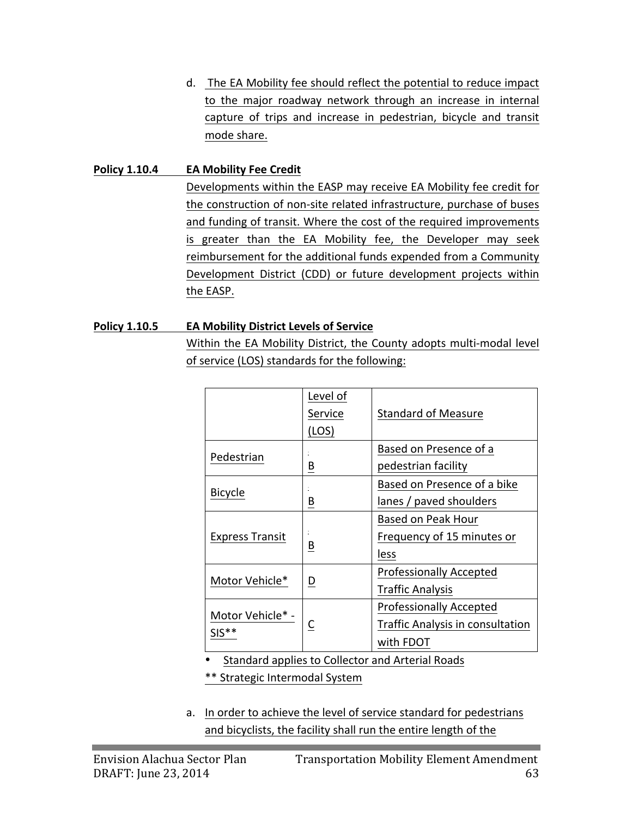d. The EA Mobility fee should reflect the potential to reduce impact to the major roadway network through an increase in internal capture of trips and increase in pedestrian, bicycle and transit mode share.

#### **Policy 1.10.4 EA Mobility Fee Credit**

Developments within the EASP may receive EA Mobility fee credit for the construction of non-site related infrastructure, purchase of buses and funding of transit. Where the cost of the required improvements is greater than the EA Mobility fee, the Developer may seek reimbursement for the additional funds expended from a Community Development District (CDD) or future development projects within the EASP.

#### **Policy 1.10.5 ••• EA Mobility District Levels of Service**

Within the EA Mobility District, the County adopts multi-modal level of service (LOS) standards for the following:

|                             | Level of                | <b>Standard of Measure</b>       |  |  |
|-----------------------------|-------------------------|----------------------------------|--|--|
|                             | Service<br>(LOS)        |                                  |  |  |
|                             |                         | Based on Presence of a           |  |  |
| Pedestrian                  | B                       | pedestrian facility              |  |  |
| <b>Bicycle</b>              |                         | Based on Presence of a bike      |  |  |
|                             | B                       | lanes / paved shoulders          |  |  |
|                             |                         | Based on Peak Hour               |  |  |
| <b>Express Transit</b>      | $\overline{\mathsf{B}}$ | Frequency of 15 minutes or       |  |  |
|                             |                         | less                             |  |  |
| Motor Vehicle*              |                         | <b>Professionally Accepted</b>   |  |  |
|                             | D                       | <b>Traffic Analysis</b>          |  |  |
|                             |                         | <b>Professionally Accepted</b>   |  |  |
| Motor Vehicle* -<br>$SIS**$ | С                       | Traffic Analysis in consultation |  |  |
|                             |                         | with FDOT                        |  |  |

• Standard applies to Collector and Arterial Roads

\*\* Strategic Intermodal System

a. In order to achieve the level of service standard for pedestrians and bicyclists, the facility shall run the entire length of the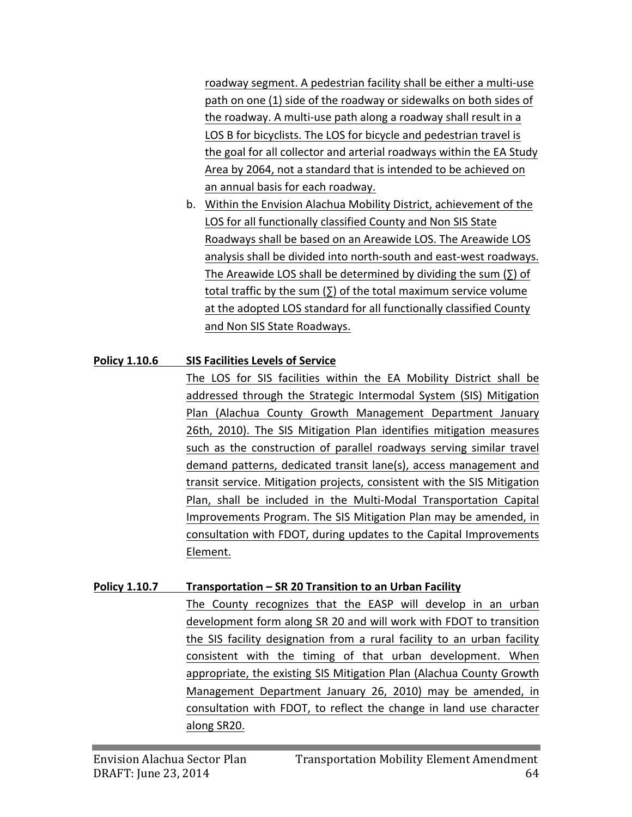roadway segment. A pedestrian facility shall be either a multi-use path on one (1) side of the roadway or sidewalks on both sides of the roadway. A multi-use path along a roadway shall result in a LOS B for bicyclists. The LOS for bicycle and pedestrian travel is the goal for all collector and arterial roadways within the EA Study Area by 2064, not a standard that is intended to be achieved on an annual basis for each roadway.

b. Within the Envision Alachua Mobility District, achievement of the LOS for all functionally classified County and Non SIS State Roadways shall be based on an Areawide LOS. The Areawide LOS analysis shall be divided into north-south and east-west roadways. The Areawide LOS shall be determined by dividing the sum  $(∑)$  of total traffic by the sum  $(Σ)$  of the total maximum service volume at the adopted LOS standard for all functionally classified County and Non SIS State Roadways.

## **Policy 1.10.6 SIS Facilities Levels of Service**

The LOS for SIS facilities within the EA Mobility District shall be addressed through the Strategic Intermodal System (SIS) Mitigation Plan (Alachua County Growth Management Department January 26th, 2010). The SIS Mitigation Plan identifies mitigation measures such as the construction of parallel roadways serving similar travel demand patterns, dedicated transit lane(s), access management and transit service. Mitigation projects, consistent with the SIS Mitigation Plan, shall be included in the Multi-Modal Transportation Capital Improvements Program. The SIS Mitigation Plan may be amended, in consultation with FDOT, during updates to the Capital Improvements Element. 

## **Policy 1.10.7 Transportation – SR 20 Transition to an Urban Facility**

The County recognizes that the EASP will develop in an urban development form along SR 20 and will work with FDOT to transition the SIS facility designation from a rural facility to an urban facility consistent with the timing of that urban development. When appropriate, the existing SIS Mitigation Plan (Alachua County Growth Management Department January 26, 2010) may be amended, in consultation with FDOT, to reflect the change in land use character along SR20.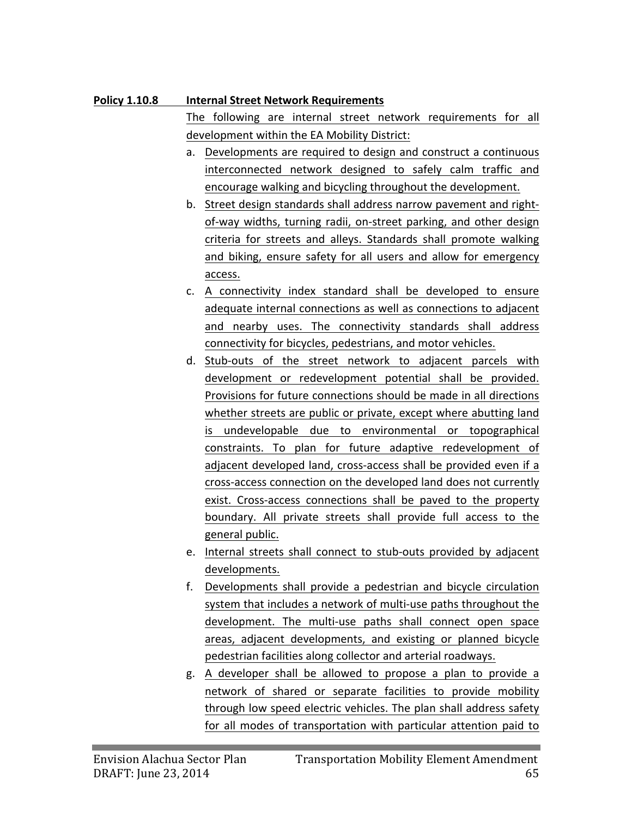## **Policy 1.10.8 Internal Street Network Requirements**

The following are internal street network requirements for all development within the EA Mobility District:

- a. Developments are required to design and construct a continuous interconnected network designed to safely calm traffic and encourage walking and bicycling throughout the development.
- b. Street design standards shall address narrow pavement and rightof-way widths, turning radii, on-street parking, and other design criteria for streets and alleys. Standards shall promote walking and biking, ensure safety for all users and allow for emergency access.
- c. A connectivity index standard shall be developed to ensure adequate internal connections as well as connections to adjacent and nearby uses. The connectivity standards shall address connectivity for bicycles, pedestrians, and motor vehicles.
- d. Stub-outs of the street network to adjacent parcels with development or redevelopment potential shall be provided. Provisions for future connections should be made in all directions whether streets are public or private, except where abutting land is undevelopable due to environmental or topographical constraints. To plan for future adaptive redevelopment of adjacent developed land, cross-access shall be provided even if a cross-access connection on the developed land does not currently exist. Cross-access connections shall be paved to the property boundary. All private streets shall provide full access to the general public.
- e. Internal streets shall connect to stub-outs provided by adjacent developments.
- f. Developments shall provide a pedestrian and bicycle circulation system that includes a network of multi-use paths throughout the development. The multi-use paths shall connect open space areas, adjacent developments, and existing or planned bicycle pedestrian facilities along collector and arterial roadways.
- g. A developer shall be allowed to propose a plan to provide a network of shared or separate facilities to provide mobility through low speed electric vehicles. The plan shall address safety for all modes of transportation with particular attention paid to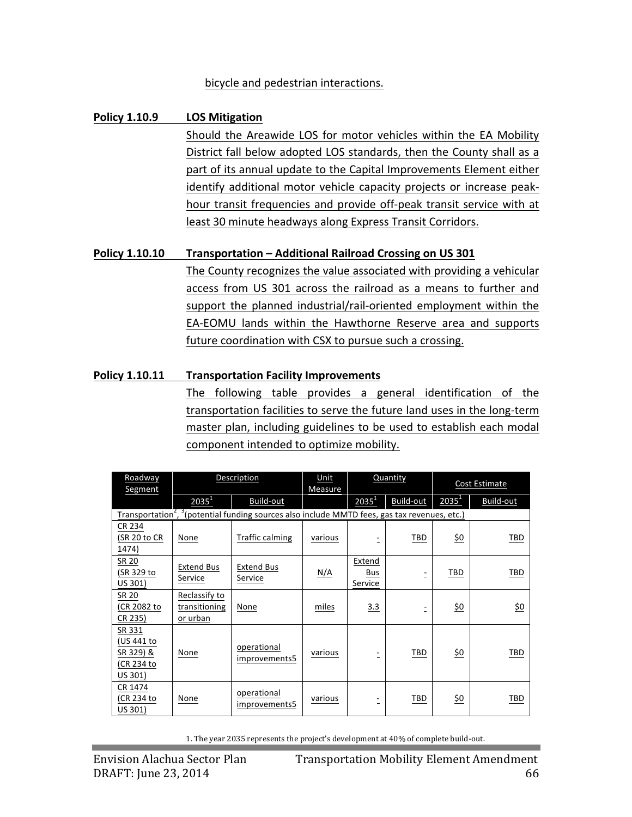#### bicycle and pedestrian interactions.

#### **Policy 1.10.9 LOS Mitigation**

Should the Areawide LOS for motor vehicles within the EA Mobility District fall below adopted LOS standards, then the County shall as a part of its annual update to the Capital Improvements Element either identify additional motor vehicle capacity projects or increase peakhour transit frequencies and provide off-peak transit service with at least 30 minute headways along Express Transit Corridors.

#### **Policy 1.10.10 Transportation – Additional Railroad Crossing on US 301**

The County recognizes the value associated with providing a vehicular access from US 301 across the railroad as a means to further and support the planned industrial/rail-oriented employment within the EA-EOMU lands within the Hawthorne Reserve area and supports future coordination with CSX to pursue such a crossing.

#### **Policy 1.10.11 Transportation Facility Improvements**

The following table provides a general identification of the transportation facilities to serve the future land uses in the long-term master plan, including guidelines to be used to establish each modal component intended to optimize mobility.

| Roadway                                                                                                               | Description                                |                              | Unit<br>Measure | Quantity                 |           | Cost Estimate   |                |
|-----------------------------------------------------------------------------------------------------------------------|--------------------------------------------|------------------------------|-----------------|--------------------------|-----------|-----------------|----------------|
| Segment                                                                                                               | $2035^1$                                   | Build-out                    |                 | $2035^1$                 | Build-out | $2035^1$        | Build-out      |
| Transportation <sup>2</sup> , <sup>3</sup> (potential funding sources also include MMTD fees, gas tax revenues, etc.) |                                            |                              |                 |                          |           |                 |                |
| CR 234<br>(SR 20 to CR<br>1474)                                                                                       | None                                       | Traffic calming              | various         |                          | TBD       | <u>\$0</u>      | TBD            |
| SR 20<br>(SR 329 to<br>US 301)                                                                                        | <b>Extend Bus</b><br>Service               | Extend Bus<br>Service        | N/A             | Extend<br>Bus<br>Service | Ξ         | TBD             | TBD            |
| SR 20<br>(CR 2082 to<br>CR 235)                                                                                       | Reclassify to<br>transitioning<br>or urban | None                         | miles           | 3.3                      |           | \$0             | $\frac{6}{20}$ |
| SR 331<br>(US 441 to<br>SR 329) &<br>(CR 234 to<br>US 301)                                                            | None                                       | operational<br>improvements5 | various         |                          | TBD       | <u>\$0</u>      | TBD            |
| CR 1474<br>(CR 234 to<br>US 301)                                                                                      | None                                       | operational<br>improvements5 | various         |                          | TBD       | $\frac{60}{20}$ | TBD            |

1. The year 2035 represents the project's development at 40% of complete build-out.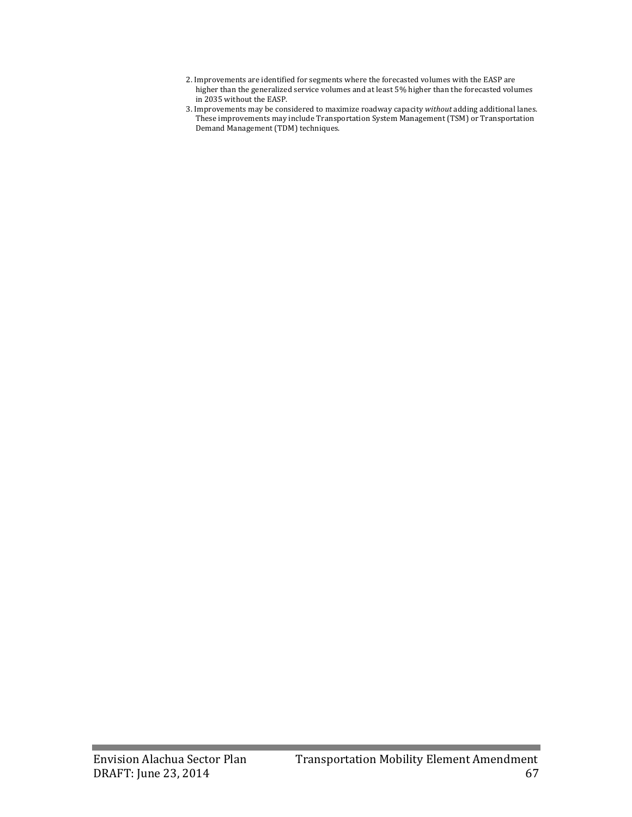- 2. Improvements are identified for segments where the forecasted volumes with the EASP are higher than the generalized service volumes and at least 5% higher than the forecasted volumes in 2035 without the EASP.
- 3. Improvements may be considered to maximize roadway capacity *without* adding additional lanes. These improvements may include Transportation System Management (TSM) or Transportation Demand Management (TDM) techniques.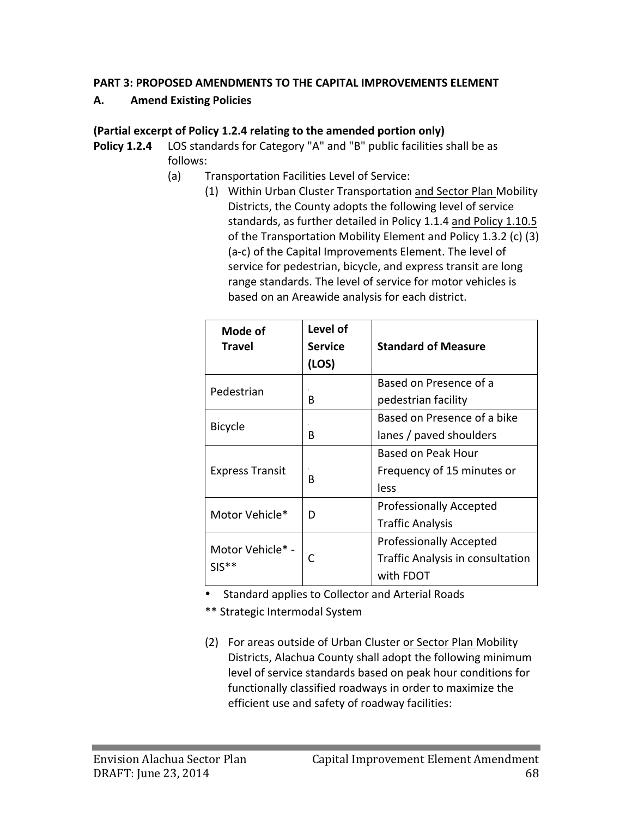#### **PART 3: PROPOSED AMENDMENTS TO THE CAPITAL IMPROVEMENTS ELEMENT**

#### **A. Amend Existing Policies**

### **(Partial excerpt of Policy 1.2.4 relating to the amended portion only)**

- **Policy 1.2.4** LOS standards for Category "A" and "B" public facilities shall be as follows:
	- (a) Transportation Facilities Level of Service:
		- (1) Within Urban Cluster Transportation and Sector Plan Mobility Districts, the County adopts the following level of service standards, as further detailed in Policy 1.1.4 and Policy 1.10.5 of the Transportation Mobility Element and Policy 1.3.2 (c) (3) (a-c) of the Capital Improvements Element. The level of service for pedestrian, bicycle, and express transit are long range standards. The level of service for motor vehicles is based on an Areawide analysis for each district.

| Mode of<br><b>Travel</b>    | Level of<br><b>Service</b><br>(LOS) | <b>Standard of Measure</b>                                                      |
|-----------------------------|-------------------------------------|---------------------------------------------------------------------------------|
| Pedestrian                  | B                                   | Based on Presence of a<br>pedestrian facility                                   |
| <b>Bicycle</b>              | в                                   | Based on Presence of a bike<br>lanes / paved shoulders                          |
| <b>Express Transit</b>      | B                                   | <b>Based on Peak Hour</b><br>Frequency of 15 minutes or<br>less                 |
| Motor Vehicle*              | D                                   | <b>Professionally Accepted</b><br><b>Traffic Analysis</b>                       |
| Motor Vehicle* -<br>$SIS**$ | C                                   | <b>Professionally Accepted</b><br>Traffic Analysis in consultation<br>with FDOT |

- Standard applies to Collector and Arterial Roads
- \*\* Strategic Intermodal System
- (2) For areas outside of Urban Cluster or Sector Plan Mobility Districts, Alachua County shall adopt the following minimum level of service standards based on peak hour conditions for functionally classified roadways in order to maximize the efficient use and safety of roadway facilities: